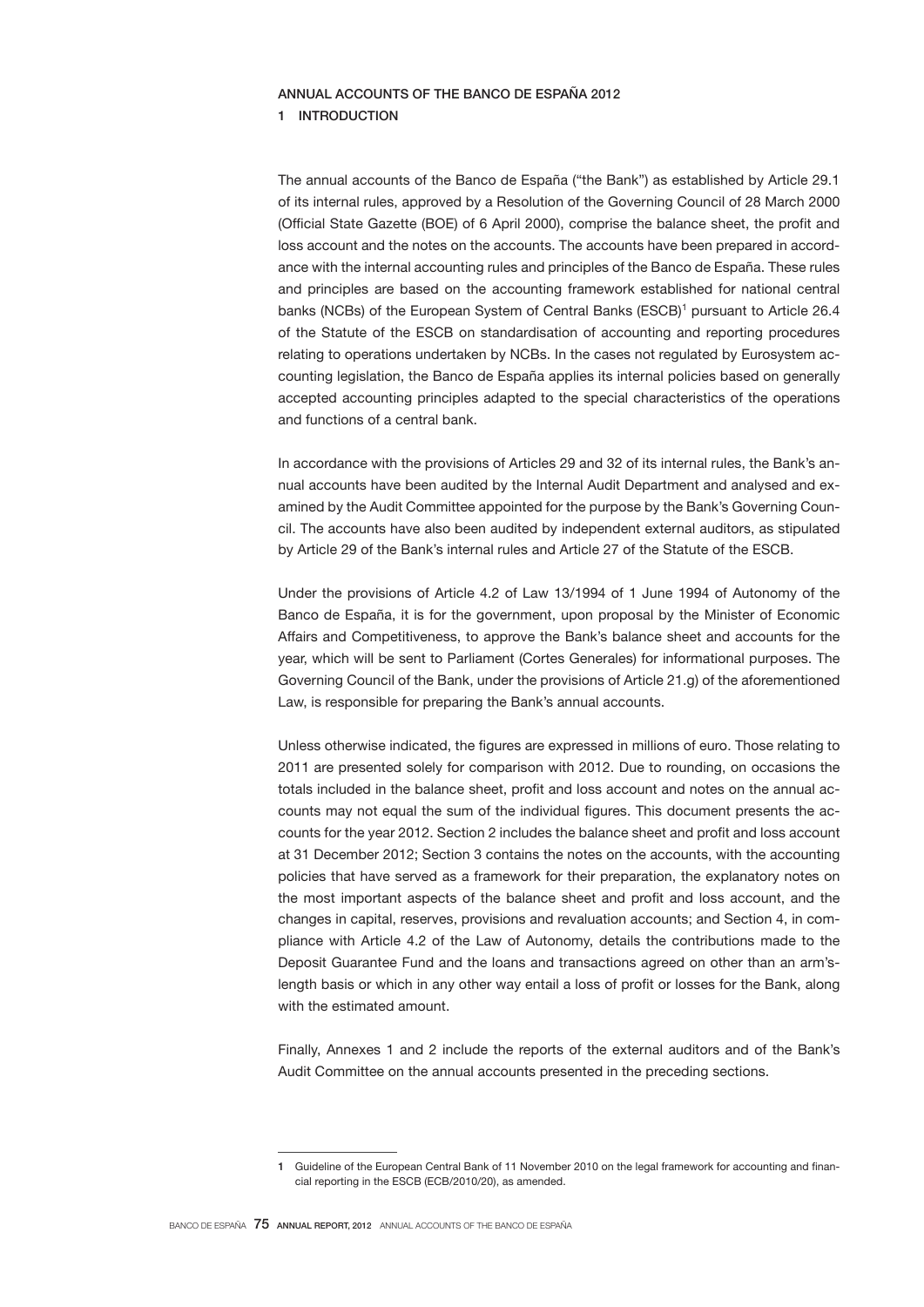# ANNUAL ACCOUNTS OF THE BANCO DE ESPAÑA 2012

## 1 INTRODUCTION

The annual accounts of the Banco de España ("the Bank") as established by Article 29.1 of its internal rules, approved by a Resolution of the Governing Council of 28 March 2000 (Official State Gazette (BOE) of 6 April 2000), comprise the balance sheet, the profit and loss account and the notes on the accounts. The accounts have been prepared in accordance with the internal accounting rules and principles of the Banco de España. These rules and principles are based on the accounting framework established for national central banks (NCBs) of the European System of Central Banks (ESCB)<sup>1</sup> pursuant to Article 26.4 of the Statute of the ESCB on standardisation of accounting and reporting procedures relating to operations undertaken by NCBs. In the cases not regulated by Eurosystem accounting legislation, the Banco de España applies its internal policies based on generally accepted accounting principles adapted to the special characteristics of the operations and functions of a central bank.

In accordance with the provisions of Articles 29 and 32 of its internal rules, the Bank's annual accounts have been audited by the Internal Audit Department and analysed and examined by the Audit Committee appointed for the purpose by the Bank's Governing Council. The accounts have also been audited by independent external auditors, as stipulated by Article 29 of the Bank's internal rules and Article 27 of the Statute of the ESCB.

Under the provisions of Article 4.2 of Law 13/1994 of 1 June 1994 of Autonomy of the Banco de España, it is for the government, upon proposal by the Minister of Economic Affairs and Competitiveness, to approve the Bank's balance sheet and accounts for the year, which will be sent to Parliament (Cortes Generales) for informational purposes. The Governing Council of the Bank, under the provisions of Article 21.g) of the aforementioned Law, is responsible for preparing the Bank's annual accounts.

Unless otherwise indicated, the figures are expressed in millions of euro. Those relating to 2011 are presented solely for comparison with 2012. Due to rounding, on occasions the totals included in the balance sheet, profit and loss account and notes on the annual accounts may not equal the sum of the individual figures. This document presents the accounts for the year 2012. Section 2 includes the balance sheet and profit and loss account at 31 December 2012; Section 3 contains the notes on the accounts, with the accounting policies that have served as a framework for their preparation, the explanatory notes on the most important aspects of the balance sheet and profit and loss account, and the changes in capital, reserves, provisions and revaluation accounts; and Section 4, in compliance with Article 4.2 of the Law of Autonomy, details the contributions made to the Deposit Guarantee Fund and the loans and transactions agreed on other than an arm'slength basis or which in any other way entail a loss of profit or losses for the Bank, along with the estimated amount.

Finally, Annexes 1 and 2 include the reports of the external auditors and of the Bank's Audit Committee on the annual accounts presented in the preceding sections.

<sup>1</sup> Guideline of the European Central Bank of 11 November 2010 on the legal framework for accounting and financial reporting in the ESCB (ECB/2010/20), as amended.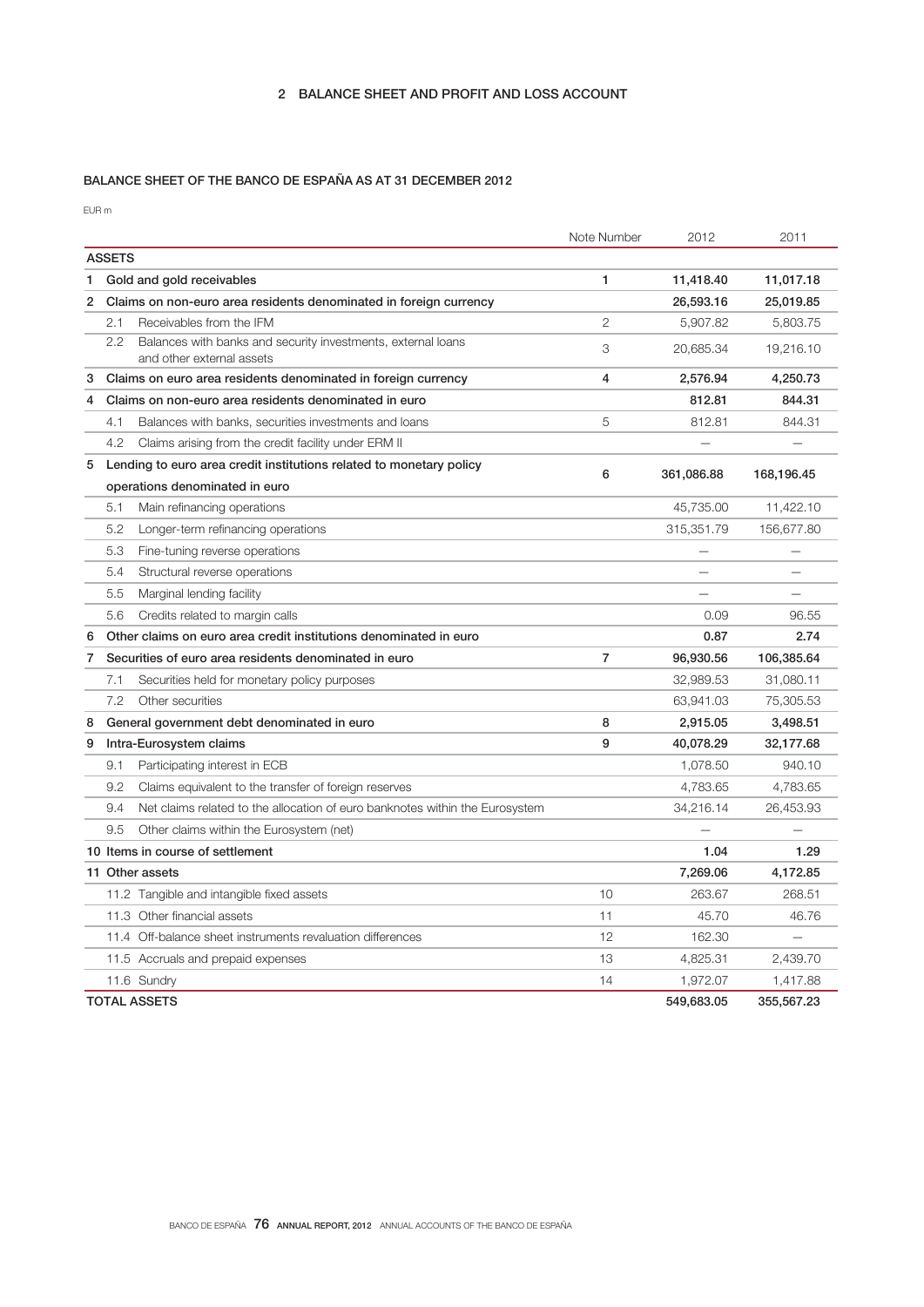# BALANCE SHEET OF THE BANCO DE ESPAÑA AS AT 31 DECEMBER 2012

EUR m

|   |                                                                                     | Note Number    | 2012       | 2011       |
|---|-------------------------------------------------------------------------------------|----------------|------------|------------|
|   | <b>ASSETS</b>                                                                       |                |            |            |
| 1 | Gold and gold receivables                                                           | 1              | 11,418.40  | 11,017.18  |
| 2 | Claims on non-euro area residents denominated in foreign currency                   |                | 26,593.16  | 25,019.85  |
|   | 2.1<br>Receivables from the IFM                                                     | $\overline{2}$ | 5,907.82   | 5,803.75   |
|   | $2.2\phantom{0}$<br>Balances with banks and security investments, external loans    | 3              | 20,685.34  | 19,216.10  |
|   | and other external assets                                                           |                |            |            |
| 3 | Claims on euro area residents denominated in foreign currency                       | 4              | 2,576.94   | 4,250.73   |
| 4 | Claims on non-euro area residents denominated in euro                               |                | 812.81     | 844.31     |
|   | 4.1<br>Balances with banks, securities investments and loans                        | 5              | 812.81     | 844.31     |
|   | 4.2<br>Claims arising from the credit facility under ERM II                         |                |            |            |
| 5 | Lending to euro area credit institutions related to monetary policy                 | 6              | 361,086.88 | 168,196.45 |
|   | operations denominated in euro                                                      |                |            |            |
|   | Main refinancing operations<br>5.1                                                  |                | 45,735.00  | 11,422.10  |
|   | 5.2<br>Longer-term refinancing operations                                           |                | 315,351.79 | 156,677.80 |
|   | 5.3<br>Fine-tuning reverse operations                                               |                |            |            |
|   | 5.4<br>Structural reverse operations                                                |                |            |            |
|   | 5.5<br>Marginal lending facility                                                    |                |            |            |
|   | 5.6<br>Credits related to margin calls                                              |                | 0.09       | 96.55      |
| 6 | Other claims on euro area credit institutions denominated in euro                   |                | 0.87       | 2.74       |
| 7 | Securities of euro area residents denominated in euro                               | $\overline{7}$ | 96,930.56  | 106,385.64 |
|   | 7.1<br>Securities held for monetary policy purposes                                 |                | 32,989.53  | 31,080.11  |
|   | 7.2<br>Other securities                                                             |                | 63,941.03  | 75,305.53  |
| 8 | General government debt denominated in euro                                         | 8              | 2,915.05   | 3,498.51   |
| 9 | Intra-Eurosystem claims                                                             | 9              | 40,078.29  | 32,177.68  |
|   | 9.1<br>Participating interest in ECB                                                |                | 1,078.50   | 940.10     |
|   | 9.2<br>Claims equivalent to the transfer of foreign reserves                        |                | 4,783.65   | 4,783.65   |
|   | Net claims related to the allocation of euro banknotes within the Eurosystem<br>9.4 |                | 34,216.14  | 26,453.93  |
|   | 9.5<br>Other claims within the Eurosystem (net)                                     |                |            |            |
|   | 10 Items in course of settlement                                                    |                | 1.04       | 1.29       |
|   | 11 Other assets                                                                     |                | 7,269.06   | 4,172.85   |
|   | 11.2 Tangible and intangible fixed assets                                           | 10             | 263.67     | 268.51     |
|   | 11.3 Other financial assets                                                         | 11             | 45.70      | 46.76      |
|   | 11.4 Off-balance sheet instruments revaluation differences                          | 12             | 162.30     |            |
|   | 11.5 Accruals and prepaid expenses                                                  | 13             | 4,825.31   | 2,439.70   |
|   | 11.6 Sundry                                                                         | 14             | 1,972.07   | 1,417.88   |
|   | <b>TOTAL ASSETS</b>                                                                 |                | 549,683.05 | 355,567.23 |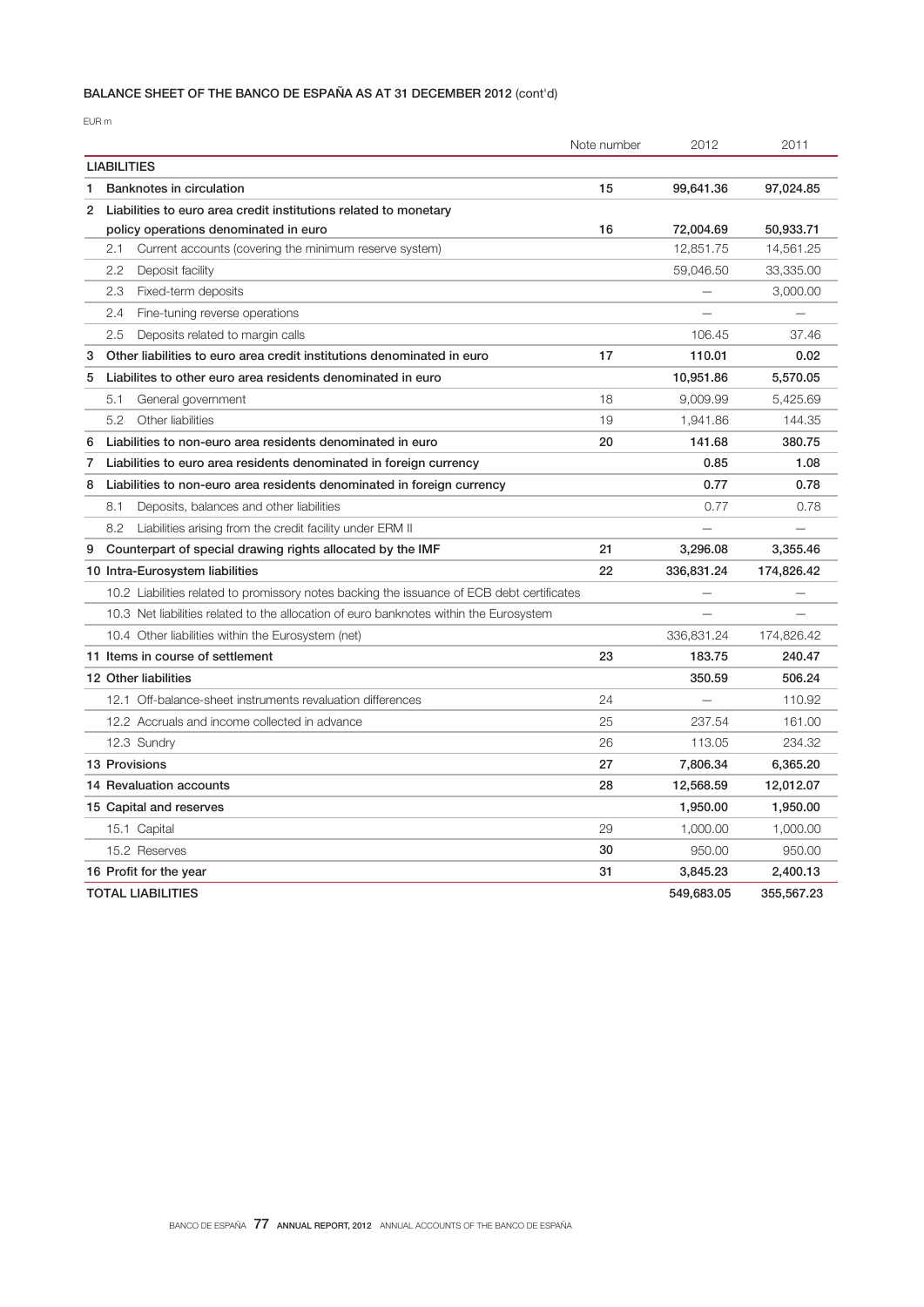# BALANCE SHEET OF THE BANCO DE ESPAÑA AS AT 31 DECEMBER 2012 (cont'd)

EUR m

|                                                                             |                                                                                            | Note number | 2012       | 2011       |
|-----------------------------------------------------------------------------|--------------------------------------------------------------------------------------------|-------------|------------|------------|
| <b>LIABILITIES</b>                                                          |                                                                                            |             |            |            |
| Banknotes in circulation<br>1                                               |                                                                                            | 15          | 99,641.36  | 97,024.85  |
| 2<br>Liabilities to euro area credit institutions related to monetary       |                                                                                            |             |            |            |
| policy operations denominated in euro                                       |                                                                                            | 16          | 72,004.69  | 50,933.71  |
| Current accounts (covering the minimum reserve system)<br>2.1               |                                                                                            |             | 12,851.75  | 14,561.25  |
| 2.2<br>Deposit facility                                                     |                                                                                            |             | 59,046.50  | 33,335.00  |
| 2.3<br>Fixed-term deposits                                                  |                                                                                            |             |            | 3,000.00   |
| 2.4<br>Fine-tuning reverse operations                                       |                                                                                            |             |            |            |
| 2.5<br>Deposits related to margin calls                                     |                                                                                            |             | 106.45     | 37.46      |
| 3<br>Other liabilities to euro area credit institutions denominated in euro |                                                                                            | 17          | 110.01     | 0.02       |
| 5<br>Liabilites to other euro area residents denominated in euro            |                                                                                            |             | 10,951.86  | 5,570.05   |
| 5.1<br>General government                                                   |                                                                                            | 18          | 9,009.99   | 5,425.69   |
| 5.2<br>Other liabilities                                                    |                                                                                            | 19          | 1,941.86   | 144.35     |
| Liabilities to non-euro area residents denominated in euro<br>6             |                                                                                            | 20          | 141.68     | 380.75     |
| Liabilities to euro area residents denominated in foreign currency<br>7     |                                                                                            |             | 0.85       | 1.08       |
| 8<br>Liabilities to non-euro area residents denominated in foreign currency |                                                                                            |             | 0.77       | 0.78       |
| 8.1<br>Deposits, balances and other liabilities                             |                                                                                            |             | 0.77       | 0.78       |
| 8.2<br>Liabilities arising from the credit facility under ERM II            |                                                                                            |             |            |            |
| Counterpart of special drawing rights allocated by the IMF<br>9             |                                                                                            | 21          | 3,296.08   | 3,355.46   |
| 10 Intra-Eurosystem liabilities                                             |                                                                                            | 22          | 336,831,24 | 174,826.42 |
|                                                                             | 10.2 Liabilities related to promissory notes backing the issuance of ECB debt certificates |             |            |            |
|                                                                             | 10.3 Net liabilities related to the allocation of euro banknotes within the Eurosystem     |             |            |            |
| 10.4 Other liabilities within the Eurosystem (net)                          |                                                                                            |             | 336,831.24 | 174,826.42 |
| 11 Items in course of settlement                                            |                                                                                            | 23          | 183.75     | 240.47     |
| 12 Other liabilities                                                        |                                                                                            |             | 350.59     | 506.24     |
| 12.1 Off-balance-sheet instruments revaluation differences                  |                                                                                            | 24          |            | 110.92     |
| 12.2 Accruals and income collected in advance                               |                                                                                            | 25          | 237.54     | 161.00     |
| 12.3 Sundry                                                                 |                                                                                            | 26          | 113.05     | 234.32     |
| 13 Provisions                                                               |                                                                                            | 27          | 7,806.34   | 6,365.20   |
| 14 Revaluation accounts                                                     |                                                                                            | 28          | 12,568.59  | 12,012.07  |
| 15 Capital and reserves                                                     |                                                                                            |             | 1,950.00   | 1,950.00   |
| 15.1 Capital                                                                |                                                                                            | 29          | 1,000.00   | 1,000.00   |
| 15.2 Reserves                                                               |                                                                                            | 30          | 950.00     | 950.00     |
| 16 Profit for the year                                                      |                                                                                            | 31          | 3,845.23   | 2,400.13   |
| <b>TOTAL LIABILITIES</b>                                                    |                                                                                            |             | 549,683.05 | 355,567.23 |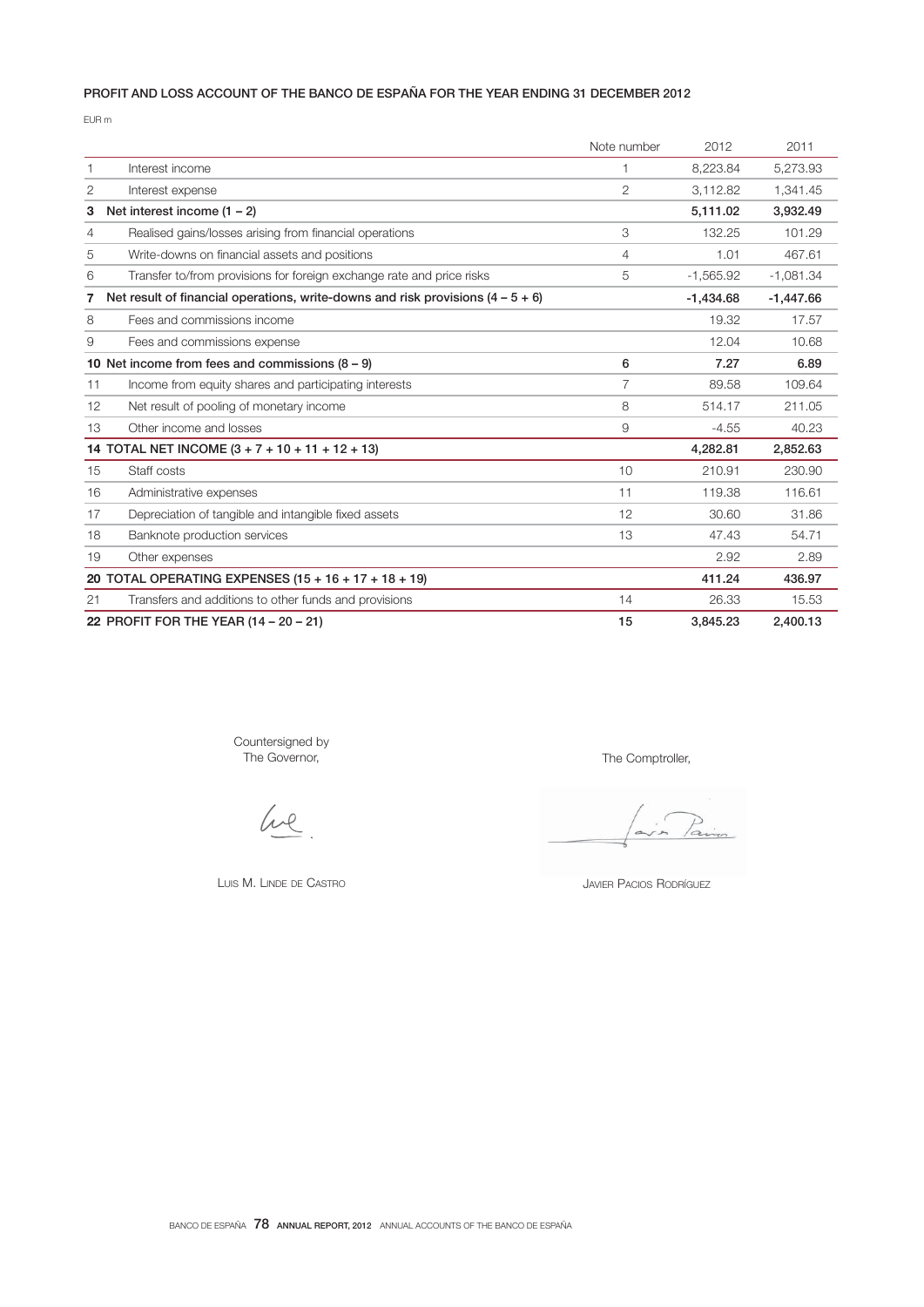# PROFIT AND LOSS ACCOUNT OF THE BANCO DE ESPAÑA FOR THE YEAR ENDING 31 DECEMBER 2012

EUR m

|    |                                                                                   | Note number | 2012        | 2011        |
|----|-----------------------------------------------------------------------------------|-------------|-------------|-------------|
| 1  | Interest income                                                                   | $\mathbf 1$ | 8,223.84    | 5,273.93    |
| 2  | Interest expense                                                                  | 2           | 3,112.82    | 1.341.45    |
| 3  | Net interest income $(1 - 2)$                                                     |             | 5,111.02    | 3,932.49    |
| 4  | Realised gains/losses arising from financial operations                           | 3           | 132.25      | 101.29      |
| 5  | Write-downs on financial assets and positions                                     | 4           | 1.01        | 467.61      |
| 6  | Transfer to/from provisions for foreign exchange rate and price risks             | 5           | $-1,565.92$ | $-1,081.34$ |
| 7  | Net result of financial operations, write-downs and risk provisions $(4 - 5 + 6)$ |             | $-1,434.68$ | $-1,447.66$ |
| 8  | Fees and commissions income                                                       |             | 19.32       | 17.57       |
| 9  | Fees and commissions expense                                                      |             | 12.04       | 10.68       |
|    | 10 Net income from fees and commissions $(8 - 9)$                                 | 6           | 7.27        | 6.89        |
| 11 | Income from equity shares and participating interests                             | 7           | 89.58       | 109.64      |
| 12 | Net result of pooling of monetary income                                          | 8           | 514.17      | 211.05      |
| 13 | Other income and losses                                                           | 9           | $-4.55$     | 40.23       |
|    | 14 TOTAL NET INCOME (3 + 7 + 10 + 11 + 12 + 13)                                   |             | 4.282.81    | 2,852.63    |
| 15 | Staff costs                                                                       | 10          | 210.91      | 230.90      |
| 16 | Administrative expenses                                                           | 11          | 119.38      | 116.61      |
| 17 | Depreciation of tangible and intangible fixed assets                              | 12          | 30.60       | 31.86       |
| 18 | Banknote production services                                                      | 13          | 47.43       | 54.71       |
| 19 | Other expenses                                                                    |             | 2.92        | 2.89        |
|    | 20 TOTAL OPERATING EXPENSES (15 + 16 + 17 + 18 + 19)                              |             | 411.24      | 436.97      |
| 21 | Transfers and additions to other funds and provisions                             | 14          | 26.33       | 15.53       |
|    | 22 PROFIT FOR THE YEAR (14 - 20 - 21)                                             | 15          | 3.845.23    | 2.400.13    |

Countersigned by The Governor,

We

LUIS M. LINDE DE CASTRO

The Comptroller,

JAVIER PACIOS RODRÍGUEZ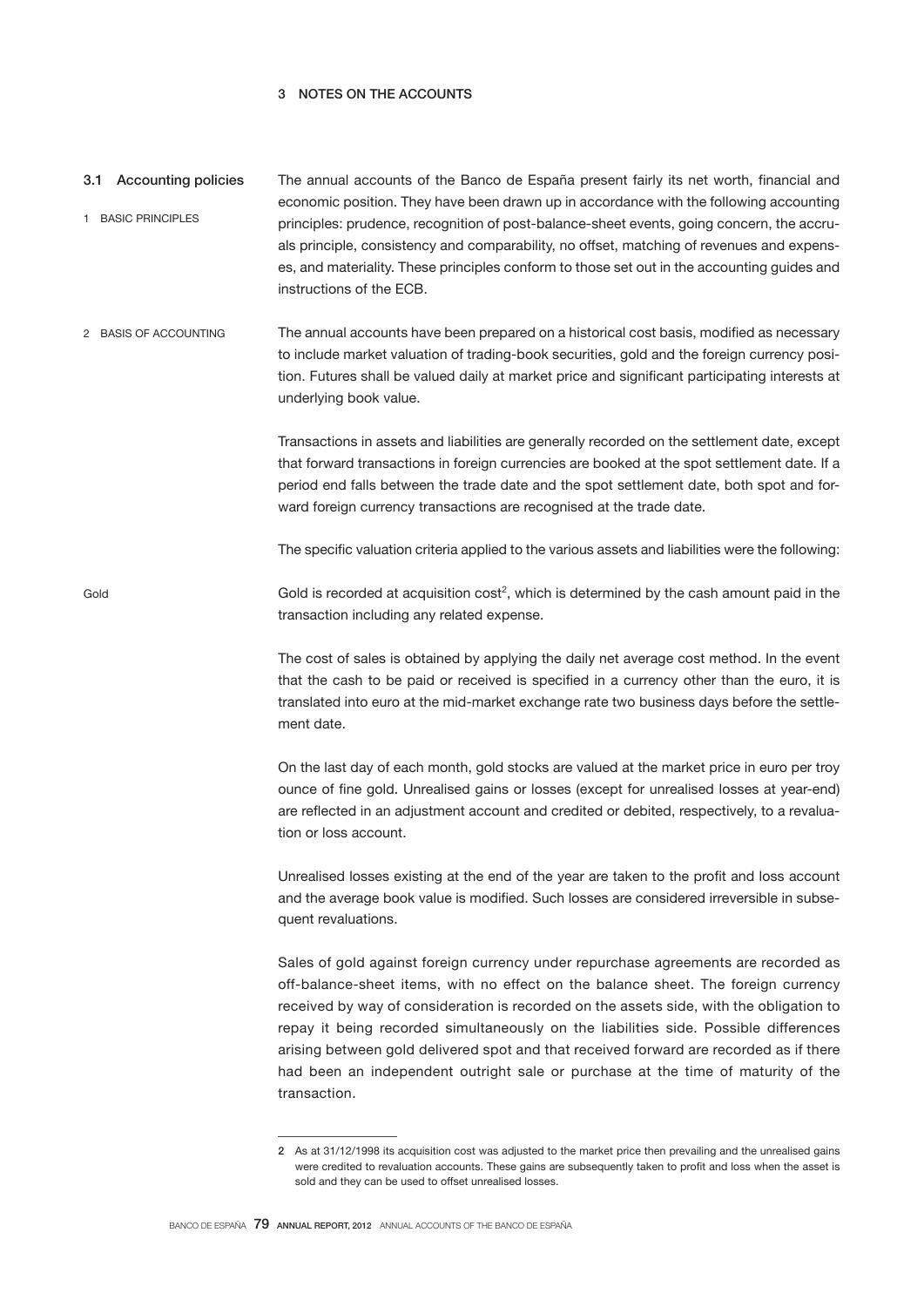# 3 NOTES ON THE ACCOUNTS

Gold

- The annual accounts of the Banco de España present fairly its net worth, financial and economic position. They have been drawn up in accordance with the following accounting principles: prudence, recognition of post-balance-sheet events, going concern, the accruals principle, consistency and comparability, no offset, matching of revenues and expenses, and materiality. These principles conform to those set out in the accounting guides and instructions of the ECB. 3.1 Accounting policies 1 BASIC PRINCIPLES
- The annual accounts have been prepared on a historical cost basis, modified as necessary to include market valuation of trading-book securities, gold and the foreign currency position. Futures shall be valued daily at market price and significant participating interests at underlying book value. 2 BASIS OF ACCOUNTING

Transactions in assets and liabilities are generally recorded on the settlement date, except that forward transactions in foreign currencies are booked at the spot settlement date. If a period end falls between the trade date and the spot settlement date, both spot and forward foreign currency transactions are recognised at the trade date.

The specific valuation criteria applied to the various assets and liabilities were the following:

Gold is recorded at acquisition  $cost^2$ , which is determined by the cash amount paid in the transaction including any related expense.

> The cost of sales is obtained by applying the daily net average cost method. In the event that the cash to be paid or received is specified in a currency other than the euro, it is translated into euro at the mid-market exchange rate two business days before the settlement date.

> On the last day of each month, gold stocks are valued at the market price in euro per troy ounce of fine gold. Unrealised gains or losses (except for unrealised losses at year-end) are reflected in an adjustment account and credited or debited, respectively, to a revaluation or loss account.

> Unrealised losses existing at the end of the year are taken to the profit and loss account and the average book value is modified. Such losses are considered irreversible in subsequent revaluations.

> Sales of gold against foreign currency under repurchase agreements are recorded as off-balance-sheet items, with no effect on the balance sheet. The foreign currency received by way of consideration is recorded on the assets side, with the obligation to repay it being recorded simultaneously on the liabilities side. Possible differences arising between gold delivered spot and that received forward are recorded as if there had been an independent outright sale or purchase at the time of maturity of the transaction.

<sup>2</sup> As at 31/12/1998 its acquisition cost was adjusted to the market price then prevailing and the unrealised gains were credited to revaluation accounts. These gains are subsequently taken to profit and loss when the asset is sold and they can be used to offset unrealised losses.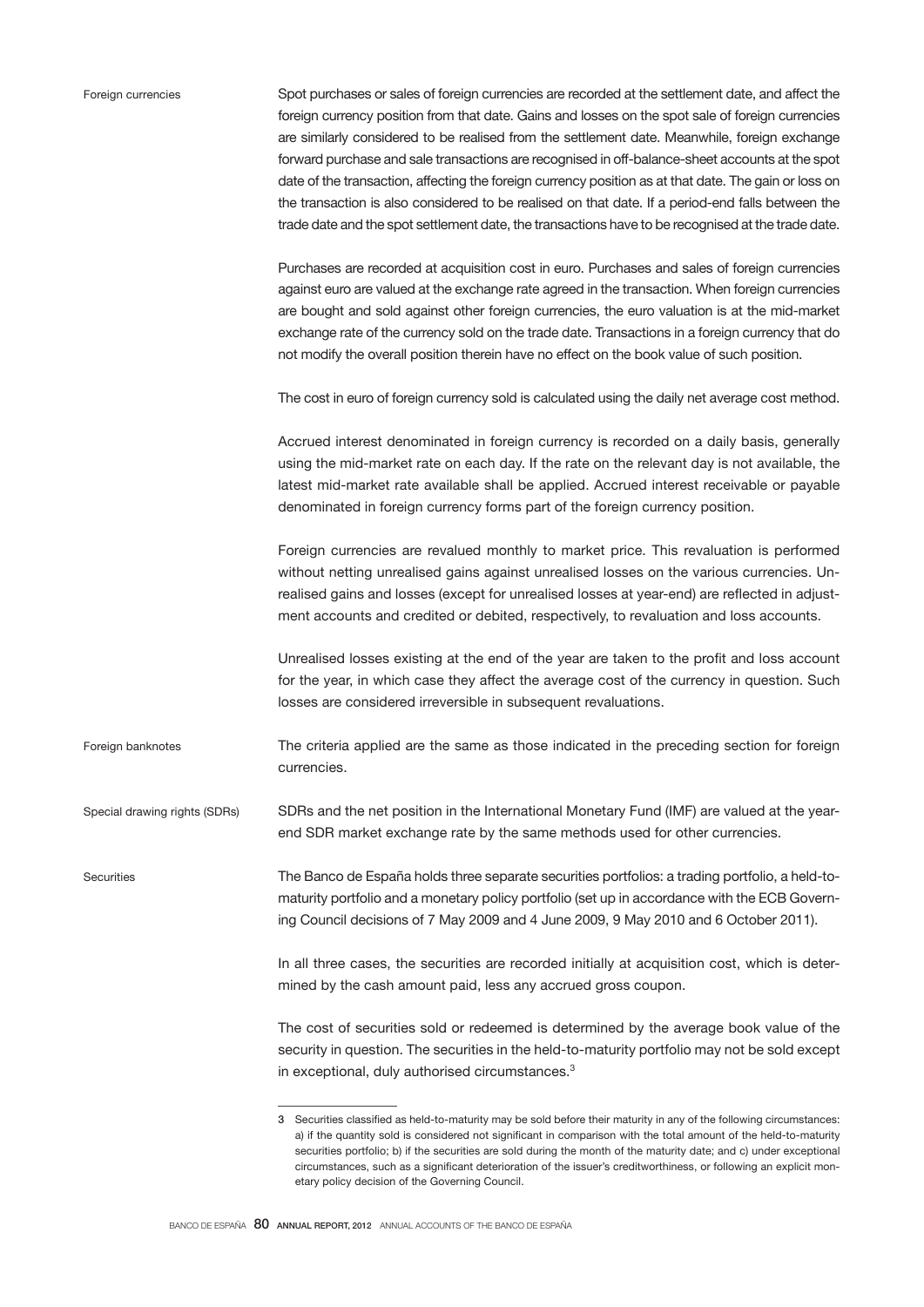| Foreign currencies |
|--------------------|
|                    |
|                    |

**Securities** 

Spot purchases or sales of foreign currencies are recorded at the settlement date, and affect the foreign currency position from that date. Gains and losses on the spot sale of foreign currencies are similarly considered to be realised from the settlement date. Meanwhile, foreign exchange forward purchase and sale transactions are recognised in off-balance-sheet accounts at the spot date of the transaction, affecting the foreign currency position as at that date. The gain or loss on the transaction is also considered to be realised on that date. If a period-end falls between the trade date and the spot settlement date, the transactions have to be recognised at the trade date.

Purchases are recorded at acquisition cost in euro. Purchases and sales of foreign currencies against euro are valued at the exchange rate agreed in the transaction. When foreign currencies are bought and sold against other foreign currencies, the euro valuation is at the mid-market exchange rate of the currency sold on the trade date. Transactions in a foreign currency that do not modify the overall position therein have no effect on the book value of such position.

The cost in euro of foreign currency sold is calculated using the daily net average cost method.

Accrued interest denominated in foreign currency is recorded on a daily basis, generally using the mid-market rate on each day. If the rate on the relevant day is not available, the latest mid-market rate available shall be applied. Accrued interest receivable or payable denominated in foreign currency forms part of the foreign currency position.

Foreign currencies are revalued monthly to market price. This revaluation is performed without netting unrealised gains against unrealised losses on the various currencies. Unrealised gains and losses (except for unrealised losses at year-end) are reflected in adjustment accounts and credited or debited, respectively, to revaluation and loss accounts.

Unrealised losses existing at the end of the year are taken to the profit and loss account for the year, in which case they affect the average cost of the currency in question. Such losses are considered irreversible in subsequent revaluations.

The criteria applied are the same as those indicated in the preceding section for foreign currencies. Foreign banknotes

SDRs and the net position in the International Monetary Fund (IMF) are valued at the yearend SDR market exchange rate by the same methods used for other currencies. Special drawing rights (SDRs)

> The Banco de España holds three separate securities portfolios: a trading portfolio, a held-tomaturity portfolio and a monetary policy portfolio (set up in accordance with the ECB Governing Council decisions of 7 May 2009 and 4 June 2009, 9 May 2010 and 6 October 2011).

> > In all three cases, the securities are recorded initially at acquisition cost, which is determined by the cash amount paid, less any accrued gross coupon.

> > The cost of securities sold or redeemed is determined by the average book value of the security in question. The securities in the held-to-maturity portfolio may not be sold except in exceptional, duly authorised circumstances.<sup>3</sup>

<sup>3</sup> Securities classified as held-to-maturity may be sold before their maturity in any of the following circumstances: a) if the quantity sold is considered not significant in comparison with the total amount of the held-to-maturity securities portfolio; b) if the securities are sold during the month of the maturity date; and c) under exceptional circumstances, such as a significant deterioration of the issuer's creditworthiness, or following an explicit monetary policy decision of the Governing Council.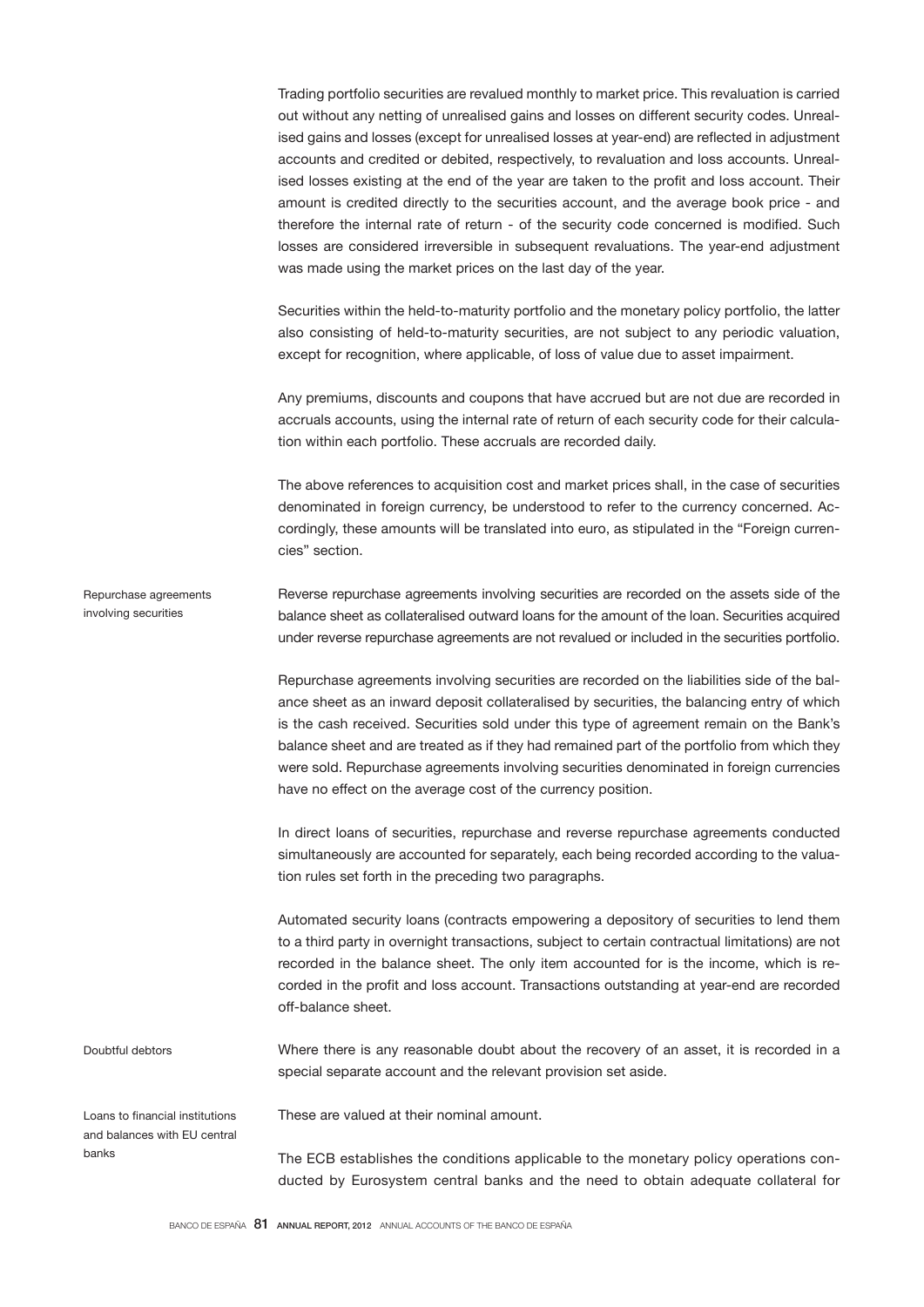Trading portfolio securities are revalued monthly to market price. This revaluation is carried out without any netting of unrealised gains and losses on different security codes. Unrealised gains and losses (except for unrealised losses at year-end) are reflected in adjustment accounts and credited or debited, respectively, to revaluation and loss accounts. Unrealised losses existing at the end of the year are taken to the profit and loss account. Their amount is credited directly to the securities account, and the average book price - and therefore the internal rate of return - of the security code concerned is modified. Such losses are considered irreversible in subsequent revaluations. The year-end adjustment was made using the market prices on the last day of the year.

Securities within the held-to-maturity portfolio and the monetary policy portfolio, the latter also consisting of held-to-maturity securities, are not subject to any periodic valuation, except for recognition, where applicable, of loss of value due to asset impairment.

Any premiums, discounts and coupons that have accrued but are not due are recorded in accruals accounts, using the internal rate of return of each security code for their calculation within each portfolio. These accruals are recorded daily.

The above references to acquisition cost and market prices shall, in the case of securities denominated in foreign currency, be understood to refer to the currency concerned. Accordingly, these amounts will be translated into euro, as stipulated in the "Foreign currencies" section.

Reverse repurchase agreements involving securities are recorded on the assets side of the balance sheet as collateralised outward loans for the amount of the loan. Securities acquired under reverse repurchase agreements are not revalued or included in the securities portfolio. Repurchase agreements involving securities

> Repurchase agreements involving securities are recorded on the liabilities side of the balance sheet as an inward deposit collateralised by securities, the balancing entry of which is the cash received. Securities sold under this type of agreement remain on the Bank's balance sheet and are treated as if they had remained part of the portfolio from which they were sold. Repurchase agreements involving securities denominated in foreign currencies have no effect on the average cost of the currency position.

> In direct loans of securities, repurchase and reverse repurchase agreements conducted simultaneously are accounted for separately, each being recorded according to the valuation rules set forth in the preceding two paragraphs.

> Automated security loans (contracts empowering a depository of securities to lend them to a third party in overnight transactions, subject to certain contractual limitations) are not recorded in the balance sheet. The only item accounted for is the income, which is recorded in the profit and loss account. Transactions outstanding at year-end are recorded off-balance sheet.

Where there is any reasonable doubt about the recovery of an asset, it is recorded in a special separate account and the relevant provision set aside. Doubtful debtors

Loans to financial institutions and balances with EU central banks

These are valued at their nominal amount.

The ECB establishes the conditions applicable to the monetary policy operations conducted by Eurosystem central banks and the need to obtain adequate collateral for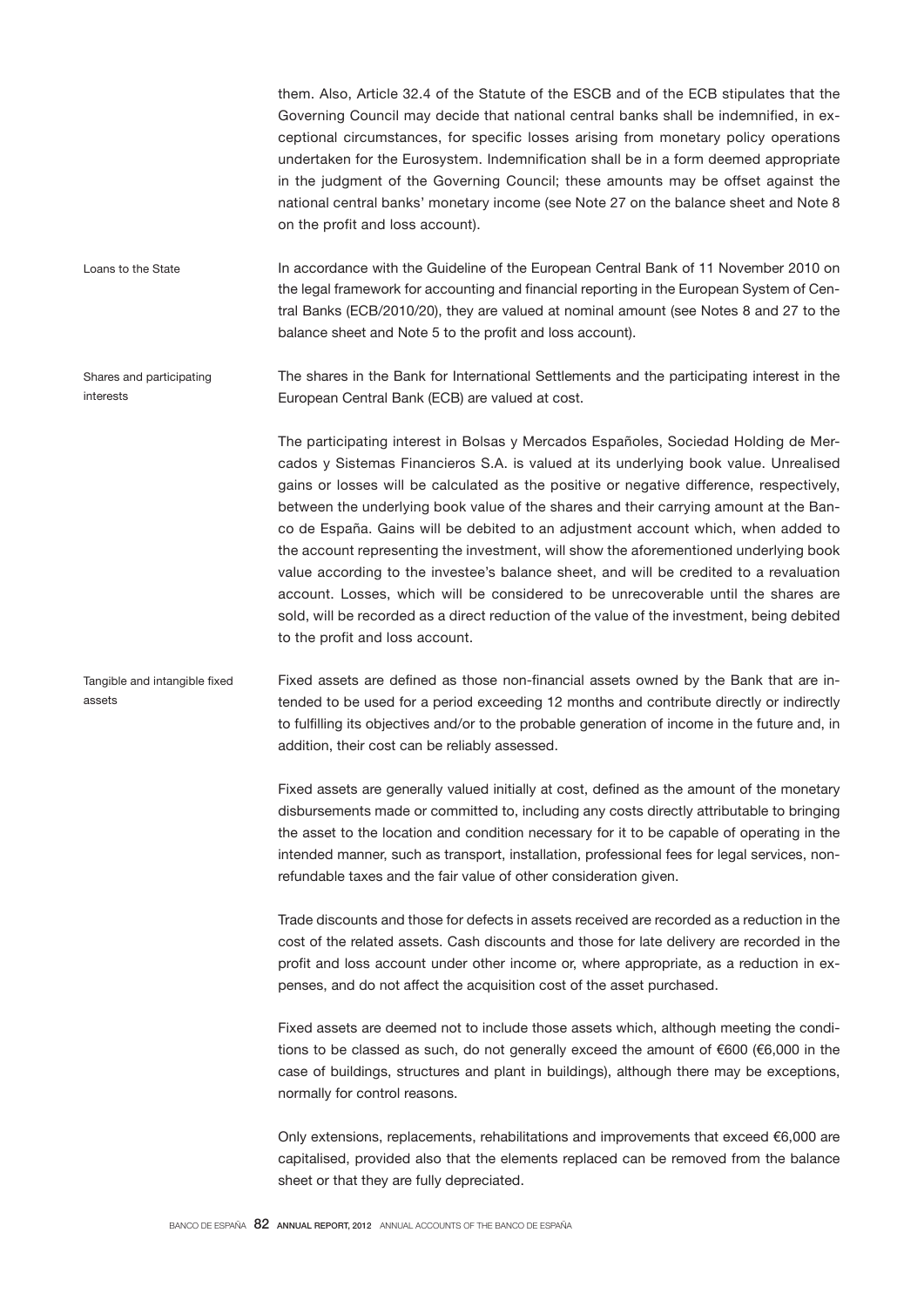them. Also, Article 32.4 of the Statute of the ESCB and of the ECB stipulates that the Governing Council may decide that national central banks shall be indemnified, in exceptional circumstances, for specific losses arising from monetary policy operations undertaken for the Eurosystem. Indemnification shall be in a form deemed appropriate in the judgment of the Governing Council; these amounts may be offset against the national central banks' monetary income (see Note 27 on the balance sheet and Note 8 on the profit and loss account).

In accordance with the Guideline of the European Central Bank of 11 November 2010 on the legal framework for accounting and financial reporting in the European System of Central Banks (ECB/2010/20), they are valued at nominal amount (see Notes 8 and 27 to the balance sheet and Note 5 to the profit and loss account). Loans to the State

The shares in the Bank for International Settlements and the participating interest in the European Central Bank (ECB) are valued at cost. Shares and participating interests

> The participating interest in Bolsas y Mercados Españoles, Sociedad Holding de Mercados y Sistemas Financieros S.A. is valued at its underlying book value. Unrealised gains or losses will be calculated as the positive or negative difference, respectively, between the underlying book value of the shares and their carrying amount at the Banco de España. Gains will be debited to an adjustment account which, when added to the account representing the investment, will show the aforementioned underlying book value according to the investee's balance sheet, and will be credited to a revaluation account. Losses, which will be considered to be unrecoverable until the shares are sold, will be recorded as a direct reduction of the value of the investment, being debited to the profit and loss account.

Fixed assets are defined as those non-financial assets owned by the Bank that are intended to be used for a period exceeding 12 months and contribute directly or indirectly to fulfilling its objectives and/or to the probable generation of income in the future and, in addition, their cost can be reliably assessed. Tangible and intangible fixed assets

> Fixed assets are generally valued initially at cost, defined as the amount of the monetary disbursements made or committed to, including any costs directly attributable to bringing the asset to the location and condition necessary for it to be capable of operating in the intended manner, such as transport, installation, professional fees for legal services, nonrefundable taxes and the fair value of other consideration given.

> Trade discounts and those for defects in assets received are recorded as a reduction in the cost of the related assets. Cash discounts and those for late delivery are recorded in the profit and loss account under other income or, where appropriate, as a reduction in expenses, and do not affect the acquisition cost of the asset purchased.

> Fixed assets are deemed not to include those assets which, although meeting the conditions to be classed as such, do not generally exceed the amount of €600 (€6,000 in the case of buildings, structures and plant in buildings), although there may be exceptions, normally for control reasons.

> Only extensions, replacements, rehabilitations and improvements that exceed  $€6,000$  are capitalised, provided also that the elements replaced can be removed from the balance sheet or that they are fully depreciated.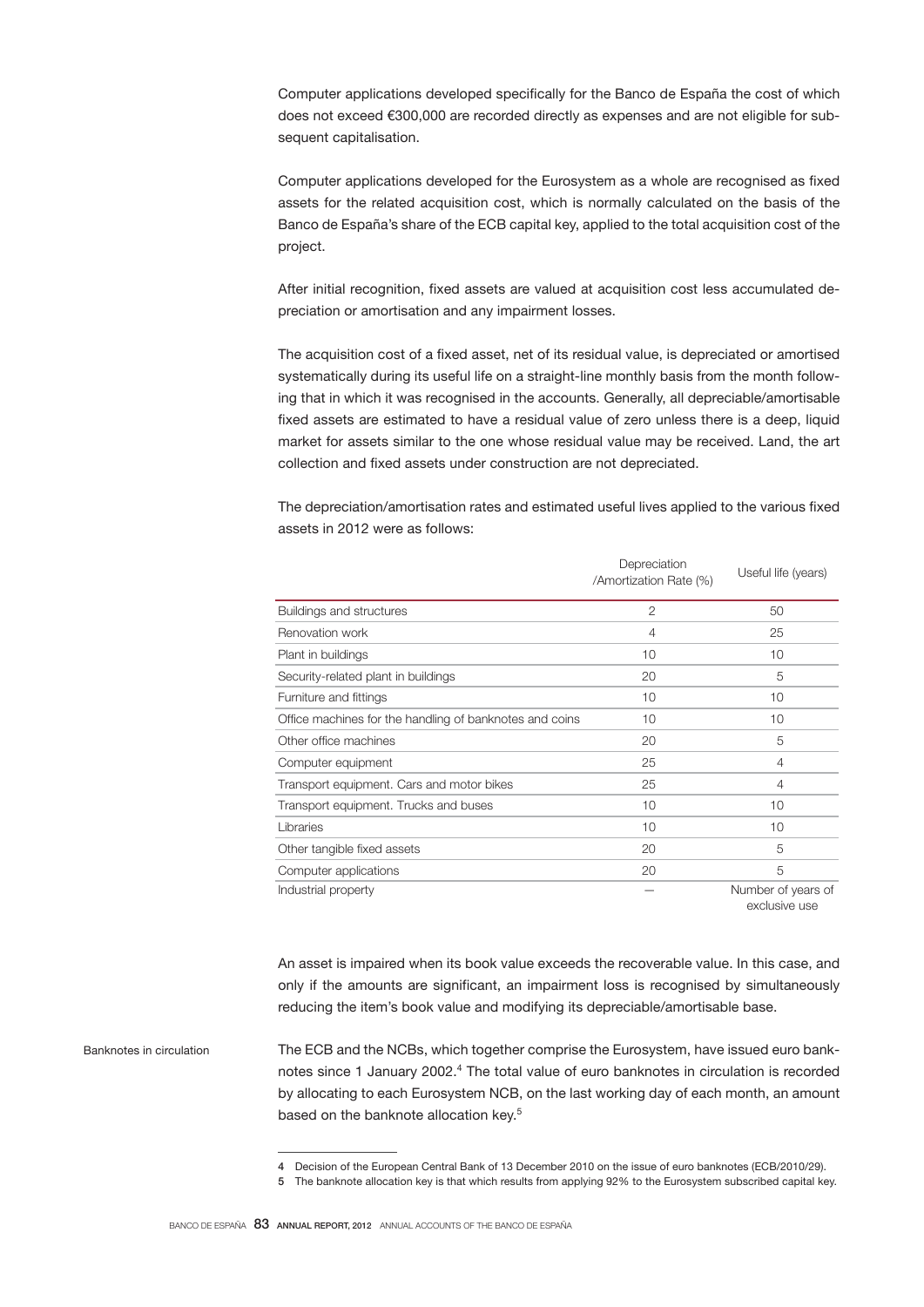Computer applications developed specifically for the Banco de España the cost of which does not exceed €300,000 are recorded directly as expenses and are not eligible for subsequent capitalisation.

Computer applications developed for the Eurosystem as a whole are recognised as fixed assets for the related acquisition cost, which is normally calculated on the basis of the Banco de España's share of the ECB capital key, applied to the total acquisition cost of the project.

After initial recognition, fixed assets are valued at acquisition cost less accumulated depreciation or amortisation and any impairment losses.

The acquisition cost of a fixed asset, net of its residual value, is depreciated or amortised systematically during its useful life on a straight-line monthly basis from the month following that in which it was recognised in the accounts. Generally, all depreciable/amortisable fixed assets are estimated to have a residual value of zero unless there is a deep, liquid market for assets similar to the one whose residual value may be received. Land, the art collection and fixed assets under construction are not depreciated.

The depreciation/amortisation rates and estimated useful lives applied to the various fixed assets in 2012 were as follows:

|                                                         | Depreciation<br>/Amortization Rate (%) | Useful life (years) |
|---------------------------------------------------------|----------------------------------------|---------------------|
| Buildings and structures                                | $\overline{2}$                         | 50                  |
| Renovation work                                         | 4                                      | 25                  |
| Plant in buildings                                      | 10                                     | 10                  |
| Security-related plant in buildings                     | 20                                     | 5                   |
| Furniture and fittings                                  | 10                                     | 10                  |
| Office machines for the handling of banknotes and coins | 10                                     | 10                  |
| Other office machines                                   | 20                                     | 5                   |
| Computer equipment                                      | 25                                     | $\overline{4}$      |
| Transport equipment. Cars and motor bikes               | 25                                     | $\overline{4}$      |
| Transport equipment. Trucks and buses                   | 10                                     | 10                  |
| Libraries                                               | 10                                     | 10                  |
| Other tangible fixed assets                             | 20                                     | 5                   |
| Computer applications                                   | 20                                     | 5                   |
| Industrial property                                     |                                        | Number of years of  |

exclusive use

An asset is impaired when its book value exceeds the recoverable value. In this case, and only if the amounts are significant, an impairment loss is recognised by simultaneously reducing the item's book value and modifying its depreciable/amortisable base.

The ECB and the NCBs, which together comprise the Eurosystem, have issued euro banknotes since 1 January 2002.<sup>4</sup> The total value of euro banknotes in circulation is recorded by allocating to each Eurosystem NCB, on the last working day of each month, an amount based on the banknote allocation key.<sup>5</sup> Banknotes in circulation

<sup>4</sup> Decision of the European Central Bank of 13 December 2010 on the issue of euro banknotes (ECB/2010/29).

<sup>5</sup> The banknote allocation key is that which results from applying 92% to the Eurosystem subscribed capital key.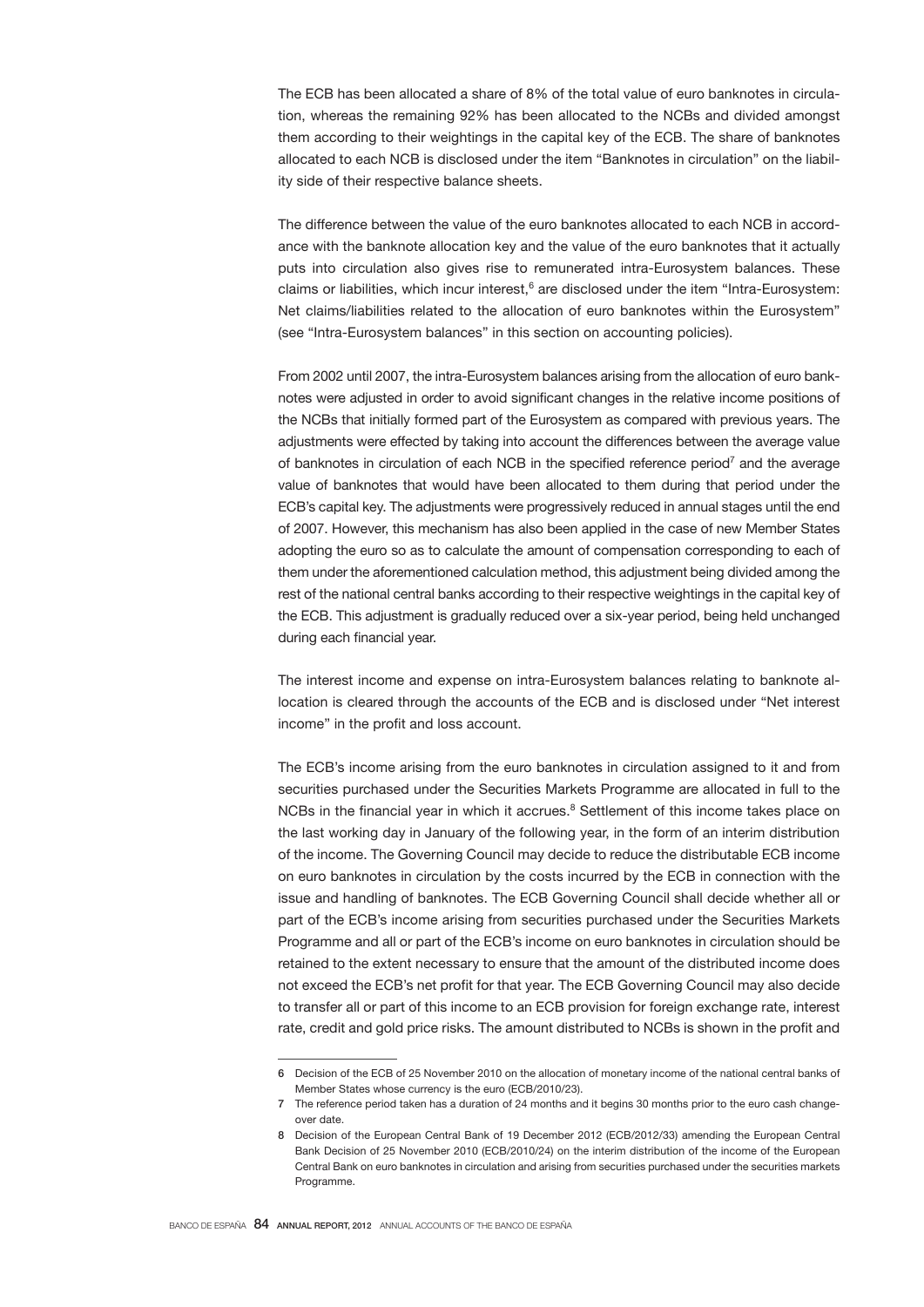The ECB has been allocated a share of 8% of the total value of euro banknotes in circulation, whereas the remaining 92% has been allocated to the NCBs and divided amongst them according to their weightings in the capital key of the ECB. The share of banknotes allocated to each NCB is disclosed under the item "Banknotes in circulation" on the liability side of their respective balance sheets.

The difference between the value of the euro banknotes allocated to each NCB in accordance with the banknote allocation key and the value of the euro banknotes that it actually puts into circulation also gives rise to remunerated intra-Eurosystem balances. These claims or liabilities, which incur interest,<sup>6</sup> are disclosed under the item "Intra-Eurosystem: Net claims/liabilities related to the allocation of euro banknotes within the Eurosystem" (see "Intra-Eurosystem balances" in this section on accounting policies).

From 2002 until 2007, the intra-Eurosystem balances arising from the allocation of euro banknotes were adjusted in order to avoid significant changes in the relative income positions of the NCBs that initially formed part of the Eurosystem as compared with previous years. The adjustments were effected by taking into account the differences between the average value of banknotes in circulation of each NCB in the specified reference period<sup>7</sup> and the average value of banknotes that would have been allocated to them during that period under the ECB's capital key. The adjustments were progressively reduced in annual stages until the end of 2007. However, this mechanism has also been applied in the case of new Member States adopting the euro so as to calculate the amount of compensation corresponding to each of them under the aforementioned calculation method, this adjustment being divided among the rest of the national central banks according to their respective weightings in the capital key of the ECB. This adjustment is gradually reduced over a six-year period, being held unchanged during each financial year.

The interest income and expense on intra-Eurosystem balances relating to banknote allocation is cleared through the accounts of the ECB and is disclosed under "Net interest income" in the profit and loss account.

The ECB's income arising from the euro banknotes in circulation assigned to it and from securities purchased under the Securities Markets Programme are allocated in full to the NCBs in the financial year in which it accrues.<sup>8</sup> Settlement of this income takes place on the last working day in January of the following year, in the form of an interim distribution of the income. The Governing Council may decide to reduce the distributable ECB income on euro banknotes in circulation by the costs incurred by the ECB in connection with the issue and handling of banknotes. The ECB Governing Council shall decide whether all or part of the ECB's income arising from securities purchased under the Securities Markets Programme and all or part of the ECB's income on euro banknotes in circulation should be retained to the extent necessary to ensure that the amount of the distributed income does not exceed the ECB's net profit for that year. The ECB Governing Council may also decide to transfer all or part of this income to an ECB provision for foreign exchange rate, interest rate, credit and gold price risks. The amount distributed to NCBs is shown in the profit and

<sup>6</sup> Decision of the ECB of 25 November 2010 on the allocation of monetary income of the national central banks of Member States whose currency is the euro (ECB/2010/23).

<sup>7</sup> The reference period taken has a duration of 24 months and it begins 30 months prior to the euro cash changeover date.

<sup>8</sup> Decision of the European Central Bank of 19 December 2012 (ECB/2012/33) amending the European Central Bank Decision of 25 November 2010 (ECB/2010/24) on the interim distribution of the income of the European Central Bank on euro banknotes in circulation and arising from securities purchased under the securities markets Programme.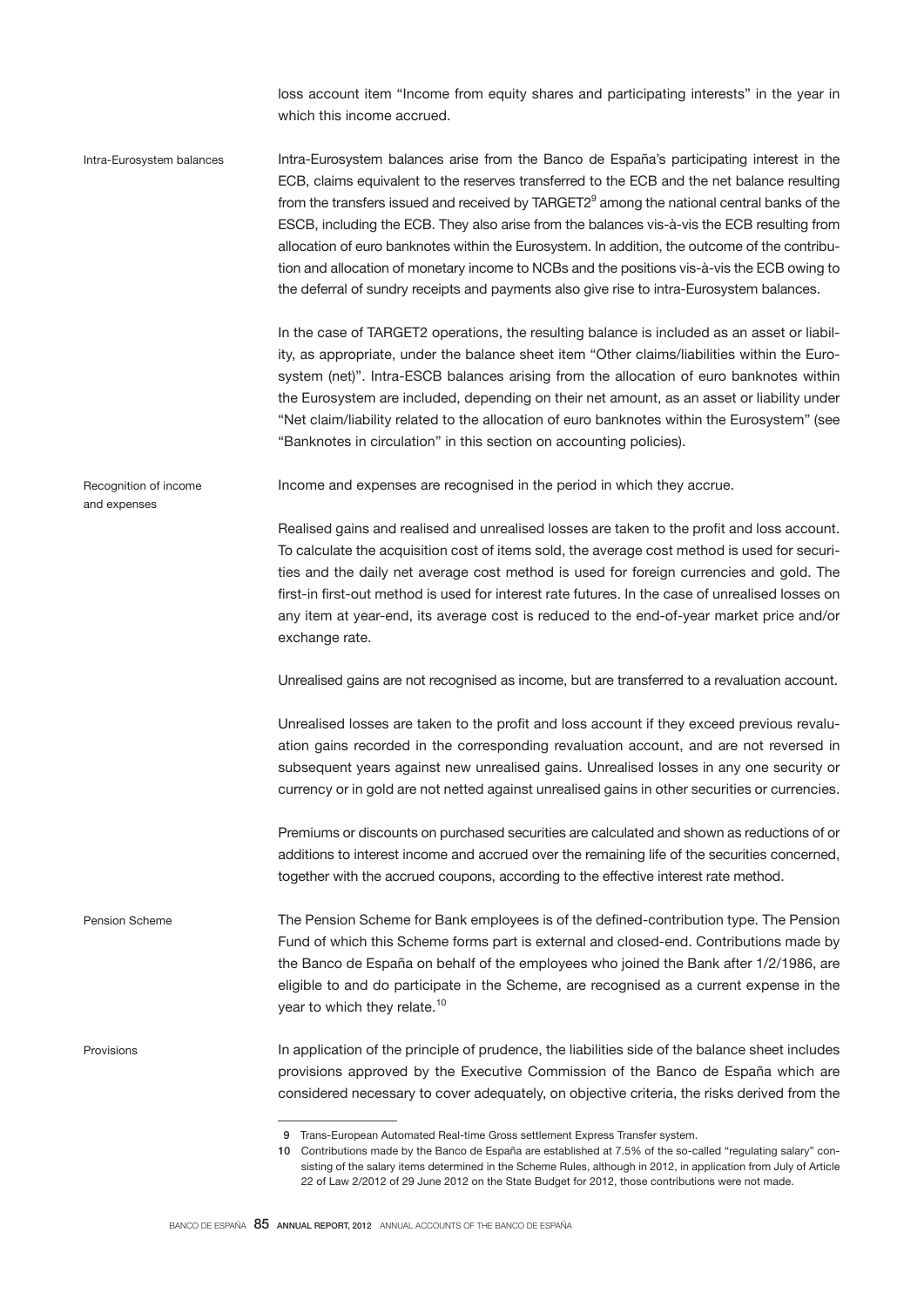loss account item "Income from equity shares and participating interests" in the year in which this income accrued.

Intra-Eurosystem balances arise from the Banco de España's participating interest in the ECB, claims equivalent to the reserves transferred to the ECB and the net balance resulting from the transfers issued and received by TARGET2<sup>9</sup> among the national central banks of the ESCB, including the ECB. They also arise from the balances vis-à-vis the ECB resulting from allocation of euro banknotes within the Eurosystem. In addition, the outcome of the contribution and allocation of monetary income to NCBs and the positions vis-à-vis the ECB owing to the deferral of sundry receipts and payments also give rise to intra-Eurosystem balances. In the case of TARGET2 operations, the resulting balance is included as an asset or liability, as appropriate, under the balance sheet item "Other claims/liabilities within the Eurosystem (net)". Intra-ESCB balances arising from the allocation of euro banknotes within the Eurosystem are included, depending on their net amount, as an asset or liability under "Net claim/liability related to the allocation of euro banknotes within the Eurosystem" (see "Banknotes in circulation" in this section on accounting policies). Income and expenses are recognised in the period in which they accrue. Realised gains and realised and unrealised losses are taken to the profit and loss account. To calculate the acquisition cost of items sold, the average cost method is used for securities and the daily net average cost method is used for foreign currencies and gold. The first-in first-out method is used for interest rate futures. In the case of unrealised losses on any item at year-end, its average cost is reduced to the end-of-year market price and/or exchange rate. Unrealised gains are not recognised as income, but are transferred to a revaluation account. Unrealised losses are taken to the profit and loss account if they exceed previous revaluation gains recorded in the corresponding revaluation account, and are not reversed in subsequent years against new unrealised gains. Unrealised losses in any one security or currency or in gold are not netted against unrealised gains in other securities or currencies. Premiums or discounts on purchased securities are calculated and shown as reductions of or additions to interest income and accrued over the remaining life of the securities concerned, together with the accrued coupons, according to the effective interest rate method. The Pension Scheme for Bank employees is of the defined-contribution type. The Pension Fund of which this Scheme forms part is external and closed-end. Contributions made by the Banco de España on behalf of the employees who joined the Bank after 1/2/1986, are eligible to and do participate in the Scheme, are recognised as a current expense in the year to which they relate.<sup>10</sup> In application of the principle of prudence, the liabilities side of the balance sheet includes provisions approved by the Executive Commission of the Banco de España which are considered necessary to cover adequately, on objective criteria, the risks derived from the Intra-Eurosystem balances Recognition of income and expenses Pension Scheme Provisions

 <sup>9</sup> Trans-European Automated Real-time Gross settlement Express Transfer system. 10 Contributions made by the Banco de España are established at 7.5% of the so-called "regulating salary" consisting of the salary items determined in the Scheme Rules, although in 2012, in application from July of Article 22 of Law 2/2012 of 29 June 2012 on the State Budget for 2012, those contributions were not made.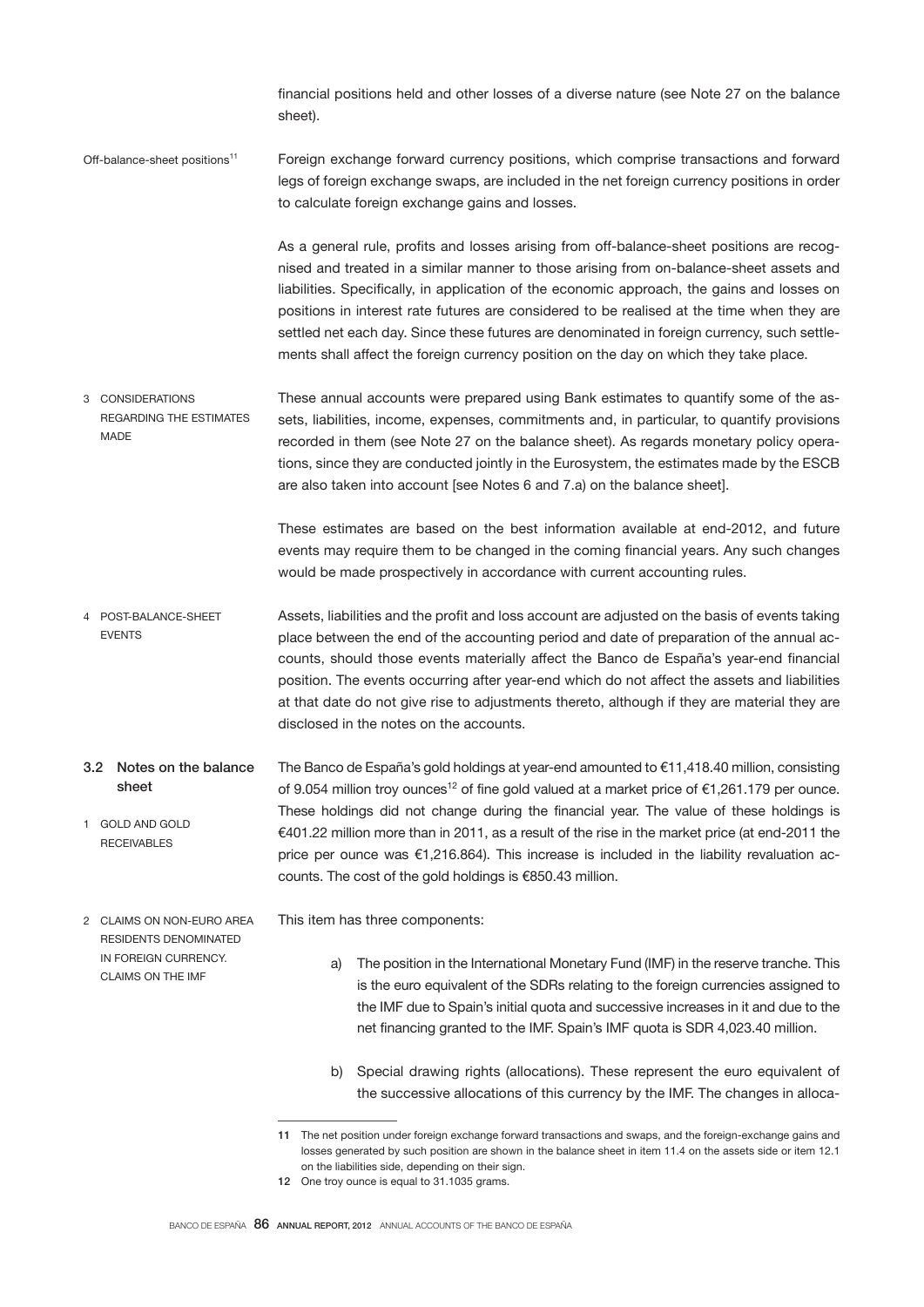financial positions held and other losses of a diverse nature (see Note 27 on the balance sheet).

Foreign exchange forward currency positions, which comprise transactions and forward legs of foreign exchange swaps, are included in the net foreign currency positions in order to calculate foreign exchange gains and losses. Off-balance-sheet positions<sup>11</sup>

> As a general rule, profits and losses arising from off-balance-sheet positions are recognised and treated in a similar manner to those arising from on-balance-sheet assets and liabilities. Specifically, in application of the economic approach, the gains and losses on positions in interest rate futures are considered to be realised at the time when they are settled net each day. Since these futures are denominated in foreign currency, such settlements shall affect the foreign currency position on the day on which they take place.

These annual accounts were prepared using Bank estimates to quantify some of the assets, liabilities, income, expenses, commitments and, in particular, to quantify provisions recorded in them (see Note 27 on the balance sheet). As regards monetary policy operations, since they are conducted jointly in the Eurosystem, the estimates made by the ESCB are also taken into account [see Notes 6 and 7.a) on the balance sheet]. 3 CONSIDERATIONS REGARDING THE ESTIMATES **MADE** 

> These estimates are based on the best information available at end-2012, and future events may require them to be changed in the coming financial years. Any such changes would be made prospectively in accordance with current accounting rules.

- Assets, liabilities and the profit and loss account are adjusted on the basis of events taking place between the end of the accounting period and date of preparation of the annual accounts, should those events materially affect the Banco de España's year-end financial position. The events occurring after year-end which do not affect the assets and liabilities at that date do not give rise to adjustments thereto, although if they are material they are disclosed in the notes on the accounts. 4 POST-BALANCE-SHEET EVENTS
- The Banco de España's gold holdings at year-end amounted to €11,418.40 million, consisting of 9.054 million troy ounces<sup>12</sup> of fine gold valued at a market price of  $\epsilon$ 1,261.179 per ounce. These holdings did not change during the financial year. The value of these holdings is €401.22 million more than in 2011, as a result of the rise in the market price (at end-2011 the price per ounce was €1,216.864). This increase is included in the liability revaluation accounts. The cost of the gold holdings is €850.43 million. 3.2 Notes on the balance sheet 1 GOLD AND GOLD RECEIVABLES

2 CLAIMS ON NON-EURO AREA RESIDENTS DENOMINATED IN FOREIGN CURRENCY. CLAIMS ON THE IMF

This item has three components:

- a) The position in the International Monetary Fund (IMF) in the reserve tranche. This is the euro equivalent of the SDRs relating to the foreign currencies assigned to the IMF due to Spain's initial quota and successive increases in it and due to the net financing granted to the IMF. Spain's IMF quota is SDR 4,023.40 million.
- b) Special drawing rights (allocations). These represent the euro equivalent of the successive allocations of this currency by the IMF. The changes in alloca-

<sup>11</sup> The net position under foreign exchange forward transactions and swaps, and the foreign-exchange gains and losses generated by such position are shown in the balance sheet in item 11.4 on the assets side or item 12.1 on the liabilities side, depending on their sign.

<sup>12</sup> One troy ounce is equal to 31.1035 grams.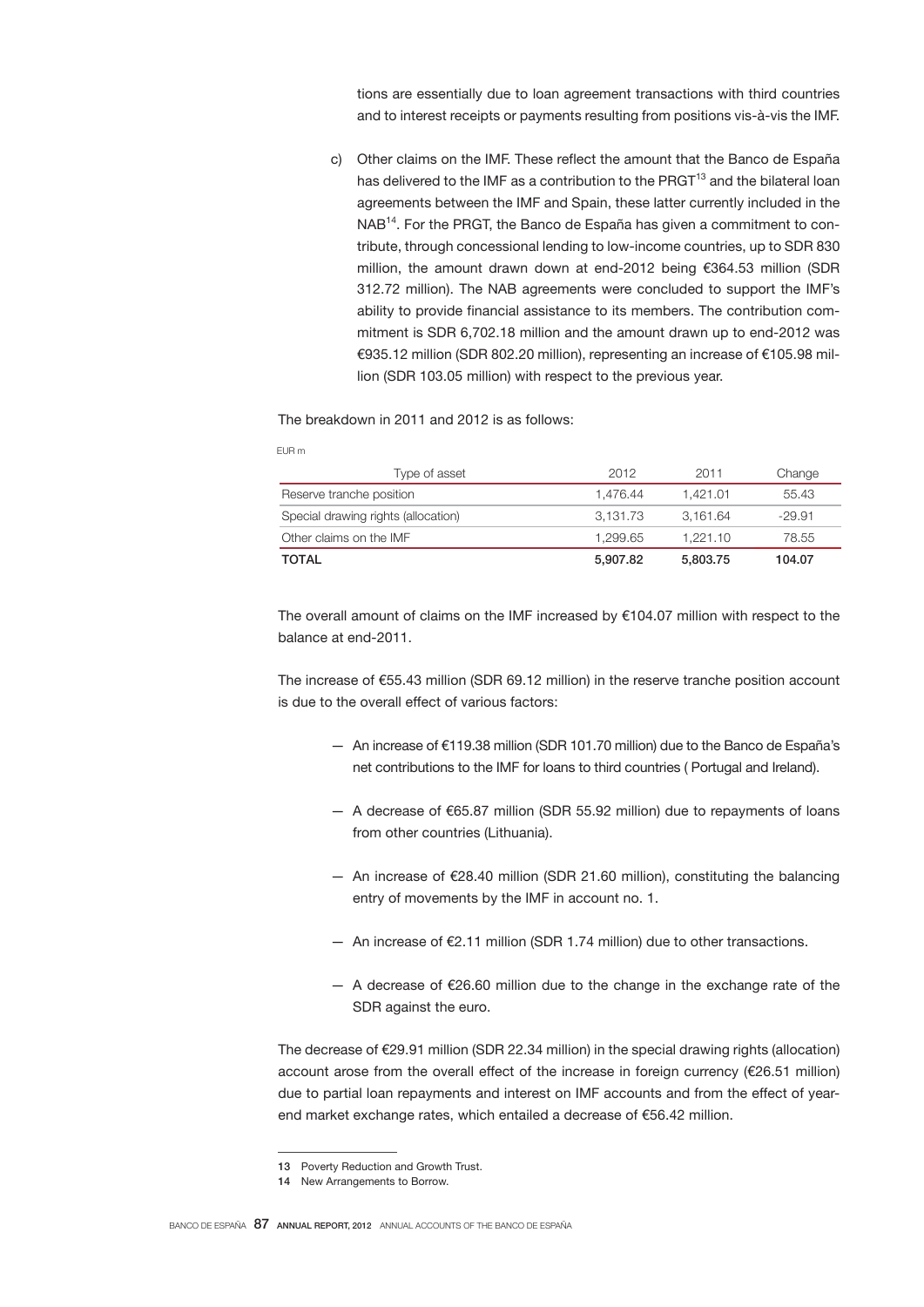tions are essentially due to loan agreement transactions with third countries and to interest receipts or payments resulting from positions vis-à-vis the IMF.

c) Other claims on the IMF. These reflect the amount that the Banco de España has delivered to the IMF as a contribution to the PRGT<sup>13</sup> and the bilateral loan agreements between the IMF and Spain, these latter currently included in the NAB14. For the PRGT, the Banco de España has given a commitment to contribute, through concessional lending to low-income countries, up to SDR 830 million, the amount drawn down at end-2012 being €364.53 million (SDR 312.72 million). The NAB agreements were concluded to support the IMF's ability to provide financial assistance to its members. The contribution commitment is SDR 6,702.18 million and the amount drawn up to end-2012 was €935.12 million (SDR 802.20 million), representing an increase of €105.98 million (SDR 103.05 million) with respect to the previous year.

The breakdown in 2011 and 2012 is as follows:

EUR m

| Type of asset                       | 2012     | 2011     | Change   |
|-------------------------------------|----------|----------|----------|
| Reserve tranche position            | 1.476.44 | 1.421.01 | 55.43    |
| Special drawing rights (allocation) | 3,131.73 | 3.161.64 | $-29.91$ |
| Other claims on the IMF             | 1.299.65 | 1.221.10 | 78.55    |
| TOTAL                               | 5.907.82 | 5,803.75 | 104.07   |

The overall amount of claims on the IMF increased by €104.07 million with respect to the balance at end-2011.

The increase of €55.43 million (SDR 69.12 million) in the reserve tranche position account is due to the overall effect of various factors:

- An increase of €119.38 million (SDR 101.70 million) due to the Banco de España's net contributions to the IMF for loans to third countries ( Portugal and Ireland).
- A decrease of €65.87 million (SDR 55.92 million) due to repayments of loans from other countries (Lithuania).
- An increase of €28.40 million (SDR 21.60 million), constituting the balancing entry of movements by the IMF in account no. 1.
- An increase of €2.11 million (SDR 1.74 million) due to other transactions.
- $-$  A decrease of €26.60 million due to the change in the exchange rate of the SDR against the euro.

The decrease of €29.91 million (SDR 22.34 million) in the special drawing rights (allocation) account arose from the overall effect of the increase in foreign currency (€26.51 million) due to partial loan repayments and interest on IMF accounts and from the effect of yearend market exchange rates, which entailed a decrease of €56.42 million.

<sup>13</sup> Poverty Reduction and Growth Trust.

<sup>14</sup> New Arrangements to Borrow.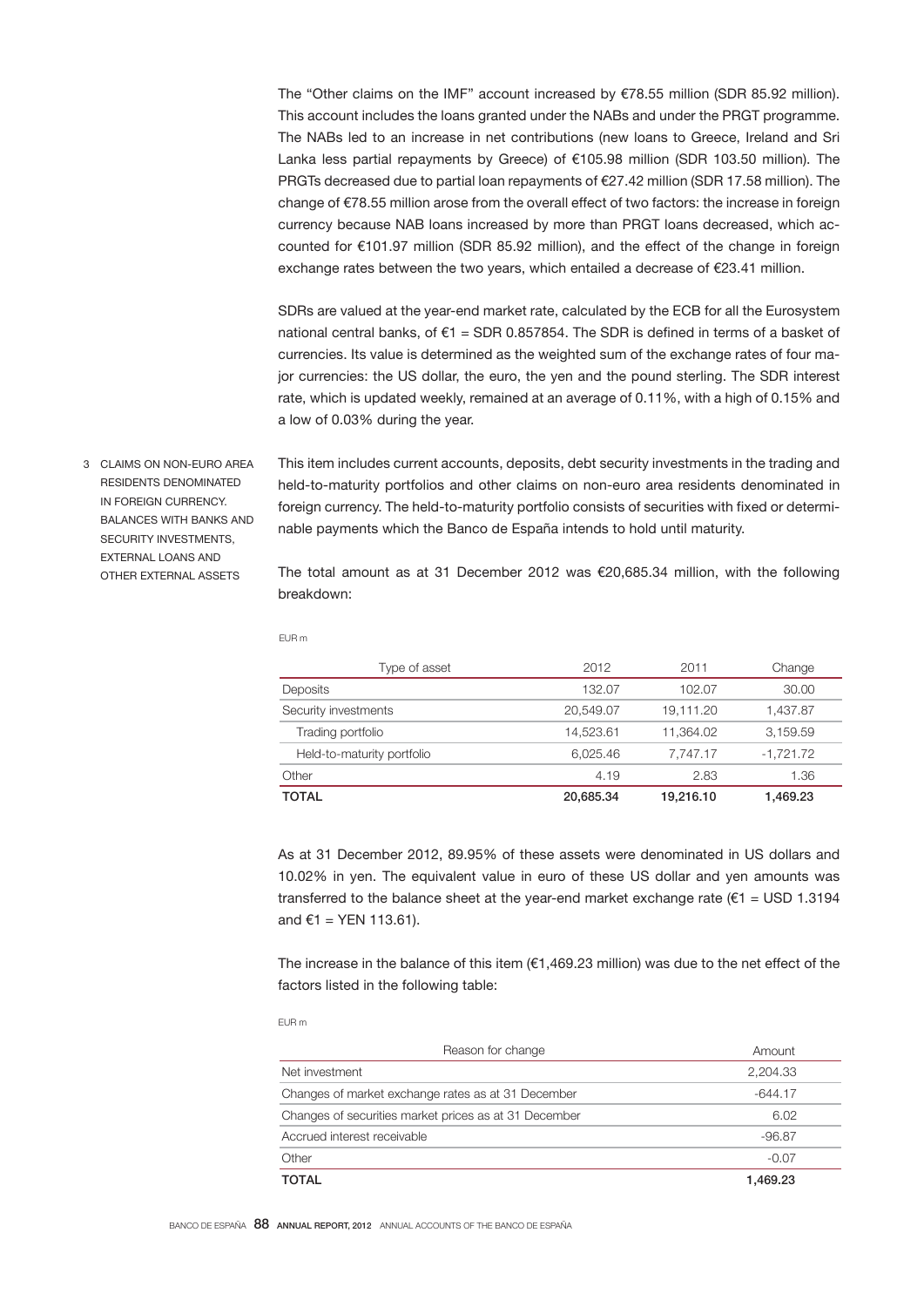The "Other claims on the IMF" account increased by €78.55 million (SDR 85.92 million). This account includes the loans granted under the NABs and under the PRGT programme. The NABs led to an increase in net contributions (new loans to Greece, Ireland and Sri Lanka less partial repayments by Greece) of €105.98 million (SDR 103.50 million). The PRGTs decreased due to partial loan repayments of €27.42 million (SDR 17.58 million). The change of €78.55 million arose from the overall effect of two factors: the increase in foreign currency because NAB loans increased by more than PRGT loans decreased, which accounted for €101.97 million (SDR 85.92 million), and the effect of the change in foreign exchange rates between the two years, which entailed a decrease of €23.41 million.

SDRs are valued at the year-end market rate, calculated by the ECB for all the Eurosystem national central banks, of  $E1 = SDR 0.857854$ . The SDR is defined in terms of a basket of currencies. Its value is determined as the weighted sum of the exchange rates of four major currencies: the US dollar, the euro, the yen and the pound sterling. The SDR interest rate, which is updated weekly, remained at an average of 0.11%, with a high of 0.15% and a low of 0.03% during the year.

3 CLAIMS ON NON-EURO AREA RESIDENTS DENOMINATED IN FOREIGN CURRENCY. BALANCES WITH BANKS AND SECURITY INVESTMENTS EXTERNAL LOANS AND OTHER EXTERNAL ASSETS

This item includes current accounts, deposits, debt security investments in the trading and held-to-maturity portfolios and other claims on non-euro area residents denominated in foreign currency. The held-to-maturity portfolio consists of securities with fixed or determinable payments which the Banco de España intends to hold until maturity.

The total amount as at 31 December 2012 was €20,685.34 million, with the following breakdown:

| Type of asset              | 2012      | 2011      | Change      |
|----------------------------|-----------|-----------|-------------|
| Deposits                   | 132.07    | 102.07    | 30.00       |
| Security investments       | 20.549.07 | 19.111.20 | 1.437.87    |
| Trading portfolio          | 14.523.61 | 11.364.02 | 3.159.59    |
| Held-to-maturity portfolio | 6.025.46  | 7.747.17  | $-1.721.72$ |
| Other                      | 4.19      | 2.83      | 1.36        |
| <b>TOTAL</b>               | 20.685.34 | 19.216.10 | 1.469.23    |

As at 31 December 2012, 89.95% of these assets were denominated in US dollars and 10.02% in yen. The equivalent value in euro of these US dollar and yen amounts was transferred to the balance sheet at the year-end market exchange rate ( $61 =$  USD 1.3194 and  $€1 = YEN 113.61$ ).

The increase in the balance of this item ( $€1,469.23$  million) was due to the net effect of the factors listed in the following table:

EUR m

EUR m

| Reason for change                                     | Amount    |
|-------------------------------------------------------|-----------|
| Net investment                                        | 2.204.33  |
| Changes of market exchange rates as at 31 December    | $-644.17$ |
| Changes of securities market prices as at 31 December | 6.02      |
| Accrued interest receivable                           | $-96.87$  |
| Other                                                 | $-0.07$   |
| <b>TOTAL</b>                                          | 1.469.23  |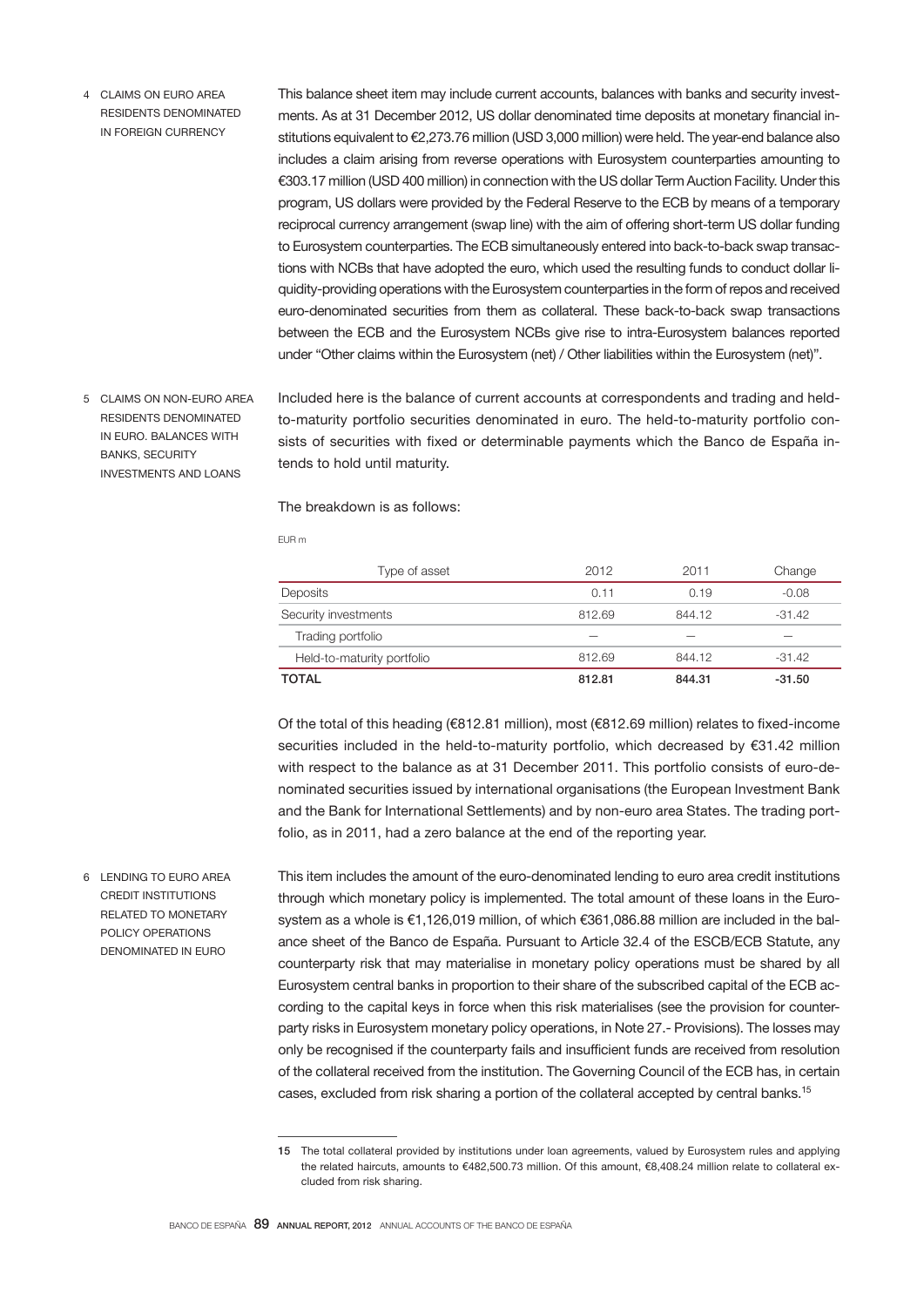4 CLAIMS ON EURO AREA RESIDENTS DENOMINATED IN FOREIGN CURRENCY

This balance sheet item may include current accounts, balances with banks and security investments. As at 31 December 2012, US dollar denominated time deposits at monetary financial institutions equivalent to €2,273.76 million (USD 3,000 million) were held. The year-end balance also includes a claim arising from reverse operations with Eurosystem counterparties amounting to €303.17 million (USD 400 million) in connection with the US dollar Term Auction Facility. Under this program, US dollars were provided by the Federal Reserve to the ECB by means of a temporary reciprocal currency arrangement (swap line) with the aim of offering short-term US dollar funding to Eurosystem counterparties. The ECB simultaneously entered into back-to-back swap transactions with NCBs that have adopted the euro, which used the resulting funds to conduct dollar liquidity-providing operations with the Eurosystem counterparties in the form of repos and received euro-denominated securities from them as collateral. These back-to-back swap transactions between the ECB and the Eurosystem NCBs give rise to intra-Eurosystem balances reported under "Other claims within the Eurosystem (net) / Other liabilities within the Eurosystem (net)".

5 CLAIMS ON NON-EURO AREA RESIDENTS DENOMINATED IN EURO. BALANCES WITH BANKS, SECURITY INVESTMENTS AND LOANS

6 LENDING TO EURO AREA CREDIT INSTITUTIONS RELATED TO MONETARY POLICY OPERATIONS DENOMINATED IN EURO

Included here is the balance of current accounts at correspondents and trading and heldto-maturity portfolio securities denominated in euro. The held-to-maturity portfolio consists of securities with fixed or determinable payments which the Banco de España intends to hold until maturity.

## The breakdown is as follows:

EUR m

| <b>TOTAL</b>               | 812.81 | 844.31 | $-31.50$ |
|----------------------------|--------|--------|----------|
| Held-to-maturity portfolio | 812.69 | 844.12 | $-31.42$ |
| Trading portfolio          |        |        |          |
| Security investments       | 812.69 | 844.12 | $-31.42$ |
| Deposits                   | 0.11   | 0.19   | $-0.08$  |
| Type of asset              | 2012   | 2011   | Change   |

Of the total of this heading (€812.81 million), most (€812.69 million) relates to fixed-income securities included in the held-to-maturity portfolio, which decreased by €31.42 million with respect to the balance as at 31 December 2011. This portfolio consists of euro-denominated securities issued by international organisations (the European Investment Bank and the Bank for International Settlements) and by non-euro area States. The trading portfolio, as in 2011, had a zero balance at the end of the reporting year.

This item includes the amount of the euro-denominated lending to euro area credit institutions through which monetary policy is implemented. The total amount of these loans in the Eurosystem as a whole is €1,126,019 million, of which €361,086.88 million are included in the balance sheet of the Banco de España. Pursuant to Article 32.4 of the ESCB/ECB Statute, any counterparty risk that may materialise in monetary policy operations must be shared by all Eurosystem central banks in proportion to their share of the subscribed capital of the ECB according to the capital keys in force when this risk materialises (see the provision for counterparty risks in Eurosystem monetary policy operations, in Note 27.- Provisions). The losses may only be recognised if the counterparty fails and insufficient funds are received from resolution of the collateral received from the institution. The Governing Council of the ECB has, in certain cases, excluded from risk sharing a portion of the collateral accepted by central banks.<sup>15</sup>

<sup>15</sup> The total collateral provided by institutions under loan agreements, valued by Eurosystem rules and applying the related haircuts, amounts to €482,500.73 million. Of this amount, €8,408.24 million relate to collateral excluded from risk sharing.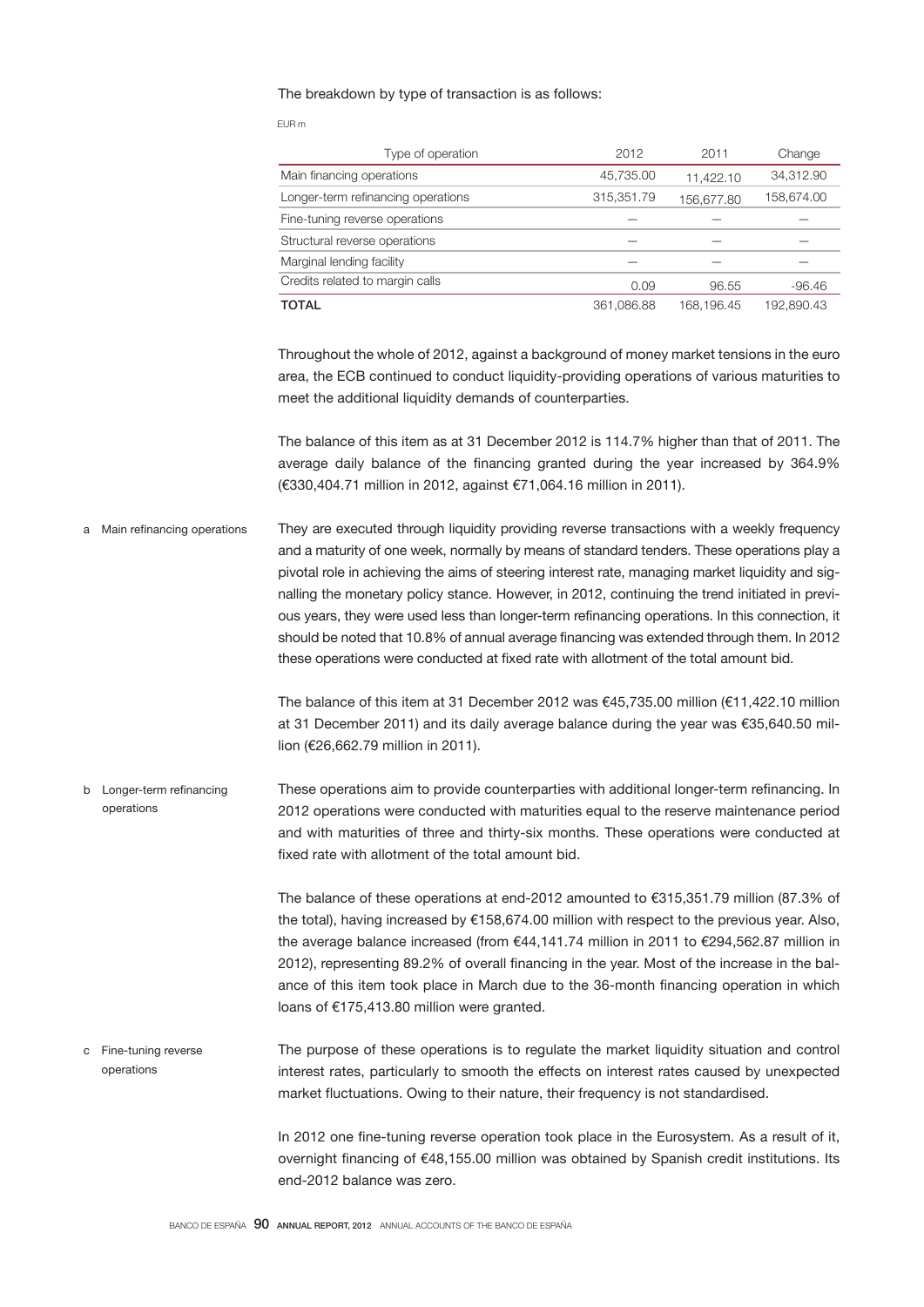## The breakdown by type of transaction is as follows:

EUR m

| Type of operation                  | 2012       | 2011       | Change     |
|------------------------------------|------------|------------|------------|
| Main financing operations          | 45,735.00  | 11,422.10  | 34,312.90  |
| Longer-term refinancing operations | 315,351.79 | 156,677.80 | 158,674.00 |
| Fine-tuning reverse operations     |            |            |            |
| Structural reverse operations      |            |            |            |
| Marginal lending facility          |            |            |            |
| Credits related to margin calls    | 0.09       | 96.55      | $-96.46$   |
| <b>TOTAL</b>                       | 361,086.88 | 168,196.45 | 192,890.43 |

Throughout the whole of 2012, against a background of money market tensions in the euro area, the ECB continued to conduct liquidity-providing operations of various maturities to meet the additional liquidity demands of counterparties.

The balance of this item as at 31 December 2012 is 114.7% higher than that of 2011. The average daily balance of the financing granted during the year increased by 364.9% (€330,404.71 million in 2012, against €71,064.16 million in 2011).

They are executed through liquidity providing reverse transactions with a weekly frequency and a maturity of one week, normally by means of standard tenders. These operations play a pivotal role in achieving the aims of steering interest rate, managing market liquidity and signalling the monetary policy stance. However, in 2012, continuing the trend initiated in previous years, they were used less than longer-term refinancing operations. In this connection, it should be noted that 10.8% of annual average financing was extended through them. In 2012 these operations were conducted at fixed rate with allotment of the total amount bid. a Main refinancing operations

> The balance of this item at 31 December 2012 was €45,735.00 million (€11,422.10 million at 31 December 2011) and its daily average balance during the year was €35,640.50 million (€26,662.79 million in 2011).

These operations aim to provide counterparties with additional longer-term refinancing. In 2012 operations were conducted with maturities equal to the reserve maintenance period and with maturities of three and thirty-six months. These operations were conducted at fixed rate with allotment of the total amount bid. b Longer-term refinancing operations

> The balance of these operations at end-2012 amounted to €315,351.79 million (87.3% of the total), having increased by €158,674.00 million with respect to the previous year. Also, the average balance increased (from €44,141.74 million in 2011 to €294,562.87 million in 2012), representing 89.2% of overall financing in the year. Most of the increase in the balance of this item took place in March due to the 36-month financing operation in which loans of €175,413.80 million were granted.

The purpose of these operations is to regulate the market liquidity situation and control interest rates, particularly to smooth the effects on interest rates caused by unexpected market fluctuations. Owing to their nature, their frequency is not standardised. c Fine-tuning reverse operations

> In 2012 one fine-tuning reverse operation took place in the Eurosystem. As a result of it, overnight financing of €48,155.00 million was obtained by Spanish credit institutions. Its end-2012 balance was zero.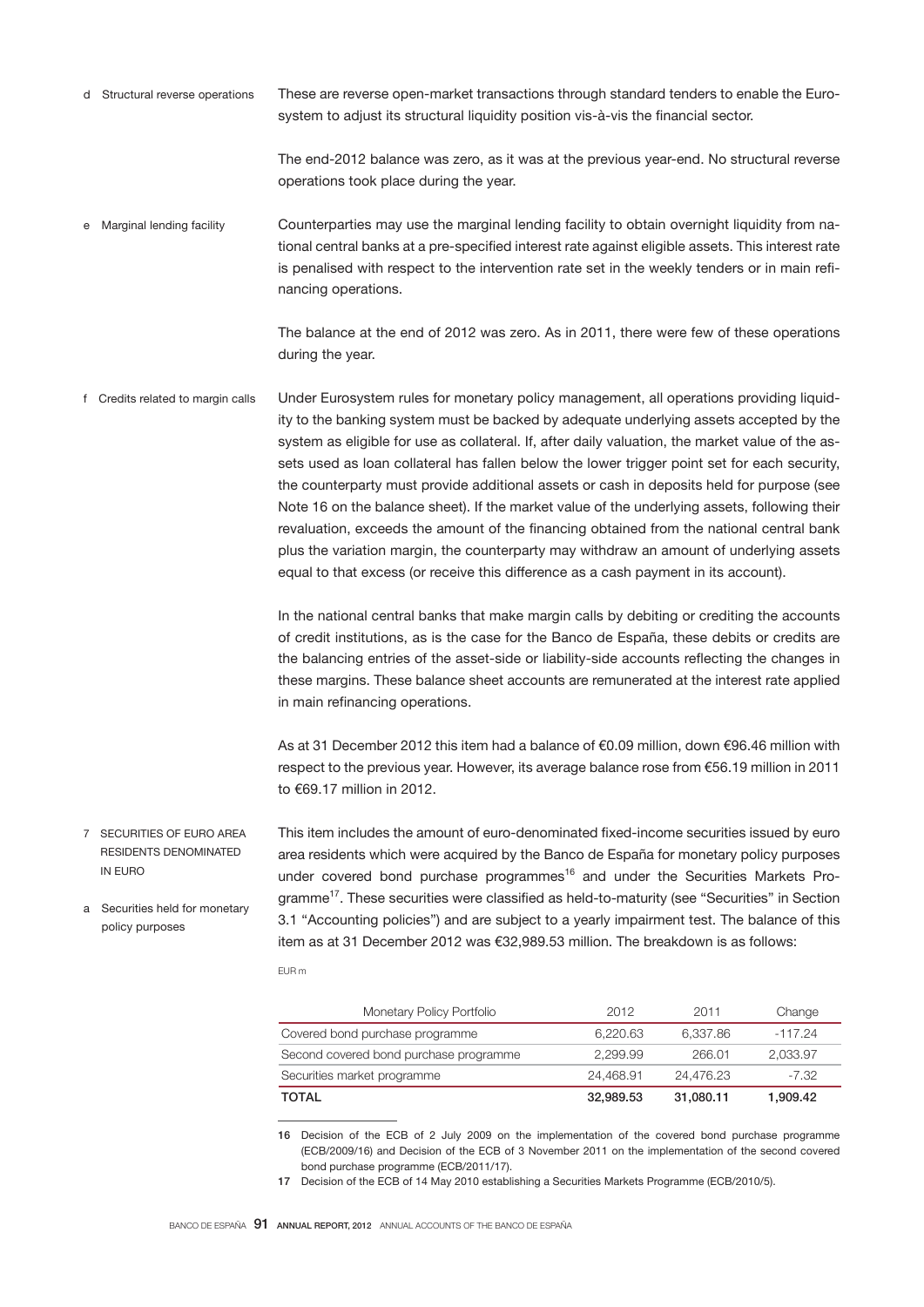These are reverse open-market transactions through standard tenders to enable the Eurosystem to adjust its structural liquidity position vis-à-vis the financial sector. d Structural reverse operations

> The end-2012 balance was zero, as it was at the previous year-end. No structural reverse operations took place during the year.

Counterparties may use the marginal lending facility to obtain overnight liquidity from national central banks at a pre-specified interest rate against eligible assets. This interest rate is penalised with respect to the intervention rate set in the weekly tenders or in main refinancing operations. e Marginal lending facility

> The balance at the end of 2012 was zero. As in 2011, there were few of these operations during the year.

Under Eurosystem rules for monetary policy management, all operations providing liquidity to the banking system must be backed by adequate underlying assets accepted by the system as eligible for use as collateral. If, after daily valuation, the market value of the assets used as loan collateral has fallen below the lower trigger point set for each security, the counterparty must provide additional assets or cash in deposits held for purpose (see Note 16 on the balance sheet). If the market value of the underlying assets, following their revaluation, exceeds the amount of the financing obtained from the national central bank plus the variation margin, the counterparty may withdraw an amount of underlying assets equal to that excess (or receive this difference as a cash payment in its account). f Credits related to margin calls

> In the national central banks that make margin calls by debiting or crediting the accounts of credit institutions, as is the case for the Banco de España, these debits or credits are the balancing entries of the asset-side or liability-side accounts reflecting the changes in these margins. These balance sheet accounts are remunerated at the interest rate applied in main refinancing operations.

> As at 31 December 2012 this item had a balance of €0.09 million, down €96.46 million with respect to the previous year. However, its average balance rose from €56.19 million in 2011 to €69.17 million in 2012.

This item includes the amount of euro-denominated fixed-income securities issued by euro area residents which were acquired by the Banco de España for monetary policy purposes 7 SECURITIES OF EURO AREA RESIDENTS DENOMINATED IN EURO a Securities held for monetary

policy purposes

under covered bond purchase programmes<sup>16</sup> and under the Securities Markets Programme<sup>17</sup>. These securities were classified as held-to-maturity (see "Securities" in Section 3.1 "Accounting policies") and are subject to a yearly impairment test. The balance of this item as at 31 December 2012 was €32,989.53 million. The breakdown is as follows:

EUR m

| Monetary Policy Portfolio              | 2012      | 2011      | Change    |
|----------------------------------------|-----------|-----------|-----------|
| Covered bond purchase programme        | 6.220.63  | 6.337.86  | $-117.24$ |
| Second covered bond purchase programme | 2.299.99  | 266.01    | 2.033.97  |
| Securities market programme            | 24.468.91 | 24.476.23 | -7.32     |
| TOTAL                                  | 32,989.53 | 31,080.11 | 1,909.42  |

16 Decision of the ECB of 2 July 2009 on the implementation of the covered bond purchase programme (ECB/2009/16) and Decision of the ECB of 3 November 2011 on the implementation of the second covered bond purchase programme (ECB/2011/17).

17 Decision of the ECB of 14 May 2010 establishing a Securities Markets Programme (ECB/2010/5).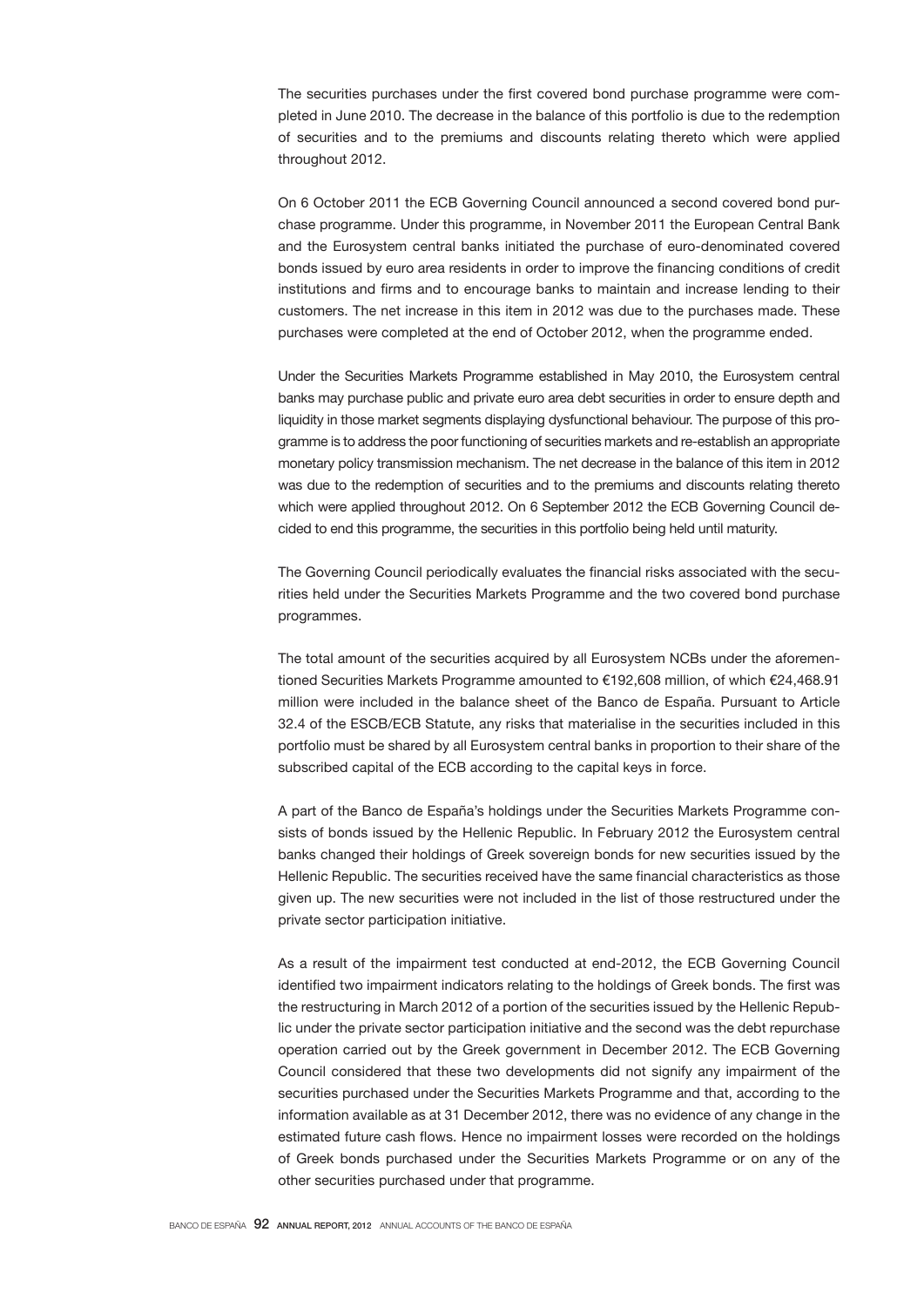The securities purchases under the first covered bond purchase programme were completed in June 2010. The decrease in the balance of this portfolio is due to the redemption of securities and to the premiums and discounts relating thereto which were applied throughout 2012.

On 6 October 2011 the ECB Governing Council announced a second covered bond purchase programme. Under this programme, in November 2011 the European Central Bank and the Eurosystem central banks initiated the purchase of euro-denominated covered bonds issued by euro area residents in order to improve the financing conditions of credit institutions and firms and to encourage banks to maintain and increase lending to their customers. The net increase in this item in 2012 was due to the purchases made. These purchases were completed at the end of October 2012, when the programme ended.

Under the Securities Markets Programme established in May 2010, the Eurosystem central banks may purchase public and private euro area debt securities in order to ensure depth and liquidity in those market segments displaying dysfunctional behaviour. The purpose of this programme is to address the poor functioning of securities markets and re-establish an appropriate monetary policy transmission mechanism. The net decrease in the balance of this item in 2012 was due to the redemption of securities and to the premiums and discounts relating thereto which were applied throughout 2012. On 6 September 2012 the ECB Governing Council decided to end this programme, the securities in this portfolio being held until maturity.

The Governing Council periodically evaluates the financial risks associated with the securities held under the Securities Markets Programme and the two covered bond purchase programmes.

The total amount of the securities acquired by all Eurosystem NCBs under the aforementioned Securities Markets Programme amounted to €192,608 million, of which €24,468.91 million were included in the balance sheet of the Banco de España. Pursuant to Article 32.4 of the ESCB/ECB Statute, any risks that materialise in the securities included in this portfolio must be shared by all Eurosystem central banks in proportion to their share of the subscribed capital of the ECB according to the capital keys in force.

A part of the Banco de España's holdings under the Securities Markets Programme consists of bonds issued by the Hellenic Republic. In February 2012 the Eurosystem central banks changed their holdings of Greek sovereign bonds for new securities issued by the Hellenic Republic. The securities received have the same financial characteristics as those given up. The new securities were not included in the list of those restructured under the private sector participation initiative.

As a result of the impairment test conducted at end-2012, the ECB Governing Council identified two impairment indicators relating to the holdings of Greek bonds. The first was the restructuring in March 2012 of a portion of the securities issued by the Hellenic Republic under the private sector participation initiative and the second was the debt repurchase operation carried out by the Greek government in December 2012. The ECB Governing Council considered that these two developments did not signify any impairment of the securities purchased under the Securities Markets Programme and that, according to the information available as at 31 December 2012, there was no evidence of any change in the estimated future cash flows. Hence no impairment losses were recorded on the holdings of Greek bonds purchased under the Securities Markets Programme or on any of the other securities purchased under that programme.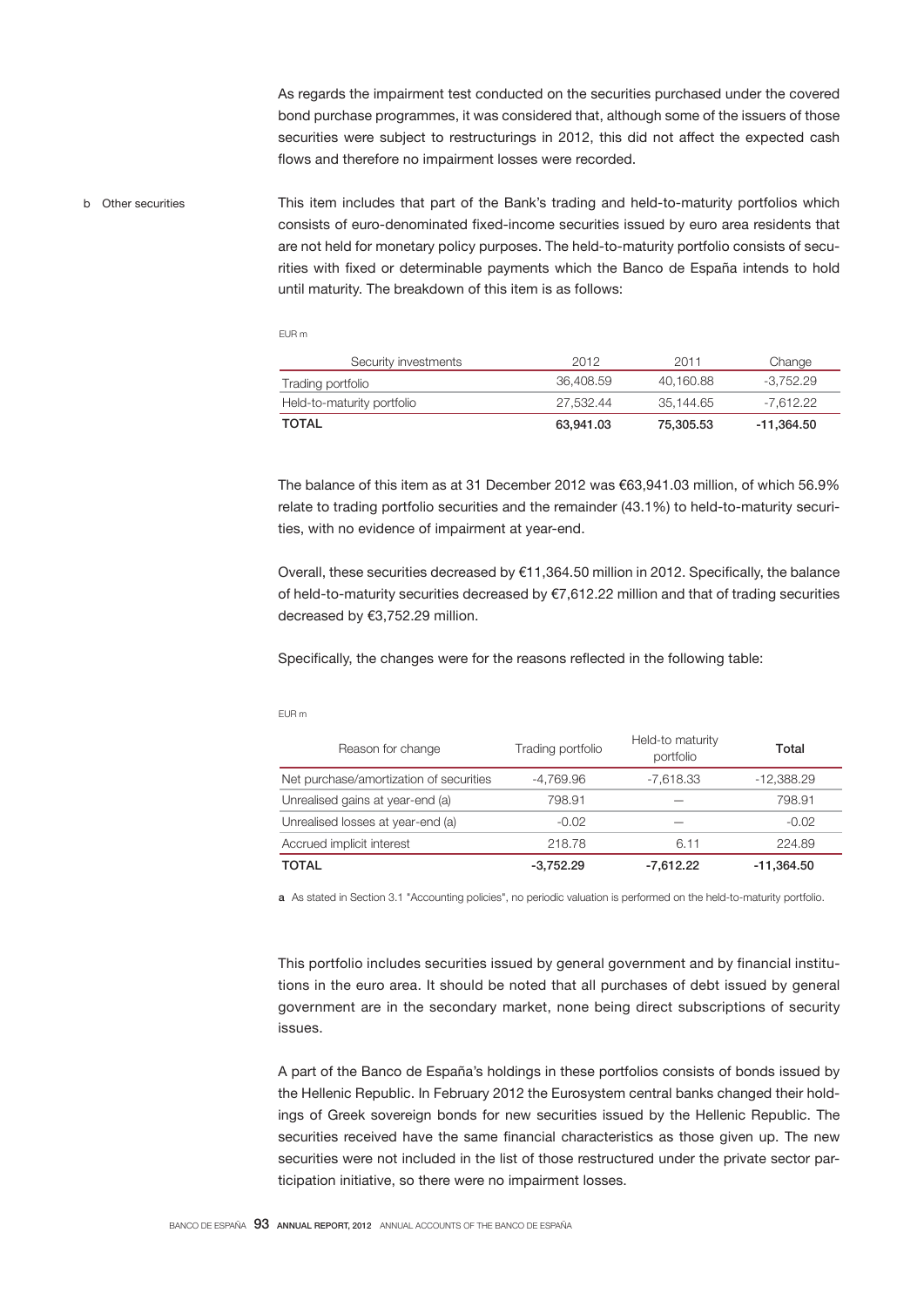As regards the impairment test conducted on the securities purchased under the covered bond purchase programmes, it was considered that, although some of the issuers of those securities were subject to restructurings in 2012, this did not affect the expected cash flows and therefore no impairment losses were recorded.

This item includes that part of the Bank's trading and held-to-maturity portfolios which consists of euro-denominated fixed-income securities issued by euro area residents that are not held for monetary policy purposes. The held-to-maturity portfolio consists of securities with fixed or determinable payments which the Banco de España intends to hold until maturity. The breakdown of this item is as follows: b Other securities

EUR m

| Security investments       | 2012      | 2011      | Change      |
|----------------------------|-----------|-----------|-------------|
| Trading portfolio          | 36.408.59 | 40.160.88 | -3.752.29   |
| Held-to-maturity portfolio | 27.532.44 | 35.144.65 | $-7.612.22$ |
| TOTAL                      | 63.941.03 | 75.305.53 | -11.364.50  |

The balance of this item as at 31 December 2012 was €63,941.03 million, of which 56.9% relate to trading portfolio securities and the remainder (43.1%) to held-to-maturity securities, with no evidence of impairment at year-end.

Overall, these securities decreased by €11,364.50 million in 2012. Specifically, the balance of held-to-maturity securities decreased by €7,612.22 million and that of trading securities decreased by €3,752.29 million.

Specifically, the changes were for the reasons reflected in the following table:

EUR m

| Reason for change                       | Trading portfolio | Held-to maturity<br>portfolio | Total        |
|-----------------------------------------|-------------------|-------------------------------|--------------|
| Net purchase/amortization of securities | -4.769.96         | $-7.618.33$                   | -12,388.29   |
| Unrealised gains at year-end (a)        | 798.91            |                               | 798.91       |
| Unrealised losses at year-end (a)       | $-0.02$           |                               | $-0.02$      |
| Accrued implicit interest               | 218.78            | 6.11                          | 224.89       |
| <b>TOTAL</b>                            | $-3.752.29$       | $-7.612.22$                   | $-11,364.50$ |

a As stated in Section 3.1 "Accounting policies", no periodic valuation is performed on the held-to-maturity portfolio.

This portfolio includes securities issued by general government and by financial institutions in the euro area. It should be noted that all purchases of debt issued by general government are in the secondary market, none being direct subscriptions of security issues.

A part of the Banco de España's holdings in these portfolios consists of bonds issued by the Hellenic Republic. In February 2012 the Eurosystem central banks changed their holdings of Greek sovereign bonds for new securities issued by the Hellenic Republic. The securities received have the same financial characteristics as those given up. The new securities were not included in the list of those restructured under the private sector participation initiative, so there were no impairment losses.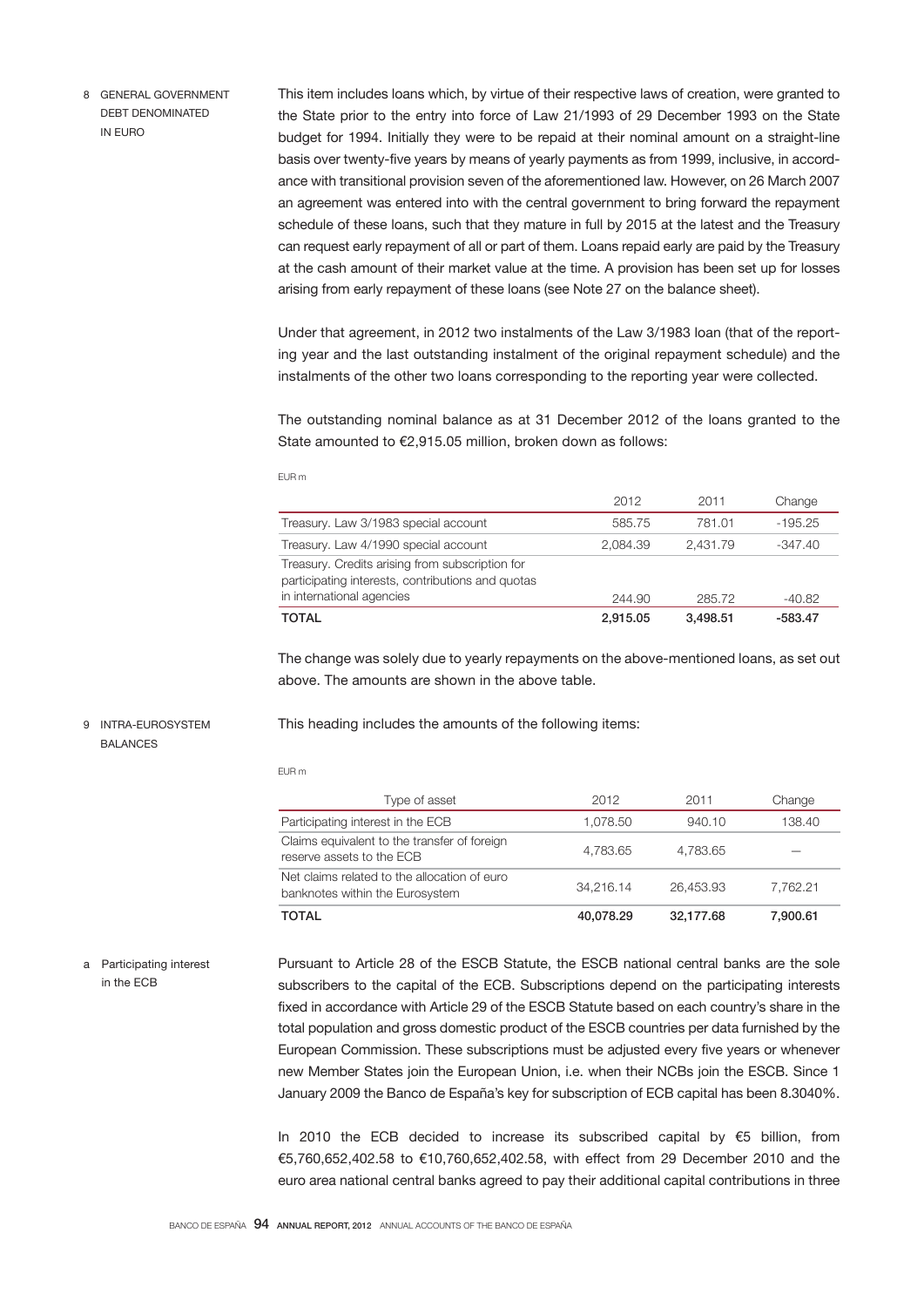8 GENERAL GOVERNMENT DEBT DENOMINATED IN EURO

This item includes loans which, by virtue of their respective laws of creation, were granted to the State prior to the entry into force of Law 21/1993 of 29 December 1993 on the State budget for 1994. Initially they were to be repaid at their nominal amount on a straight-line basis over twenty-five years by means of yearly payments as from 1999, inclusive, in accordance with transitional provision seven of the aforementioned law. However, on 26 March 2007 an agreement was entered into with the central government to bring forward the repayment schedule of these loans, such that they mature in full by 2015 at the latest and the Treasury can request early repayment of all or part of them. Loans repaid early are paid by the Treasury at the cash amount of their market value at the time. A provision has been set up for losses arising from early repayment of these loans (see Note 27 on the balance sheet).

Under that agreement, in 2012 two instalments of the Law 3/1983 loan (that of the reporting year and the last outstanding instalment of the original repayment schedule) and the instalments of the other two loans corresponding to the reporting year were collected.

The outstanding nominal balance as at 31 December 2012 of the loans granted to the State amounted to €2,915.05 million, broken down as follows:

|                                                                                                                                   | 2012     | 2011     | Change    |
|-----------------------------------------------------------------------------------------------------------------------------------|----------|----------|-----------|
| Treasury. Law 3/1983 special account                                                                                              | 585.75   | 781.01   | $-195.25$ |
| Treasury. Law 4/1990 special account                                                                                              | 2.084.39 | 2.431.79 | $-347.40$ |
| Treasury. Credits arising from subscription for<br>participating interests, contributions and quotas<br>in international agencies | 244.90   | 285.72   | -40.82    |
| TOTAL                                                                                                                             | 2.915.05 | 3.498.51 | $-583.47$ |

The change was solely due to yearly repayments on the above-mentioned loans, as set out above. The amounts are shown in the above table.

## 9 INTRA-EUROSYSTEM BALANCES

This heading includes the amounts of the following items:

EUR m

EUR m

| Type of asset                                                                   | 2012      | 2011      | Change   |
|---------------------------------------------------------------------------------|-----------|-----------|----------|
| Participating interest in the ECB                                               | 1.078.50  | 940.10    | 138.40   |
| Claims equivalent to the transfer of foreign<br>reserve assets to the ECB       | 4.783.65  | 4,783.65  |          |
| Net claims related to the allocation of euro<br>banknotes within the Eurosystem | 34.216.14 | 26.453.93 | 7.762.21 |
| <b>TOTAL</b>                                                                    | 40.078.29 | 32.177.68 | 7.900.61 |

Pursuant to Article 28 of the ESCB Statute, the ESCB national central banks are the sole subscribers to the capital of the ECB. Subscriptions depend on the participating interests fixed in accordance with Article 29 of the ESCB Statute based on each country's share in the total population and gross domestic product of the ESCB countries per data furnished by the European Commission. These subscriptions must be adjusted every five years or whenever new Member States join the European Union, i.e. when their NCBs join the ESCB. Since 1 January 2009 the Banco de España's key for subscription of ECB capital has been 8.3040%. a Participating interest in the ECB

> In 2010 the ECB decided to increase its subscribed capital by  $€5$  billion, from €5,760,652,402.58 to €10,760,652,402.58, with effect from 29 December 2010 and the euro area national central banks agreed to pay their additional capital contributions in three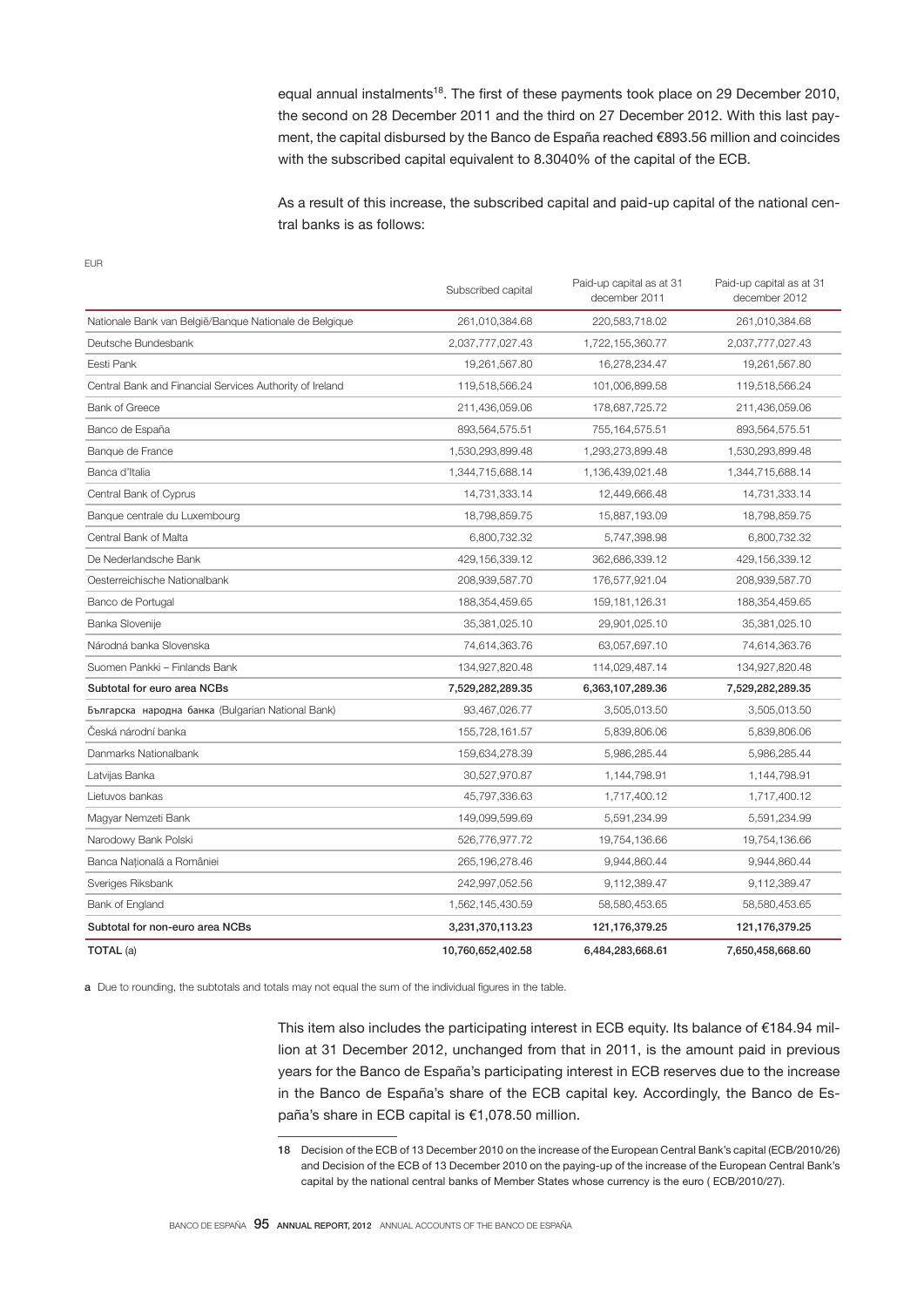equal annual instalments<sup>18</sup>. The first of these payments took place on 29 December 2010, the second on 28 December 2011 and the third on 27 December 2012. With this last payment, the capital disbursed by the Banco de España reached €893.56 million and coincides with the subscribed capital equivalent to 8.3040% of the capital of the ECB.

As a result of this increase, the subscribed capital and paid-up capital of the national central banks is as follows:

EUR

|                                                          | Subscribed capital | Paid-up capital as at 31<br>december 2011 | Paid-up capital as at 31<br>december 2012 |
|----------------------------------------------------------|--------------------|-------------------------------------------|-------------------------------------------|
| Nationale Bank van België/Banque Nationale de Belgique   | 261,010,384.68     | 220,583,718.02                            | 261,010,384.68                            |
| Deutsche Bundesbank                                      | 2,037,777,027.43   | 1,722,155,360.77                          | 2,037,777,027.43                          |
| Eesti Pank                                               | 19,261,567.80      | 16,278,234.47                             | 19,261,567.80                             |
| Central Bank and Financial Services Authority of Ireland | 119,518,566.24     | 101,006,899.58                            | 119,518,566.24                            |
| <b>Bank of Greece</b>                                    | 211,436,059.06     | 178,687,725.72                            | 211,436,059.06                            |
| Banco de España                                          | 893,564,575.51     | 755, 164, 575.51                          | 893,564,575.51                            |
| Banque de France                                         | 1,530,293,899.48   | 1,293,273,899.48                          | 1,530,293,899.48                          |
| Banca d'Italia                                           | 1,344,715,688.14   | 1,136,439,021.48                          | 1,344,715,688.14                          |
| Central Bank of Cyprus                                   | 14,731,333.14      | 12,449,666.48                             | 14,731,333.14                             |
| Banque centrale du Luxembourg                            | 18,798,859.75      | 15,887,193.09                             | 18,798,859.75                             |
| Central Bank of Malta                                    | 6,800,732.32       | 5,747,398.98                              | 6,800,732.32                              |
| De Nederlandsche Bank                                    | 429,156,339.12     | 362,686,339.12                            | 429,156,339.12                            |
| Oesterreichische Nationalbank                            | 208,939,587.70     | 176,577,921.04                            | 208,939,587.70                            |
| Banco de Portugal                                        | 188,354,459.65     | 159, 181, 126.31                          | 188,354,459.65                            |
| Banka Slovenije                                          | 35,381,025.10      | 29,901,025.10                             | 35,381,025.10                             |
| Národná banka Slovenska                                  | 74,614,363.76      | 63,057,697.10                             | 74,614,363.76                             |
| Suomen Pankki - Finlands Bank                            | 134,927,820.48     | 114,029,487.14                            | 134,927,820.48                            |
| Subtotal for euro area NCBs                              | 7,529,282,289.35   | 6,363,107,289.36                          | 7,529,282,289.35                          |
| Българска народна банка (Bulgarian National Bank)        | 93,467,026.77      | 3,505,013.50                              | 3,505,013.50                              |
| Česká národní banka                                      | 155,728,161.57     | 5,839,806.06                              | 5,839,806.06                              |
| Danmarks Nationalbank                                    | 159,634,278.39     | 5,986,285.44                              | 5,986,285.44                              |
| Latvijas Banka                                           | 30,527,970.87      | 1,144,798.91                              | 1,144,798.91                              |
| Lietuvos bankas                                          | 45,797,336.63      | 1,717,400.12                              | 1,717,400.12                              |
| Magyar Nemzeti Bank                                      | 149,099,599.69     | 5,591,234.99                              | 5,591,234.99                              |
| Narodowy Bank Polski                                     | 526,776,977.72     | 19,754,136.66                             | 19,754,136.66                             |
| Banca Națională a României                               | 265, 196, 278.46   | 9,944,860.44                              | 9,944,860.44                              |
| Sveriges Riksbank                                        | 242,997,052.56     | 9,112,389.47                              | 9,112,389.47                              |
| Bank of England                                          | 1,562,145,430.59   | 58,580,453.65                             | 58,580,453.65                             |
| Subtotal for non-euro area NCBs                          | 3,231,370,113.23   | 121,176,379.25                            | 121, 176, 379. 25                         |
| TOTAL (a)                                                | 10,760,652,402.58  | 6,484,283,668.61                          | 7,650,458,668.60                          |

a Due to rounding, the subtotals and totals may not equal the sum of the individual figures in the table.

This item also includes the participating interest in ECB equity. Its balance of  $\epsilon$ 184.94 million at 31 December 2012, unchanged from that in 2011, is the amount paid in previous years for the Banco de España's participating interest in ECB reserves due to the increase in the Banco de España's share of the ECB capital key. Accordingly, the Banco de España's share in ECB capital is €1,078.50 million.

<sup>18</sup> Decision of the ECB of 13 December 2010 on the increase of the European Central Bank's capital (ECB/2010/26) and Decision of the ECB of 13 December 2010 on the paying-up of the increase of the European Central Bank's capital by the national central banks of Member States whose currency is the euro ( ECB/2010/27).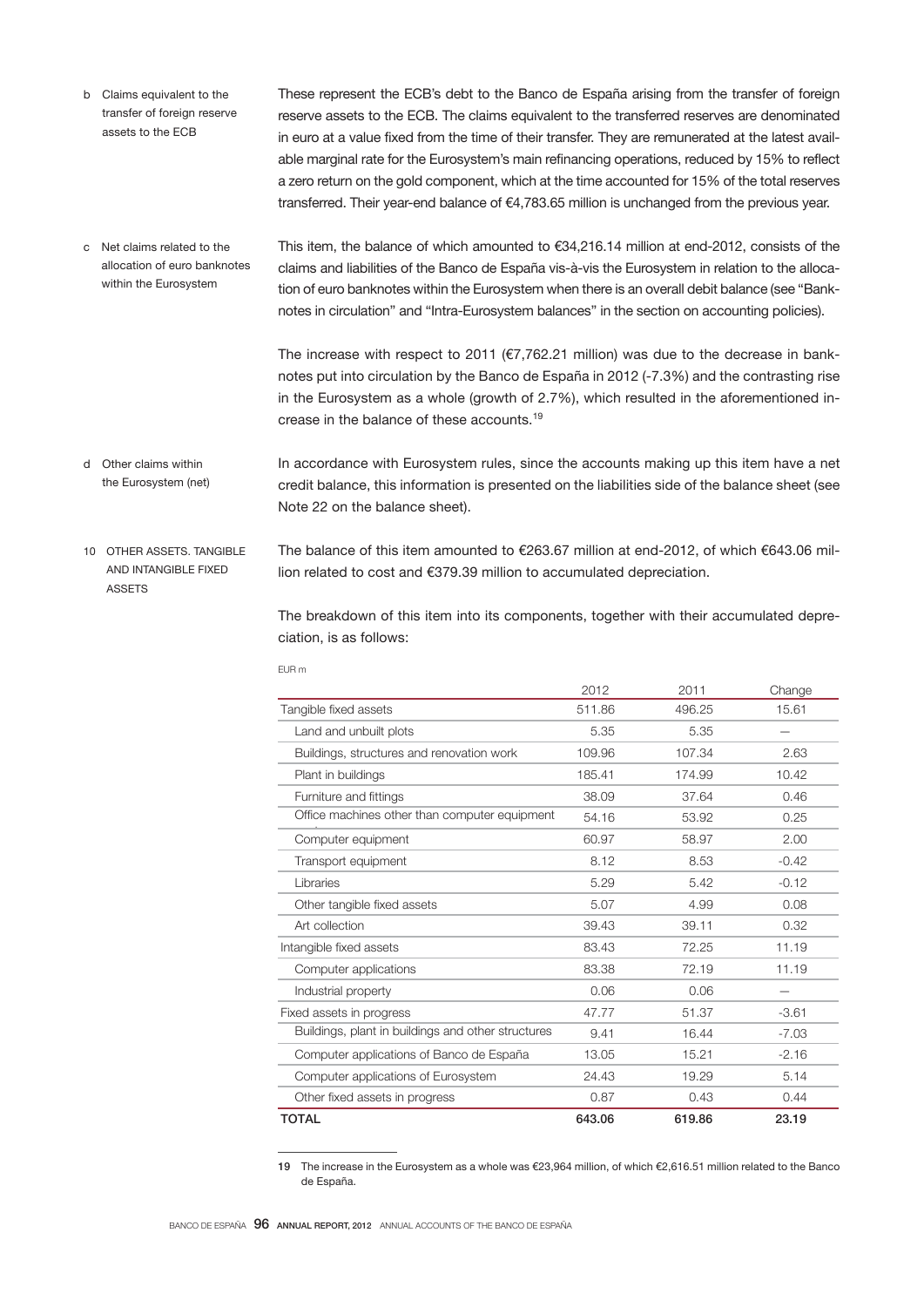b Claims equivalent to the transfer of foreign reserve assets to the ECB

These represent the ECB's debt to the Banco de España arising from the transfer of foreign reserve assets to the ECB. The claims equivalent to the transferred reserves are denominated in euro at a value fixed from the time of their transfer. They are remunerated at the latest available marginal rate for the Eurosystem's main refinancing operations, reduced by 15% to reflect a zero return on the gold component, which at the time accounted for 15% of the total reserves transferred. Their year-end balance of €4,783.65 million is unchanged from the previous year.

This item, the balance of which amounted to €34,216.14 million at end-2012, consists of the claims and liabilities of the Banco de España vis-à-vis the Eurosystem in relation to the allocation of euro banknotes within the Eurosystem when there is an overall debit balance (see "Banknotes in circulation" and "Intra-Eurosystem balances" in the section on accounting policies). c Net claims related to the allocation of euro banknotes within the Eurosystem

> The increase with respect to 2011 ( $E$ 7,762.21 million) was due to the decrease in banknotes put into circulation by the Banco de España in 2012 (-7.3%) and the contrasting rise in the Eurosystem as a whole (growth of 2.7%), which resulted in the aforementioned increase in the balance of these accounts.<sup>19</sup>

- In accordance with Eurosystem rules, since the accounts making up this item have a net credit balance, this information is presented on the liabilities side of the balance sheet (see Note 22 on the balance sheet). d Other claims within the Eurosystem (net)
- The balance of this item amounted to €263.67 million at end-2012, of which €643.06 million related to cost and €379.39 million to accumulated depreciation. 10 OTHER ASSETS TANGIBLE AND INTANGIBLE FIXED ASSETS

The breakdown of this item into its components, together with their accumulated depreciation, is as follows:

|                                                    | 2012   | 2011   | Change  |
|----------------------------------------------------|--------|--------|---------|
| Tangible fixed assets                              | 511.86 | 496.25 | 15.61   |
| Land and unbuilt plots                             | 5.35   | 5.35   |         |
| Buildings, structures and renovation work          | 109.96 | 107.34 | 2.63    |
| Plant in buildings                                 | 185.41 | 174.99 | 10.42   |
| Furniture and fittings                             | 38.09  | 37.64  | 0.46    |
| Office machines other than computer equipment      | 54.16  | 53.92  | 0.25    |
| Computer equipment                                 | 60.97  | 58.97  | 2.00    |
| Transport equipment                                | 8.12   | 8.53   | $-0.42$ |
| Libraries                                          | 5.29   | 5.42   | $-0.12$ |
| Other tangible fixed assets                        | 5.07   | 4.99   | 0.08    |
| Art collection                                     | 39.43  | 39.11  | 0.32    |
| Intangible fixed assets                            | 83.43  | 72.25  | 11.19   |
| Computer applications                              | 83.38  | 72.19  | 11.19   |
| Industrial property                                | 0.06   | 0.06   |         |
| Fixed assets in progress                           | 47.77  | 51.37  | $-3.61$ |
| Buildings, plant in buildings and other structures | 9.41   | 16.44  | $-7.03$ |
| Computer applications of Banco de España           | 13.05  | 15.21  | $-2.16$ |
| Computer applications of Eurosystem                | 24.43  | 19.29  | 5.14    |
| Other fixed assets in progress                     | 0.87   | 0.43   | 0.44    |
| <b>TOTAL</b>                                       | 643.06 | 619.86 | 23.19   |

EUR m

19 The increase in the Eurosystem as a whole was €23,964 million, of which €2,616.51 million related to the Banco de España.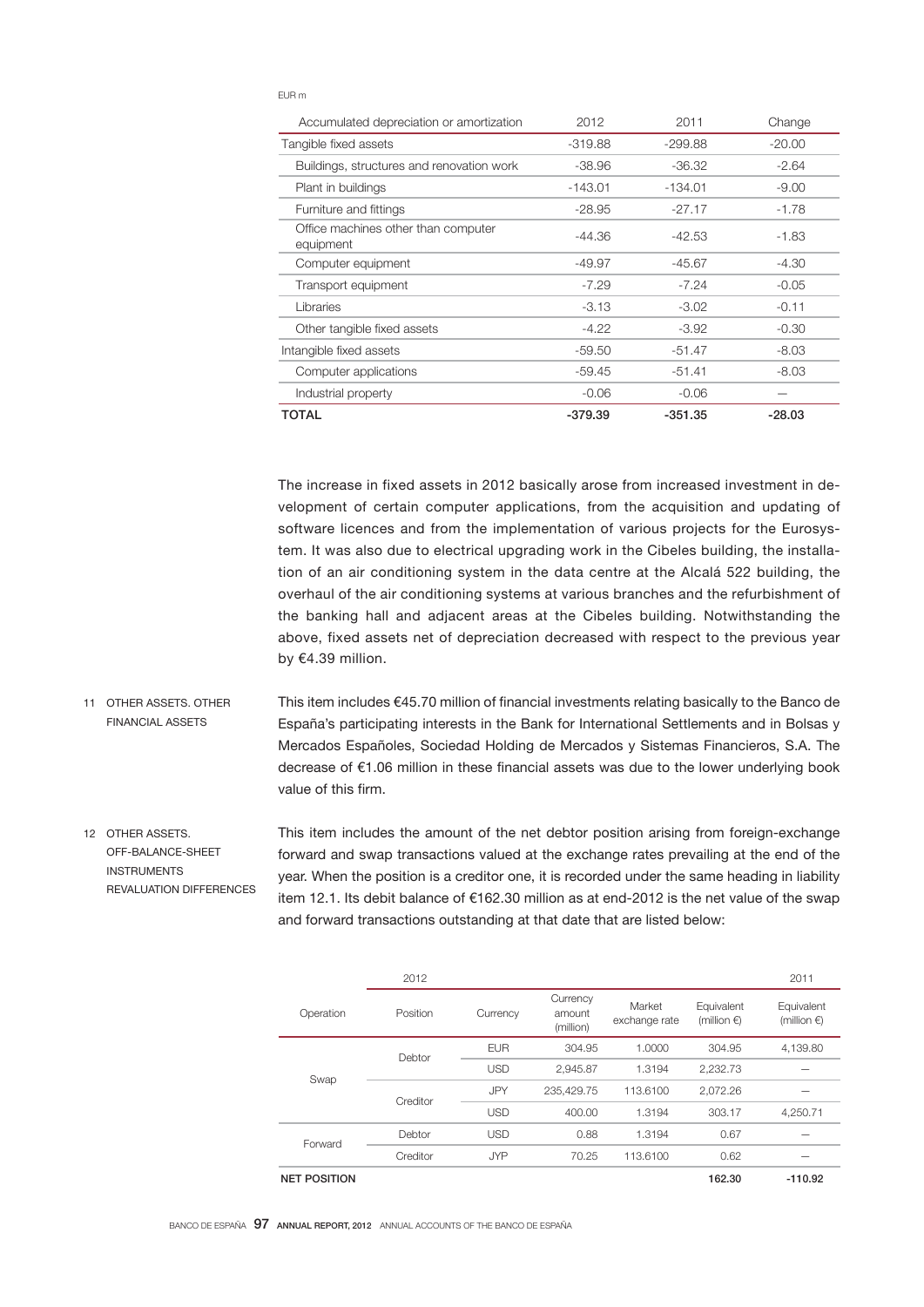#### EUR m

| Accumulated depreciation or amortization         | 2012      | 2011      | Change   |
|--------------------------------------------------|-----------|-----------|----------|
| Tangible fixed assets                            | $-319.88$ | $-299.88$ | $-20.00$ |
| Buildings, structures and renovation work        | $-38.96$  | $-36.32$  | $-2.64$  |
| Plant in buildings                               | $-143.01$ | $-134.01$ | $-9.00$  |
| Furniture and fittings                           | $-28.95$  | $-27.17$  | $-1.78$  |
| Office machines other than computer<br>equipment | -44.36    | -42.53    | -1.83    |
| Computer equipment                               | -49.97    | $-45.67$  | -4.30    |
| Transport equipment                              | $-7.29$   | $-7.24$   | $-0.05$  |
| Libraries                                        | $-3.13$   | $-3.02$   | $-0.11$  |
| Other tangible fixed assets                      | $-4.22$   | $-3.92$   | $-0.30$  |
| Intangible fixed assets                          | $-59.50$  | $-51.47$  | $-8.03$  |
| Computer applications                            | $-59.45$  | $-51.41$  | $-8.03$  |
| Industrial property                              | $-0.06$   | $-0.06$   |          |
| <b>TOTAL</b>                                     | $-379.39$ | -351.35   | $-28.03$ |

The increase in fixed assets in 2012 basically arose from increased investment in development of certain computer applications, from the acquisition and updating of software licences and from the implementation of various projects for the Eurosystem. It was also due to electrical upgrading work in the Cibeles building, the installation of an air conditioning system in the data centre at the Alcalá 522 building, the overhaul of the air conditioning systems at various branches and the refurbishment of the banking hall and adjacent areas at the Cibeles building. Notwithstanding the above, fixed assets net of depreciation decreased with respect to the previous year by €4.39 million.

- This item includes €45.70 million of financial investments relating basically to the Banco de España's participating interests in the Bank for International Settlements and in Bolsas y Mercados Españoles, Sociedad Holding de Mercados y Sistemas Financieros, S.A. The decrease of €1.06 million in these financial assets was due to the lower underlying book value of this firm. 11 OTHER ASSETS. OTHER FINANCIAL ASSETS
- This item includes the amount of the net debtor position arising from foreign-exchange forward and swap transactions valued at the exchange rates prevailing at the end of the year. When the position is a creditor one, it is recorded under the same heading in liability item 12.1. Its debit balance of €162.30 million as at end-2012 is the net value of the swap and forward transactions outstanding at that date that are listed below: 12 OTHER ASSETS. OFF-BALANCE-SHEET INSTRUMENTS REVALUATION DIFFERENCES

|                     | 2012     |            |                                 |                         |                                     | 2011                                |
|---------------------|----------|------------|---------------------------------|-------------------------|-------------------------------------|-------------------------------------|
| Operation           | Position | Currency   | Currency<br>amount<br>(million) | Market<br>exchange rate | Equivalent<br>(million $\epsilon$ ) | Equivalent<br>(million $\epsilon$ ) |
|                     | Debtor   | <b>EUR</b> | 304.95                          | 1.0000                  | 304.95                              | 4,139.80                            |
| Swap                |          | <b>USD</b> | 2.945.87                        | 1.3194                  | 2,232.73                            |                                     |
|                     | Creditor | <b>JPY</b> | 235,429.75                      | 113,6100                | 2,072.26                            |                                     |
|                     |          | <b>USD</b> | 400.00                          | 1.3194                  | 303.17                              | 4,250.71                            |
| Forward             | Debtor   | <b>USD</b> | 0.88                            | 1.3194                  | 0.67                                |                                     |
|                     | Creditor | <b>JYP</b> | 70.25                           | 113.6100                | 0.62                                |                                     |
| <b>NET POSITION</b> |          |            |                                 |                         | 162.30                              | $-110.92$                           |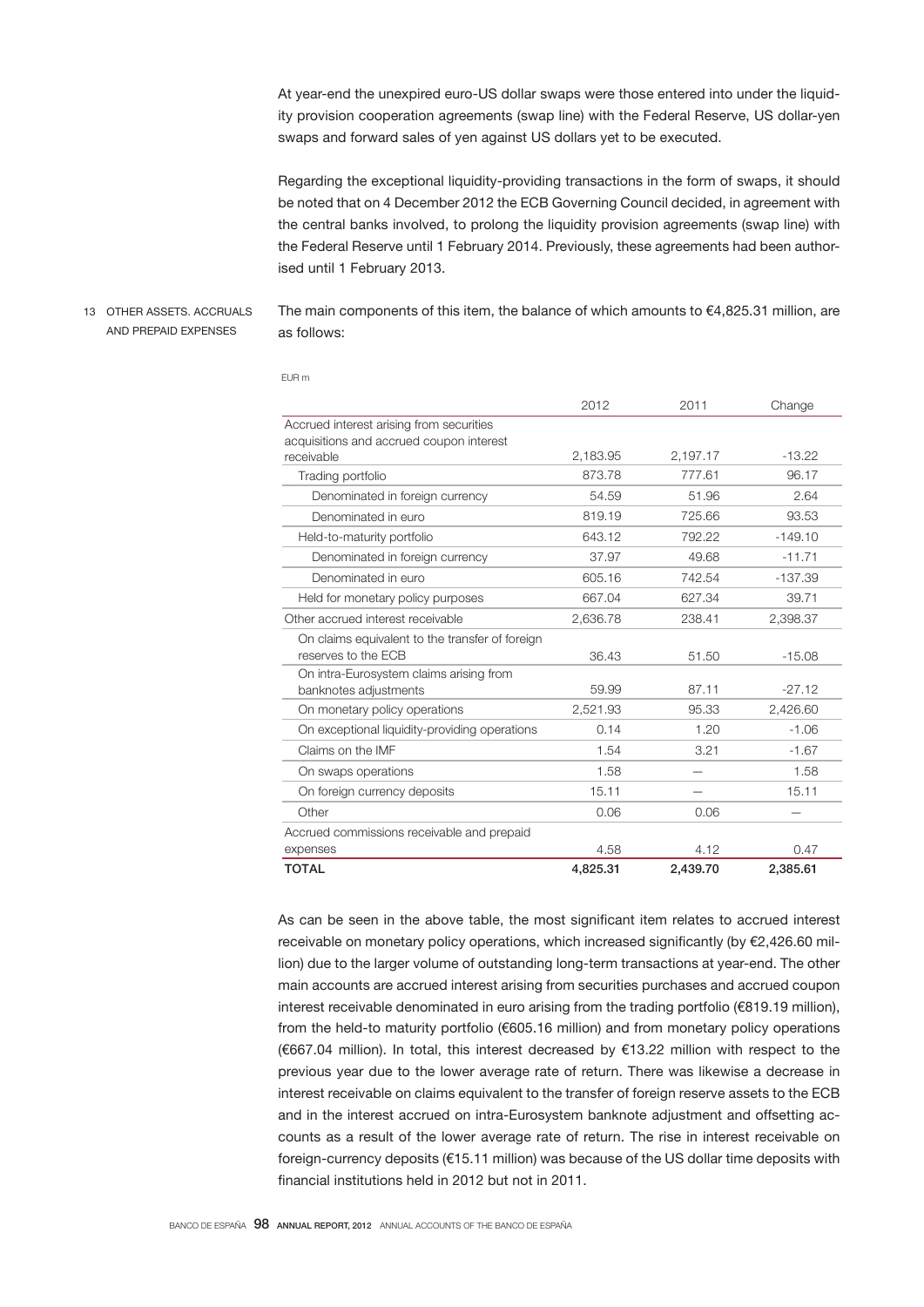At year-end the unexpired euro-US dollar swaps were those entered into under the liquidity provision cooperation agreements (swap line) with the Federal Reserve, US dollar-yen swaps and forward sales of yen against US dollars yet to be executed.

Regarding the exceptional liquidity-providing transactions in the form of swaps, it should be noted that on 4 December 2012 the ECB Governing Council decided, in agreement with the central banks involved, to prolong the liquidity provision agreements (swap line) with the Federal Reserve until 1 February 2014. Previously, these agreements had been authorised until 1 February 2013.

13 OTHER ASSETS. ACCRUALS AND PREPAID EXPENSES

The main components of this item, the balance of which amounts to  $\epsilon$ 4,825.31 million, are as follows:

|                                                 | 2012     | 2011     | Change    |
|-------------------------------------------------|----------|----------|-----------|
| Accrued interest arising from securities        |          |          |           |
| acquisitions and accrued coupon interest        |          |          |           |
| receivable                                      | 2,183.95 | 2,197.17 | $-13.22$  |
| Trading portfolio                               | 873.78   | 777.61   | 96.17     |
| Denominated in foreign currency                 | 54.59    | 51.96    | 2.64      |
| Denominated in euro                             | 819.19   | 725.66   | 93.53     |
| Held-to-maturity portfolio                      | 643.12   | 792.22   | $-149.10$ |
| Denominated in foreign currency                 | 37.97    | 49.68    | $-11.71$  |
| Denominated in euro                             | 605.16   | 742.54   | $-137.39$ |
| Held for monetary policy purposes               | 667.04   | 627.34   | 39.71     |
| Other accrued interest receivable               | 2,636.78 | 238.41   | 2,398.37  |
| On claims equivalent to the transfer of foreign |          |          |           |
| reserves to the ECB                             | 36.43    | 51.50    | $-15.08$  |
| On intra-Eurosystem claims arising from         |          |          |           |
| banknotes adjustments                           | 59.99    | 87.11    | $-27.12$  |
| On monetary policy operations                   | 2,521.93 | 95.33    | 2,426.60  |
| On exceptional liquidity-providing operations   | 0.14     | 1.20     | $-1.06$   |
| Claims on the IMF                               | 1.54     | 3.21     | $-1.67$   |
| On swaps operations                             | 1.58     |          | 1.58      |
| On foreign currency deposits                    | 15.11    |          | 15.11     |
| Other                                           | 0.06     | 0.06     |           |
| Accrued commissions receivable and prepaid      |          |          |           |
| expenses                                        | 4.58     | 4.12     | 0.47      |
| <b>TOTAL</b>                                    | 4,825.31 | 2,439.70 | 2,385.61  |

EUR m

As can be seen in the above table, the most significant item relates to accrued interest receivable on monetary policy operations, which increased significantly (by €2,426.60 million) due to the larger volume of outstanding long-term transactions at year-end. The other main accounts are accrued interest arising from securities purchases and accrued coupon interest receivable denominated in euro arising from the trading portfolio (€819.19 million), from the held-to maturity portfolio (€605.16 million) and from monetary policy operations (€667.04 million). In total, this interest decreased by €13.22 million with respect to the previous year due to the lower average rate of return. There was likewise a decrease in interest receivable on claims equivalent to the transfer of foreign reserve assets to the ECB and in the interest accrued on intra-Eurosystem banknote adjustment and offsetting accounts as a result of the lower average rate of return. The rise in interest receivable on foreign-currency deposits (€15.11 million) was because of the US dollar time deposits with financial institutions held in 2012 but not in 2011.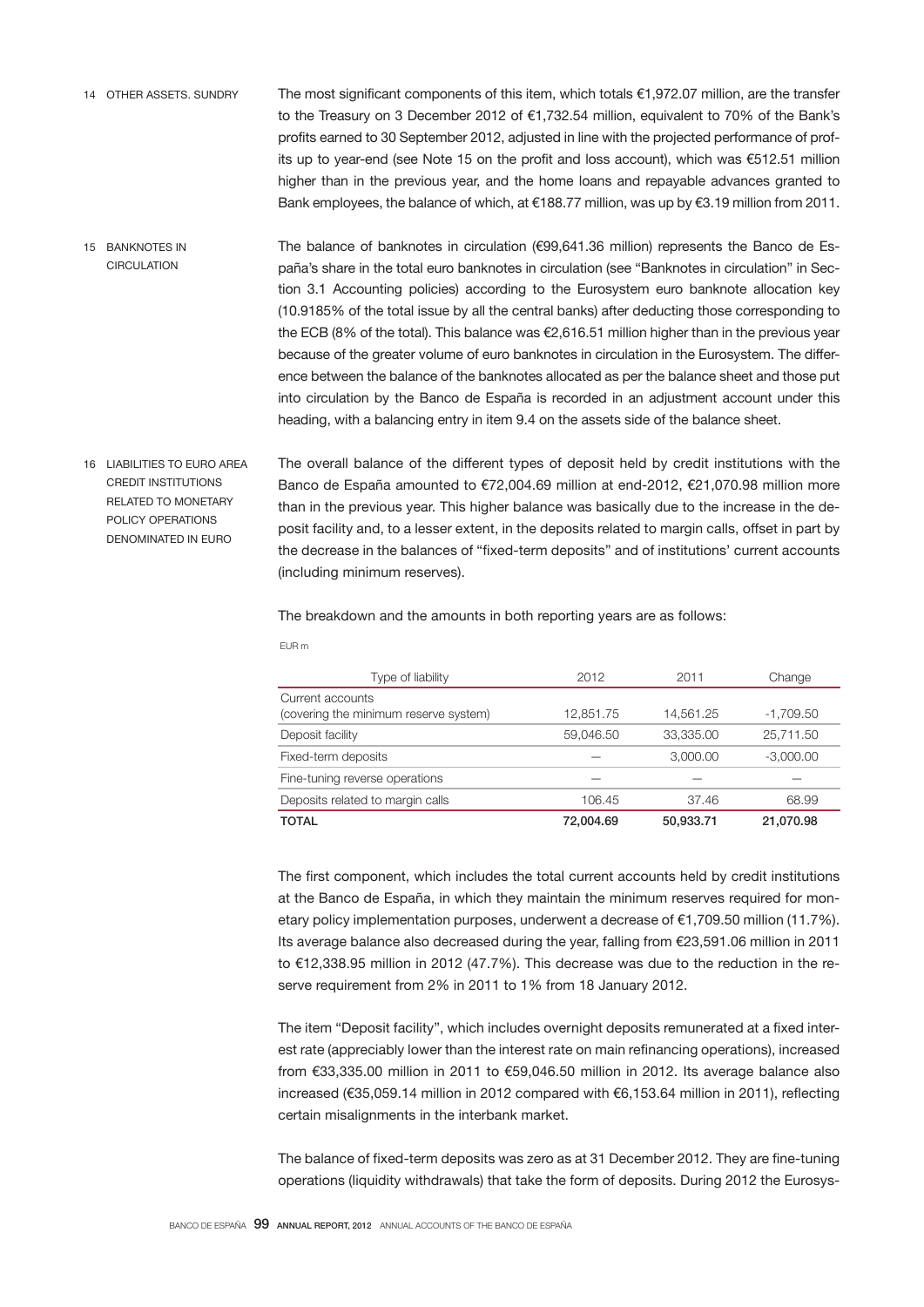- The most significant components of this item, which totals €1,972.07 million, are the transfer to the Treasury on 3 December 2012 of €1,732.54 million, equivalent to 70% of the Bank's profits earned to 30 September 2012, adjusted in line with the projected performance of profits up to year-end (see Note 15 on the profit and loss account), which was €512.51 million higher than in the previous year, and the home loans and repayable advances granted to Bank employees, the balance of which, at €188.77 million, was up by €3.19 million from 2011. 14 OTHER ASSETS. SUNDRY
- The balance of banknotes in circulation (€99,641.36 million) represents the Banco de España's share in the total euro banknotes in circulation (see "Banknotes in circulation" in Section 3.1 Accounting policies) according to the Eurosystem euro banknote allocation key (10.9185% of the total issue by all the central banks) after deducting those corresponding to the ECB (8% of the total). This balance was €2,616.51 million higher than in the previous year because of the greater volume of euro banknotes in circulation in the Eurosystem. The difference between the balance of the banknotes allocated as per the balance sheet and those put into circulation by the Banco de España is recorded in an adjustment account under this heading, with a balancing entry in item 9.4 on the assets side of the balance sheet. 15 BANKNOTES IN **CIRCULATION**
- The overall balance of the different types of deposit held by credit institutions with the Banco de España amounted to €72,004.69 million at end-2012, €21,070.98 million more than in the previous year. This higher balance was basically due to the increase in the deposit facility and, to a lesser extent, in the deposits related to margin calls, offset in part by the decrease in the balances of "fixed-term deposits" and of institutions' current accounts (including minimum reserves). 16 LIABILITIES TO EURO AREA CREDIT INSTITUTIONS RELATED TO MONETARY POLICY OPERATIONS DENOMINATED IN EURO

The breakdown and the amounts in both reporting years are as follows:

| I<br>. .<br>., |  |
|----------------|--|

| Type of liability                     | 2012      | 2011      | Change      |
|---------------------------------------|-----------|-----------|-------------|
| Current accounts                      |           |           |             |
| (covering the minimum reserve system) | 12,851.75 | 14,561.25 | $-1,709.50$ |
| Deposit facility                      | 59,046.50 | 33,335.00 | 25,711.50   |
| Fixed-term deposits                   |           | 3,000.00  | $-3,000.00$ |
| Fine-tuning reverse operations        |           |           |             |
| Deposits related to margin calls      | 106.45    | 37.46     | 68.99       |
| <b>TOTAL</b>                          | 72,004.69 | 50.933.71 | 21.070.98   |

The first component, which includes the total current accounts held by credit institutions at the Banco de España, in which they maintain the minimum reserves required for monetary policy implementation purposes, underwent a decrease of €1,709.50 million (11.7%). Its average balance also decreased during the year, falling from €23,591.06 million in 2011 to €12,338.95 million in 2012 (47.7%). This decrease was due to the reduction in the reserve requirement from 2% in 2011 to 1% from 18 January 2012.

The item "Deposit facility", which includes overnight deposits remunerated at a fixed interest rate (appreciably lower than the interest rate on main refinancing operations), increased from €33,335.00 million in 2011 to €59,046.50 million in 2012. Its average balance also increased (€35,059.14 million in 2012 compared with €6,153.64 million in 2011), reflecting certain misalignments in the interbank market.

The balance of fixed-term deposits was zero as at 31 December 2012. They are fine-tuning operations (liquidity withdrawals) that take the form of deposits. During 2012 the Eurosys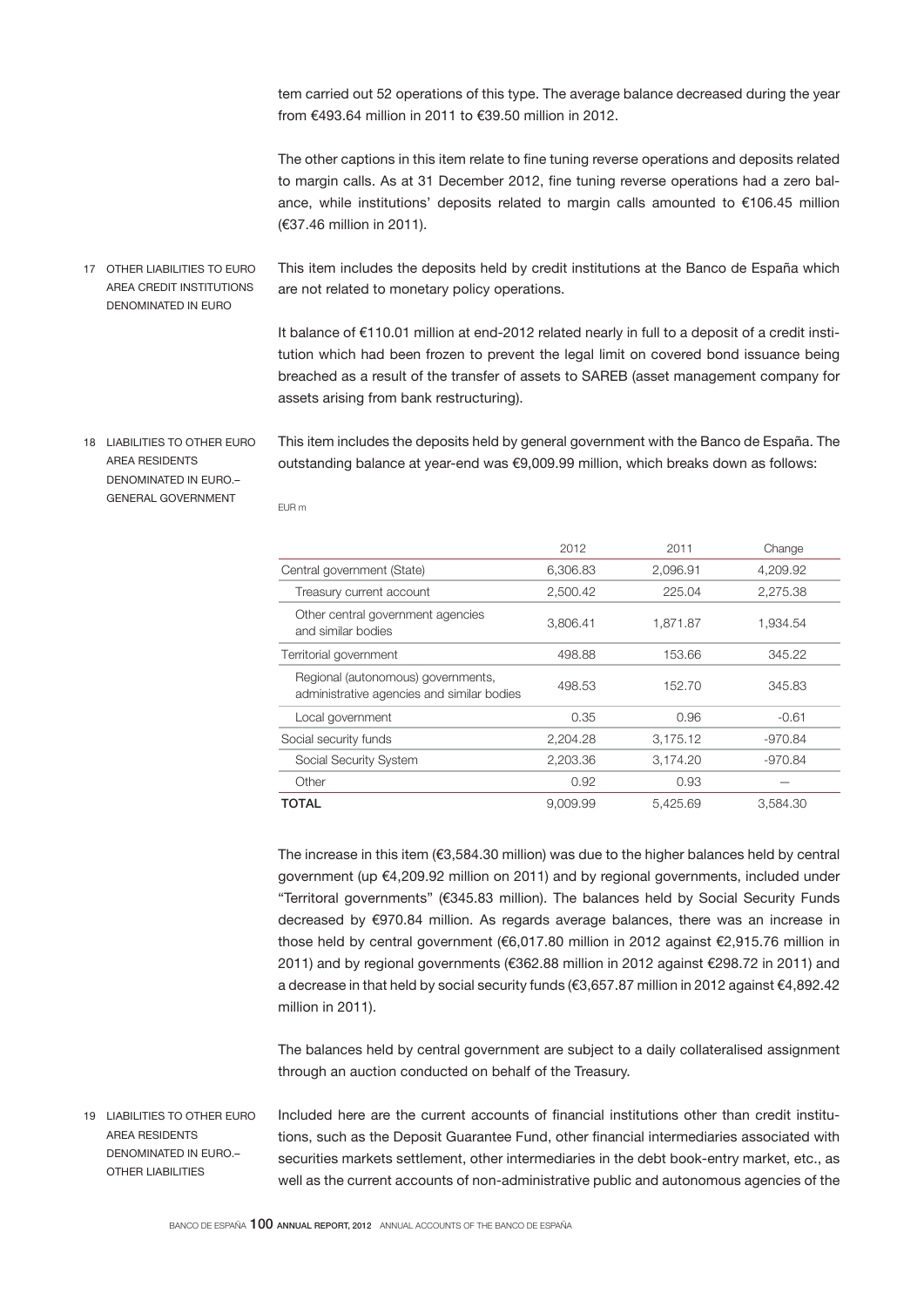tem carried out 52 operations of this type. The average balance decreased during the year from €493.64 million in 2011 to €39.50 million in 2012.

The other captions in this item relate to fine tuning reverse operations and deposits related to margin calls. As at 31 December 2012, fine tuning reverse operations had a zero balance, while institutions' deposits related to margin calls amounted to €106.45 million (€37.46 million in 2011).

This item includes the deposits held by credit institutions at the Banco de España which are not related to monetary policy operations. 17 OTHER LIABILITIES TO EURO AREA CREDIT INSTITUTIONS DENOMINATED IN EURO

> It balance of €110.01 million at end-2012 related nearly in full to a deposit of a credit institution which had been frozen to prevent the legal limit on covered bond issuance being breached as a result of the transfer of assets to SAREB (asset management company for assets arising from bank restructuring).

18 LIABILITIES TO OTHER EURO AREA RESIDENTS DENOMINATED IN EURO.– GENERAL GOVERNMENT

This item includes the deposits held by general government with the Banco de España. The outstanding balance at year-end was €9,009.99 million, which breaks down as follows:

EUR m

|                                                                                  | 2012     | 2011     | Change    |
|----------------------------------------------------------------------------------|----------|----------|-----------|
| Central government (State)                                                       | 6.306.83 | 2.096.91 | 4.209.92  |
| Treasury current account                                                         | 2,500.42 | 225.04   | 2,275.38  |
| Other central government agencies<br>and similar bodies                          | 3.806.41 | 1.871.87 | 1.934.54  |
| Territorial government                                                           | 498.88   | 153.66   | 345.22    |
| Regional (autonomous) governments,<br>administrative agencies and similar bodies | 498.53   | 152.70   | 345.83    |
| Local government                                                                 | 0.35     | 0.96     | $-0.61$   |
| Social security funds                                                            | 2.204.28 | 3,175.12 | $-970.84$ |
| Social Security System                                                           | 2.203.36 | 3.174.20 | $-970.84$ |
| Other                                                                            | 0.92     | 0.93     |           |
| TOTAL                                                                            | 9.009.99 | 5.425.69 | 3.584.30  |

The increase in this item (€3,584.30 million) was due to the higher balances held by central government (up €4,209.92 million on 2011) and by regional governments, included under "Territoral governments" (€345.83 million). The balances held by Social Security Funds decreased by €970.84 million. As regards average balances, there was an increase in those held by central government (€6,017.80 million in 2012 against €2,915.76 million in 2011) and by regional governments (€362.88 million in 2012 against €298.72 in 2011) and a decrease in that held by social security funds (€3,657.87 million in 2012 against €4,892.42 million in 2011).

The balances held by central government are subject to a daily collateralised assignment through an auction conducted on behalf of the Treasury.

19 LIABILITIES TO OTHER EURO AREA RESIDENTS DENOMINATED IN EURO.– OTHER LIABILITIES

Included here are the current accounts of financial institutions other than credit institutions, such as the Deposit Guarantee Fund, other financial intermediaries associated with securities markets settlement, other intermediaries in the debt book-entry market, etc., as well as the current accounts of non-administrative public and autonomous agencies of the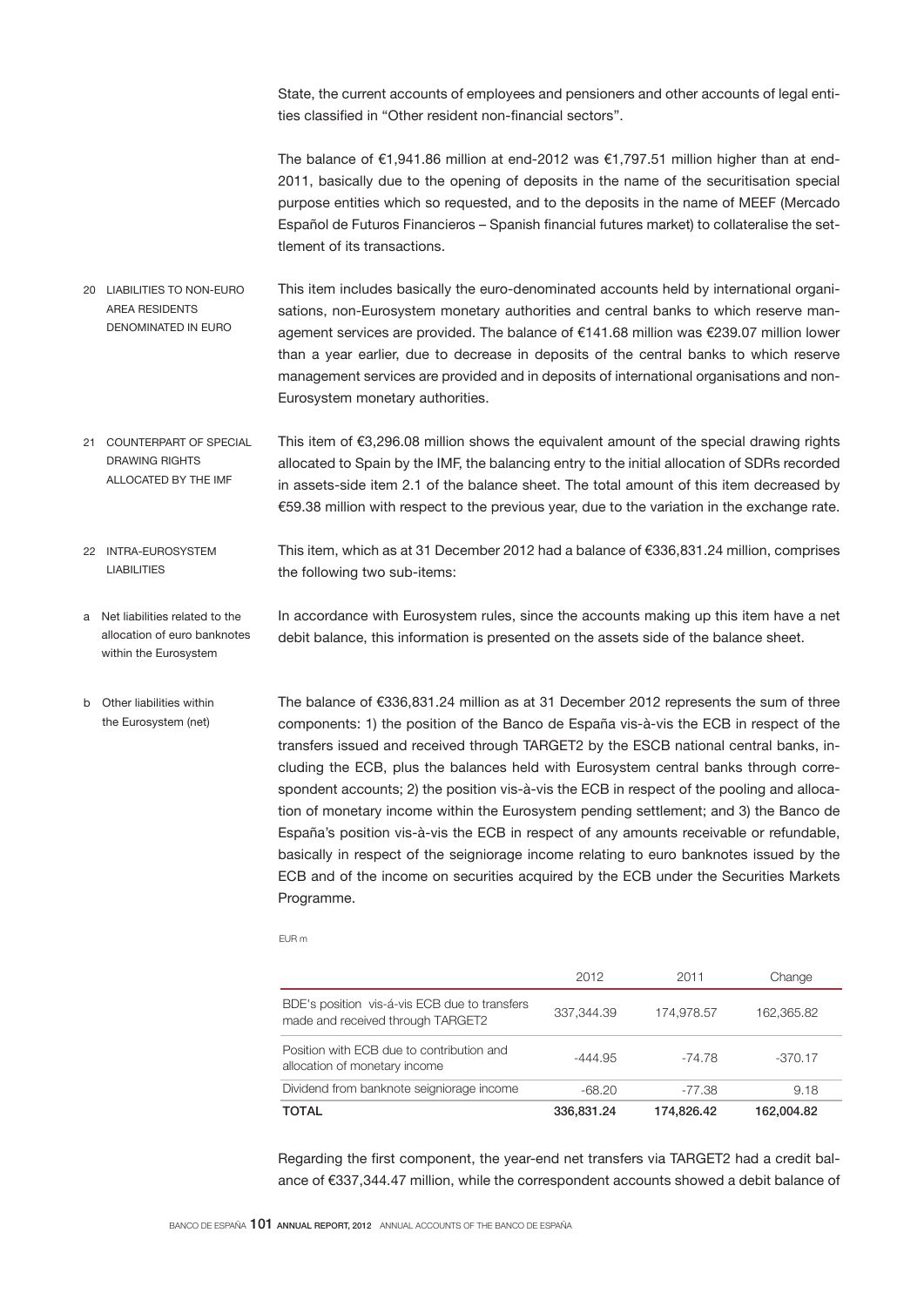State, the current accounts of employees and pensioners and other accounts of legal entities classified in "Other resident non-financial sectors".

The balance of €1,941.86 million at end-2012 was €1,797.51 million higher than at end-2011, basically due to the opening of deposits in the name of the securitisation special purpose entities which so requested, and to the deposits in the name of MEEF (Mercado Español de Futuros Financieros – Spanish financial futures market) to collateralise the settlement of its transactions.

- This item includes basically the euro-denominated accounts held by international organisations, non-Eurosystem monetary authorities and central banks to which reserve management services are provided. The balance of €141.68 million was €239.07 million lower than a year earlier, due to decrease in deposits of the central banks to which reserve management services are provided and in deposits of international organisations and non-Eurosystem monetary authorities. 20 LIABILITIES TO NON-EURO AREA RESIDENTS DENOMINATED IN EURO
- This item of €3,296.08 million shows the equivalent amount of the special drawing rights allocated to Spain by the IMF, the balancing entry to the initial allocation of SDRs recorded in assets-side item 2.1 of the balance sheet. The total amount of this item decreased by €59.38 million with respect to the previous year, due to the variation in the exchange rate. 21 COUNTERPART OF SPECIAL DRAWING RIGHTS ALLOCATED BY THE IMF
- This item, which as at 31 December 2012 had a balance of €336,831.24 million, comprises the following two sub-items: 22 INTRA-EUROSYSTEM LIABILITIES
- In accordance with Eurosystem rules, since the accounts making up this item have a net debit balance, this information is presented on the assets side of the balance sheet. a Net liabilities related to the allocation of euro banknotes within the Eurosystem
- The balance of €336,831.24 million as at 31 December 2012 represents the sum of three components: 1) the position of the Banco de España vis-à-vis the ECB in respect of the transfers issued and received through TARGET2 by the ESCB national central banks, including the ECB, plus the balances held with Eurosystem central banks through correspondent accounts; 2) the position vis-à-vis the ECB in respect of the pooling and allocation of monetary income within the Eurosystem pending settlement; and 3) the Banco de España's position vis-à-vis the ECB in respect of any amounts receivable or refundable, basically in respect of the seigniorage income relating to euro banknotes issued by the ECB and of the income on securities acquired by the ECB under the Securities Markets Programme. b Other liabilities within the Eurosystem (net)

EUR m

| <b>TOTAL</b>                                                                       | 336,831,24 | 174.826.42 | 162.004.82 |
|------------------------------------------------------------------------------------|------------|------------|------------|
| Dividend from banknote seigniorage income                                          | $-68.20$   | $-77.38$   | 9.18       |
| Position with ECB due to contribution and<br>allocation of monetary income         | -444.95    | $-74.78$   | $-370.17$  |
| BDE's position vis-á-vis ECB due to transfers<br>made and received through TARGET2 | 337.344.39 | 174,978.57 | 162,365.82 |
|                                                                                    | 2012       | 2011       | Change     |

Regarding the first component, the year-end net transfers via TARGET2 had a credit balance of €337,344.47 million, while the correspondent accounts showed a debit balance of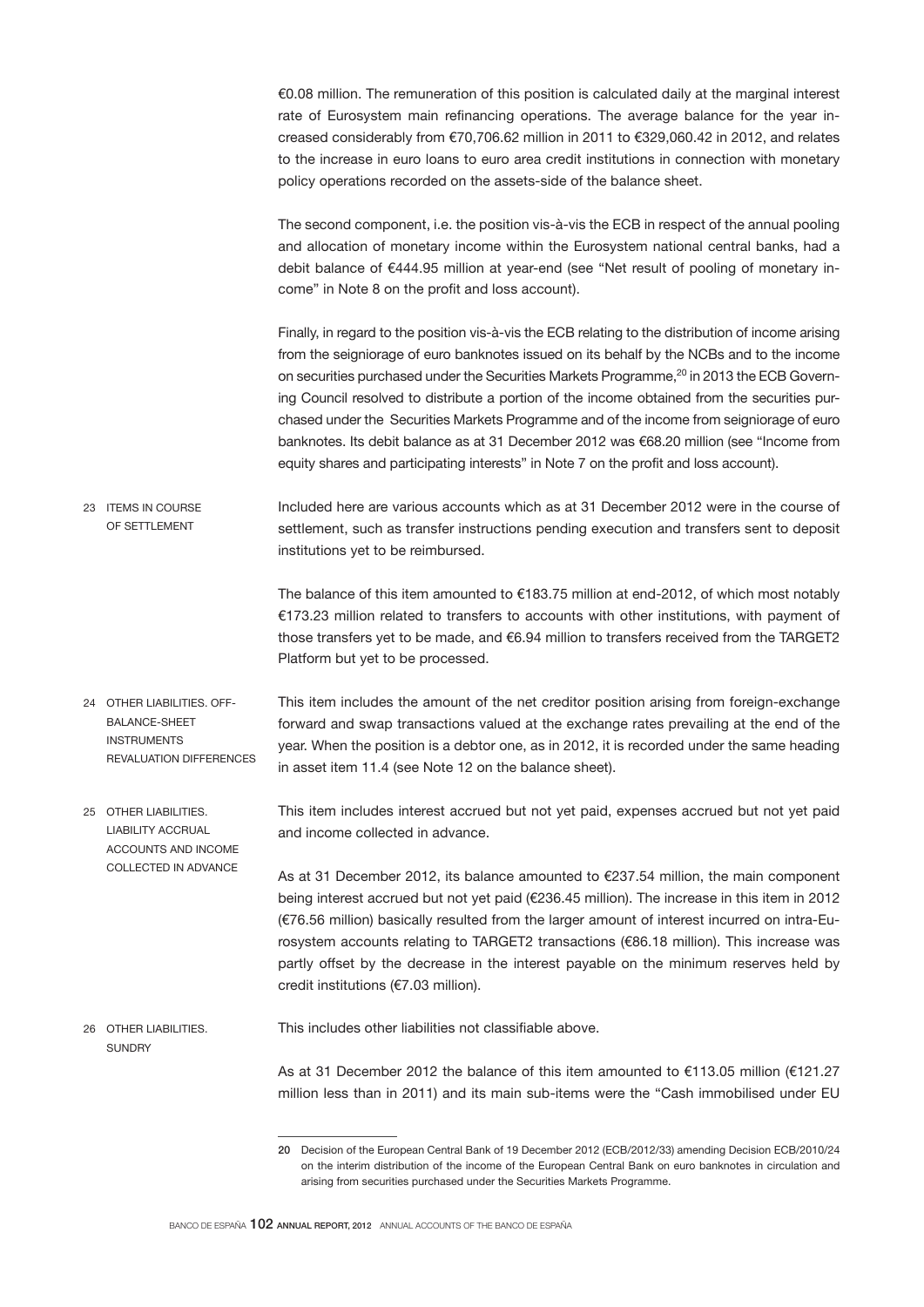€0.08 million. The remuneration of this position is calculated daily at the marginal interest rate of Eurosystem main refinancing operations. The average balance for the year increased considerably from €70,706.62 million in 2011 to €329,060.42 in 2012, and relates to the increase in euro loans to euro area credit institutions in connection with monetary policy operations recorded on the assets-side of the balance sheet.

The second component, i.e. the position vis-à-vis the ECB in respect of the annual pooling and allocation of monetary income within the Eurosystem national central banks, had a debit balance of €444.95 million at year-end (see "Net result of pooling of monetary income" in Note 8 on the profit and loss account).

Finally, in regard to the position vis-à-vis the ECB relating to the distribution of income arising from the seigniorage of euro banknotes issued on its behalf by the NCBs and to the income on securities purchased under the Securities Markets Programme,<sup>20</sup> in 2013 the ECB Governing Council resolved to distribute a portion of the income obtained from the securities purchased under the Securities Markets Programme and of the income from seigniorage of euro banknotes. Its debit balance as at 31 December 2012 was €68.20 million (see "Income from equity shares and participating interests" in Note 7 on the profit and loss account).

Included here are various accounts which as at 31 December 2012 were in the course of settlement, such as transfer instructions pending execution and transfers sent to deposit institutions yet to be reimbursed. 23 ITEMS IN COURSE OF SETTLEMENT

> The balance of this item amounted to €183.75 million at end-2012, of which most notably €173.23 million related to transfers to accounts with other institutions, with payment of those transfers yet to be made, and €6.94 million to transfers received from the TARGET2 Platform but yet to be processed.

- This item includes the amount of the net creditor position arising from foreign-exchange forward and swap transactions valued at the exchange rates prevailing at the end of the year. When the position is a debtor one, as in 2012, it is recorded under the same heading in asset item 11.4 (see Note 12 on the balance sheet). 24 OTHER LIABILITIES OFF-BALANCE-SHEET INSTRUMENTS REVALUATION DIFFERENCES
- This item includes interest accrued but not yet paid, expenses accrued but not yet paid and income collected in advance. As at 31 December 2012, its balance amounted to €237.54 million, the main component 25 OTHER LIABILITIES. LIABILITY ACCRUAL ACCOUNTS AND INCOME COLLECTED IN ADVANCE

being interest accrued but not yet paid (€236.45 million). The increase in this item in 2012 (€76.56 million) basically resulted from the larger amount of interest incurred on intra-Eurosystem accounts relating to TARGET2 transactions (€86.18 million). This increase was partly offset by the decrease in the interest payable on the minimum reserves held by credit institutions (€7.03 million).

This includes other liabilities not classifiable above. 26 OTHER LIABILITIES. **SUNDRY** 

> As at 31 December 2012 the balance of this item amounted to €113.05 million (€121.27 million less than in 2011) and its main sub-items were the "Cash immobilised under EU

<sup>20</sup> Decision of the European Central Bank of 19 December 2012 (ECB/2012/33) amending Decision ECB/2010/24 on the interim distribution of the income of the European Central Bank on euro banknotes in circulation and arising from securities purchased under the Securities Markets Programme.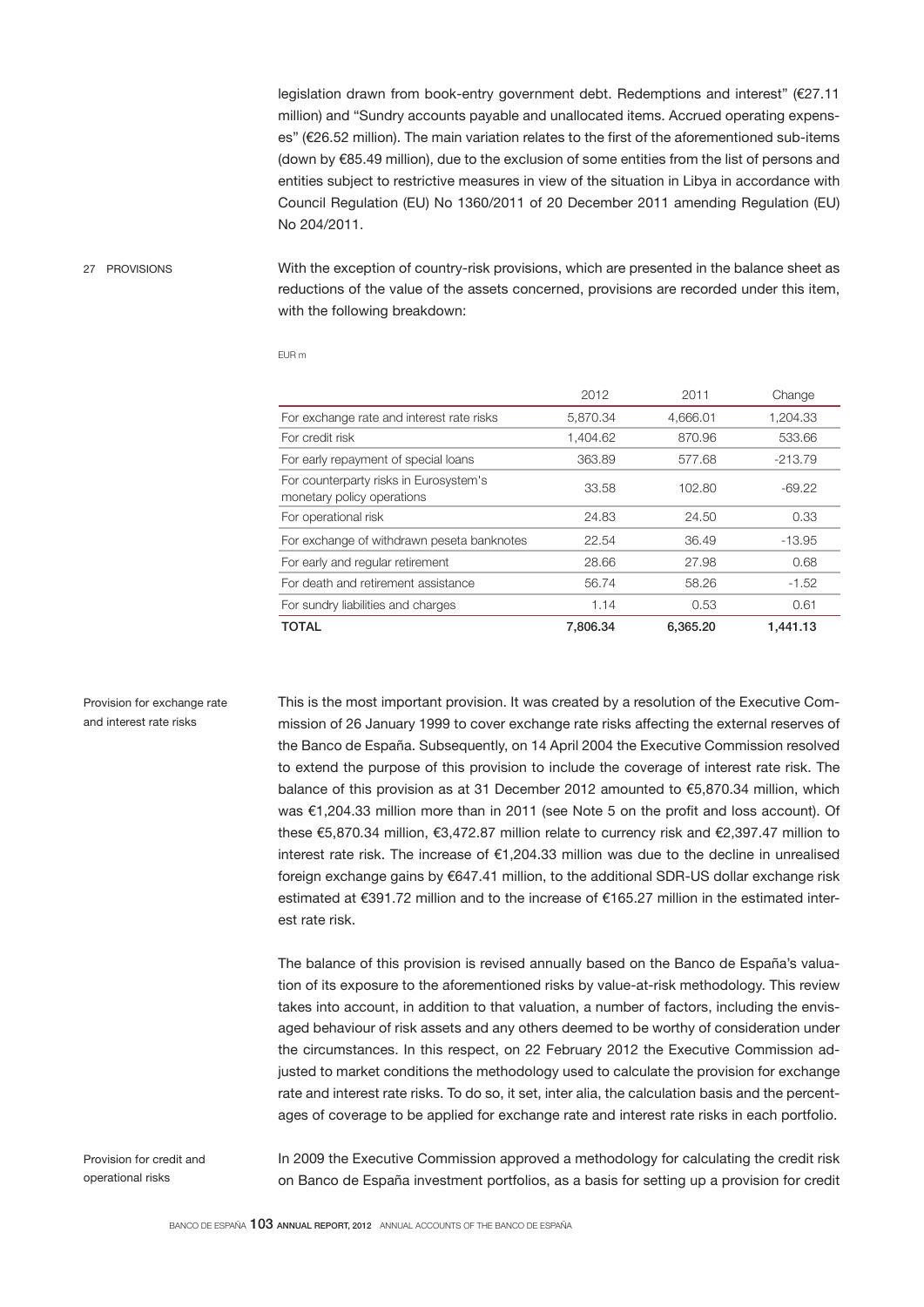legislation drawn from book-entry government debt. Redemptions and interest" (€27.11 million) and "Sundry accounts payable and unallocated items. Accrued operating expenses" (€26.52 million). The main variation relates to the first of the aforementioned sub-items (down by €85.49 million), due to the exclusion of some entities from the list of persons and entities subject to restrictive measures in view of the situation in Libya in accordance with Council Regulation (EU) No 1360/2011 of 20 December 2011 amending Regulation (EU) No 204/2011.

#### 27 PROVISIONS

With the exception of country-risk provisions, which are presented in the balance sheet as reductions of the value of the assets concerned, provisions are recorded under this item, with the following breakdown:

EUR m

|                                                                      | 2012     | 2011     | Change    |
|----------------------------------------------------------------------|----------|----------|-----------|
| For exchange rate and interest rate risks                            | 5.870.34 | 4.666.01 | 1,204.33  |
| For credit risk                                                      | 1.404.62 | 870.96   | 533.66    |
| For early repayment of special loans                                 | 363.89   | 577.68   | $-213.79$ |
| For counterparty risks in Eurosystem's<br>monetary policy operations | 33.58    | 102.80   | $-69.22$  |
| For operational risk                                                 | 24.83    | 24.50    | 0.33      |
| For exchange of withdrawn peseta banknotes                           | 22.54    | 36.49    | $-13.95$  |
| For early and regular retirement                                     | 28.66    | 27.98    | 0.68      |
| For death and retirement assistance                                  | 56.74    | 58.26    | $-1.52$   |
| For sundry liabilities and charges                                   | 1.14     | 0.53     | 0.61      |
| <b>TOTAL</b>                                                         | 7.806.34 | 6.365.20 | 1.441.13  |

#### Provision for exchange rate and interest rate risks

This is the most important provision. It was created by a resolution of the Executive Commission of 26 January 1999 to cover exchange rate risks affecting the external reserves of the Banco de España. Subsequently, on 14 April 2004 the Executive Commission resolved to extend the purpose of this provision to include the coverage of interest rate risk. The balance of this provision as at 31 December 2012 amounted to €5,870.34 million, which was €1,204.33 million more than in 2011 (see Note 5 on the profit and loss account). Of these €5,870.34 million, €3,472.87 million relate to currency risk and €2,397.47 million to interest rate risk. The increase of €1,204.33 million was due to the decline in unrealised foreign exchange gains by €647.41 million, to the additional SDR-US dollar exchange risk estimated at €391.72 million and to the increase of €165.27 million in the estimated interest rate risk.

The balance of this provision is revised annually based on the Banco de España's valuation of its exposure to the aforementioned risks by value-at-risk methodology. This review takes into account, in addition to that valuation, a number of factors, including the envisaged behaviour of risk assets and any others deemed to be worthy of consideration under the circumstances. In this respect, on 22 February 2012 the Executive Commission adjusted to market conditions the methodology used to calculate the provision for exchange rate and interest rate risks. To do so, it set, inter alia, the calculation basis and the percentages of coverage to be applied for exchange rate and interest rate risks in each portfolio.

Provision for credit and operational risks

In 2009 the Executive Commission approved a methodology for calculating the credit risk on Banco de España investment portfolios, as a basis for setting up a provision for credit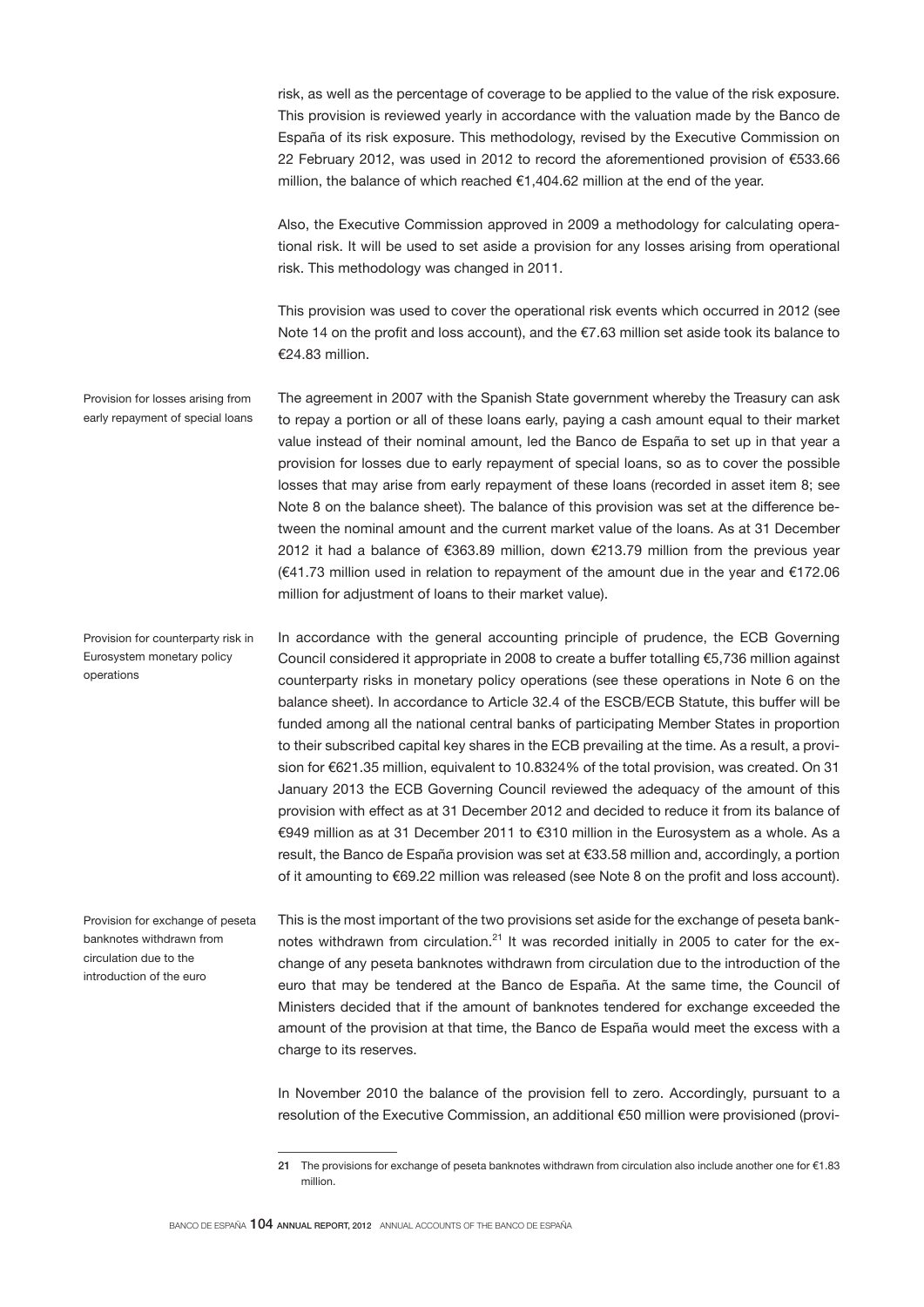risk, as well as the percentage of coverage to be applied to the value of the risk exposure. This provision is reviewed yearly in accordance with the valuation made by the Banco de España of its risk exposure. This methodology, revised by the Executive Commission on 22 February 2012, was used in 2012 to record the aforementioned provision of €533.66 million, the balance of which reached €1,404.62 million at the end of the year.

Also, the Executive Commission approved in 2009 a methodology for calculating operational risk. It will be used to set aside a provision for any losses arising from operational risk. This methodology was changed in 2011.

This provision was used to cover the operational risk events which occurred in 2012 (see Note 14 on the profit and loss account), and the €7.63 million set aside took its balance to  $€24.83$  million

The agreement in 2007 with the Spanish State government whereby the Treasury can ask to repay a portion or all of these loans early, paying a cash amount equal to their market value instead of their nominal amount, led the Banco de España to set up in that year a provision for losses due to early repayment of special loans, so as to cover the possible losses that may arise from early repayment of these loans (recorded in asset item 8; see Note 8 on the balance sheet). The balance of this provision was set at the difference between the nominal amount and the current market value of the loans. As at 31 December 2012 it had a balance of €363.89 million, down €213.79 million from the previous year (€41.73 million used in relation to repayment of the amount due in the year and €172.06 million for adjustment of loans to their market value). Provision for losses arising from early repayment of special loans

In accordance with the general accounting principle of prudence, the ECB Governing Council considered it appropriate in 2008 to create a buffer totalling €5,736 million against counterparty risks in monetary policy operations (see these operations in Note 6 on the balance sheet). In accordance to Article 32.4 of the ESCB/ECB Statute, this buffer will be funded among all the national central banks of participating Member States in proportion to their subscribed capital key shares in the ECB prevailing at the time. As a result, a provision for €621.35 million, equivalent to 10.8324% of the total provision, was created. On 31 January 2013 the ECB Governing Council reviewed the adequacy of the amount of this provision with effect as at 31 December 2012 and decided to reduce it from its balance of €949 million as at 31 December 2011 to €310 million in the Eurosystem as a whole. As a result, the Banco de España provision was set at €33.58 million and, accordingly, a portion of it amounting to €69.22 million was released (see Note 8 on the profit and loss account). Provision for counterparty risk in Eurosystem monetary policy operations

Provision for exchange of peseta banknotes withdrawn from circulation due to the introduction of the euro

This is the most important of the two provisions set aside for the exchange of peseta banknotes withdrawn from circulation.<sup>21</sup> It was recorded initially in 2005 to cater for the exchange of any peseta banknotes withdrawn from circulation due to the introduction of the euro that may be tendered at the Banco de España. At the same time, the Council of Ministers decided that if the amount of banknotes tendered for exchange exceeded the amount of the provision at that time, the Banco de España would meet the excess with a charge to its reserves.

In November 2010 the balance of the provision fell to zero. Accordingly, pursuant to a resolution of the Executive Commission, an additional €50 million were provisioned (provi-

<sup>21</sup> The provisions for exchange of peseta banknotes withdrawn from circulation also include another one for €1.83 million.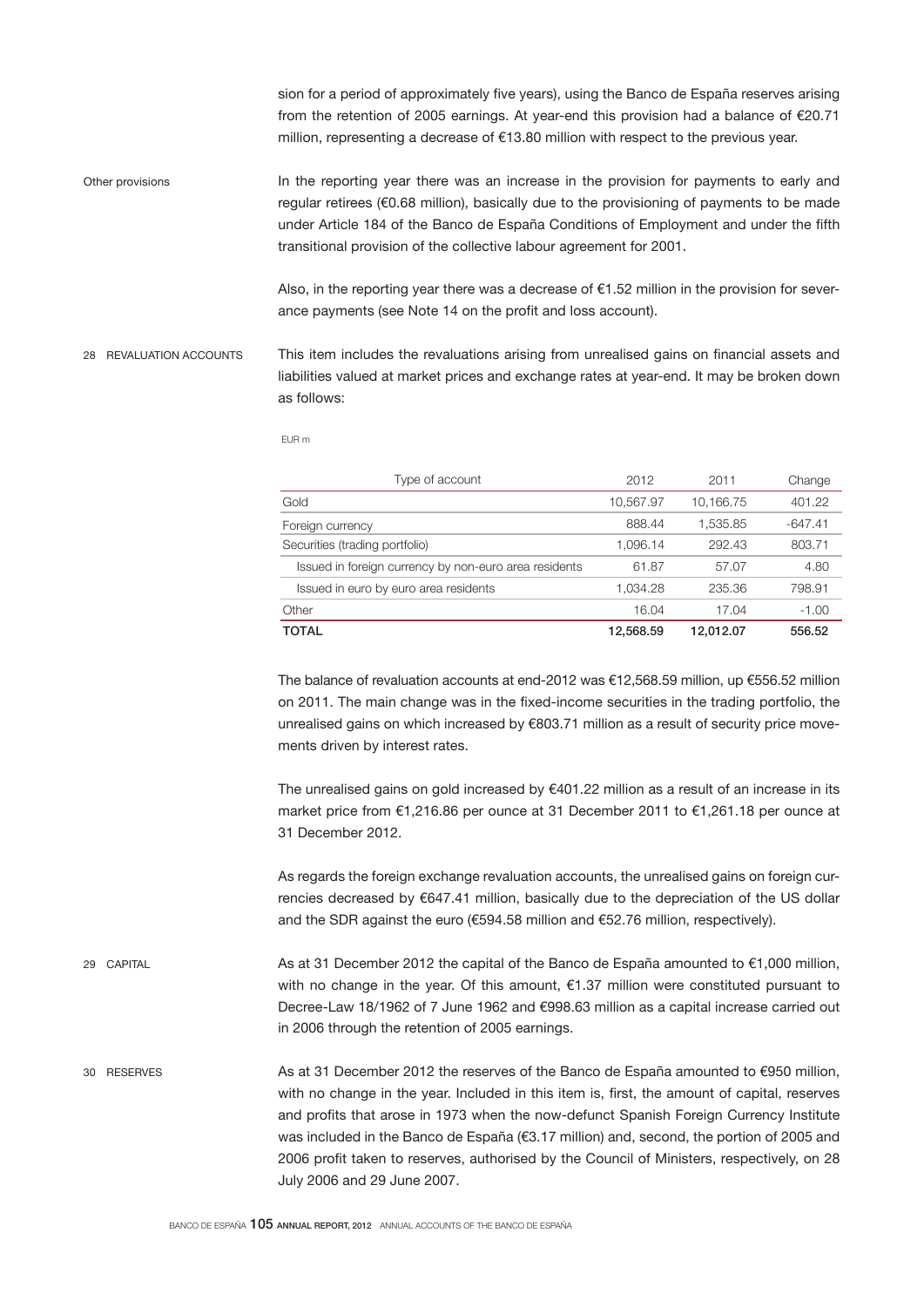sion for a period of approximately five years), using the Banco de España reserves arising from the retention of 2005 earnings. At year-end this provision had a balance of €20.71 million, representing a decrease of €13.80 million with respect to the previous year.

In the reporting year there was an increase in the provision for payments to early and regular retirees (€0.68 million), basically due to the provisioning of payments to be made under Article 184 of the Banco de España Conditions of Employment and under the fifth transitional provision of the collective labour agreement for 2001. Other provisions

> Also, in the reporting year there was a decrease of €1.52 million in the provision for severance payments (see Note 14 on the profit and loss account).

This item includes the revaluations arising from unrealised gains on financial assets and liabilities valued at market prices and exchange rates at year-end. It may be broken down as follows: 28 REVALUATION ACCOUNTS

EUR m

| Type of account                                       | 2012      | 2011      | Change    |
|-------------------------------------------------------|-----------|-----------|-----------|
| Gold                                                  | 10.567.97 | 10.166.75 | 401.22    |
| Foreign currency                                      | 888.44    | 1.535.85  | $-647.41$ |
| Securities (trading portfolio)                        | 1.096.14  | 292.43    | 803.71    |
| Issued in foreign currency by non-euro area residents | 61.87     | 57.07     | 4.80      |
| Issued in euro by euro area residents                 | 1,034.28  | 235.36    | 798.91    |
| Other                                                 | 16.04     | 17.04     | $-1.00$   |
| <b>TOTAL</b>                                          | 12.568.59 | 12.012.07 | 556.52    |

The balance of revaluation accounts at end-2012 was €12,568.59 million, up €556.52 million on 2011. The main change was in the fixed-income securities in the trading portfolio, the unrealised gains on which increased by €803.71 million as a result of security price movements driven by interest rates.

The unrealised gains on gold increased by €401.22 million as a result of an increase in its market price from €1,216.86 per ounce at 31 December 2011 to €1,261.18 per ounce at 31 December 2012.

As regards the foreign exchange revaluation accounts, the unrealised gains on foreign currencies decreased by €647.41 million, basically due to the depreciation of the US dollar and the SDR against the euro (€594.58 million and €52.76 million, respectively).

As at 31 December 2012 the capital of the Banco de España amounted to €1,000 million, with no change in the year. Of this amount, €1.37 million were constituted pursuant to Decree-Law 18/1962 of 7 June 1962 and €998.63 million as a capital increase carried out in 2006 through the retention of 2005 earnings. 29 CAPITAL

As at 31 December 2012 the reserves of the Banco de España amounted to €950 million, with no change in the year. Included in this item is, first, the amount of capital, reserves and profits that arose in 1973 when the now-defunct Spanish Foreign Currency Institute was included in the Banco de España (€3.17 million) and, second, the portion of 2005 and 2006 profit taken to reserves, authorised by the Council of Ministers, respectively, on 28 July 2006 and 29 June 2007. 30 RESERVES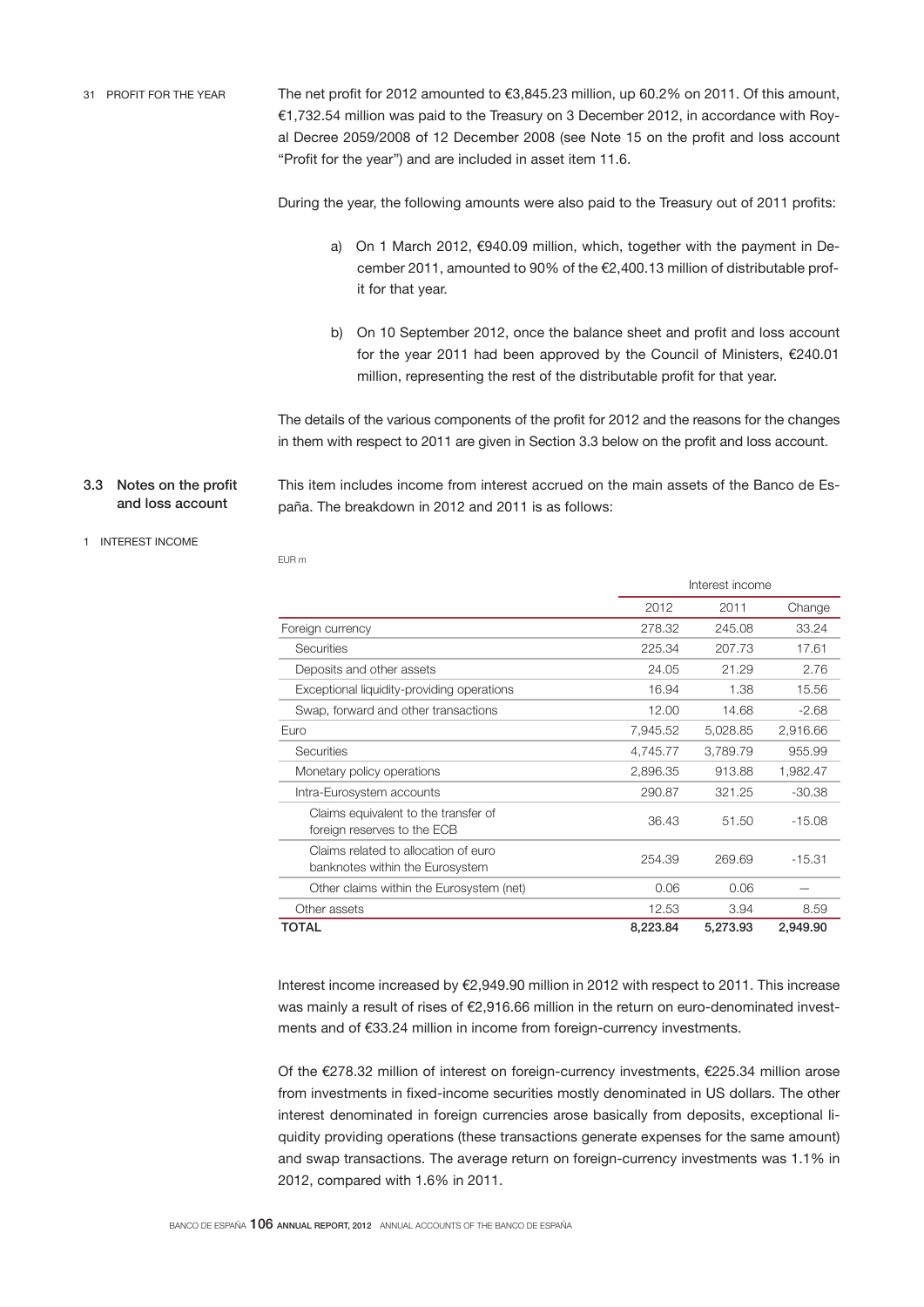The net profit for 2012 amounted to €3,845.23 million, up 60.2% on 2011. Of this amount, €1,732.54 million was paid to the Treasury on 3 December 2012, in accordance with Royal Decree 2059/2008 of 12 December 2008 (see Note 15 on the profit and loss account "Profit for the year") and are included in asset item 11.6. 31 PROFIT FOR THE YEAR

During the year, the following amounts were also paid to the Treasury out of 2011 profits:

- a) On 1 March 2012, €940.09 million, which, together with the payment in December 2011, amounted to 90% of the €2,400.13 million of distributable profit for that year.
- b) On 10 September 2012, once the balance sheet and profit and loss account for the year 2011 had been approved by the Council of Ministers, €240.01 million, representing the rest of the distributable profit for that year.

The details of the various components of the profit for 2012 and the reasons for the changes in them with respect to 2011 are given in Section 3.3 below on the profit and loss account.

3.3 Notes on the profit and loss account

EUR m

This item includes income from interest accrued on the main assets of the Banco de España. The breakdown in 2012 and 2011 is as follows:

## 1 INTEREST INCOME

|                                                                         |          | Interest income |          |  |
|-------------------------------------------------------------------------|----------|-----------------|----------|--|
|                                                                         | 2012     | 2011            | Change   |  |
| Foreign currency                                                        | 278.32   | 245.08          | 33.24    |  |
| <b>Securities</b>                                                       | 225.34   | 207.73          | 17.61    |  |
| Deposits and other assets                                               | 24.05    | 21.29           | 2.76     |  |
| Exceptional liquidity-providing operations                              | 16.94    | 1.38            | 15.56    |  |
| Swap, forward and other transactions                                    | 12.00    | 14.68           | $-2.68$  |  |
| Euro                                                                    | 7,945.52 | 5,028.85        | 2,916.66 |  |
| <b>Securities</b>                                                       | 4,745.77 | 3,789.79        | 955.99   |  |
| Monetary policy operations                                              | 2,896.35 | 913.88          | 1,982.47 |  |
| Intra-Eurosystem accounts                                               | 290.87   | 321.25          | $-30.38$ |  |
| Claims equivalent to the transfer of<br>foreign reserves to the ECB     | 36.43    | 51.50           | $-15.08$ |  |
| Claims related to allocation of euro<br>banknotes within the Eurosystem | 254.39   | 269.69          | $-15.31$ |  |
| Other claims within the Eurosystem (net)                                | 0.06     | 0.06            |          |  |
| Other assets                                                            | 12.53    | 3.94            | 8.59     |  |
| TOTAL                                                                   | 8,223.84 | 5,273.93        | 2,949.90 |  |

Interest income increased by €2,949.90 million in 2012 with respect to 2011. This increase was mainly a result of rises of €2,916.66 million in the return on euro-denominated investments and of €33.24 million in income from foreign-currency investments.

Of the €278.32 million of interest on foreign-currency investments, €225.34 million arose from investments in fixed-income securities mostly denominated in US dollars. The other interest denominated in foreign currencies arose basically from deposits, exceptional liquidity providing operations (these transactions generate expenses for the same amount) and swap transactions. The average return on foreign-currency investments was 1.1% in 2012, compared with 1.6% in 2011.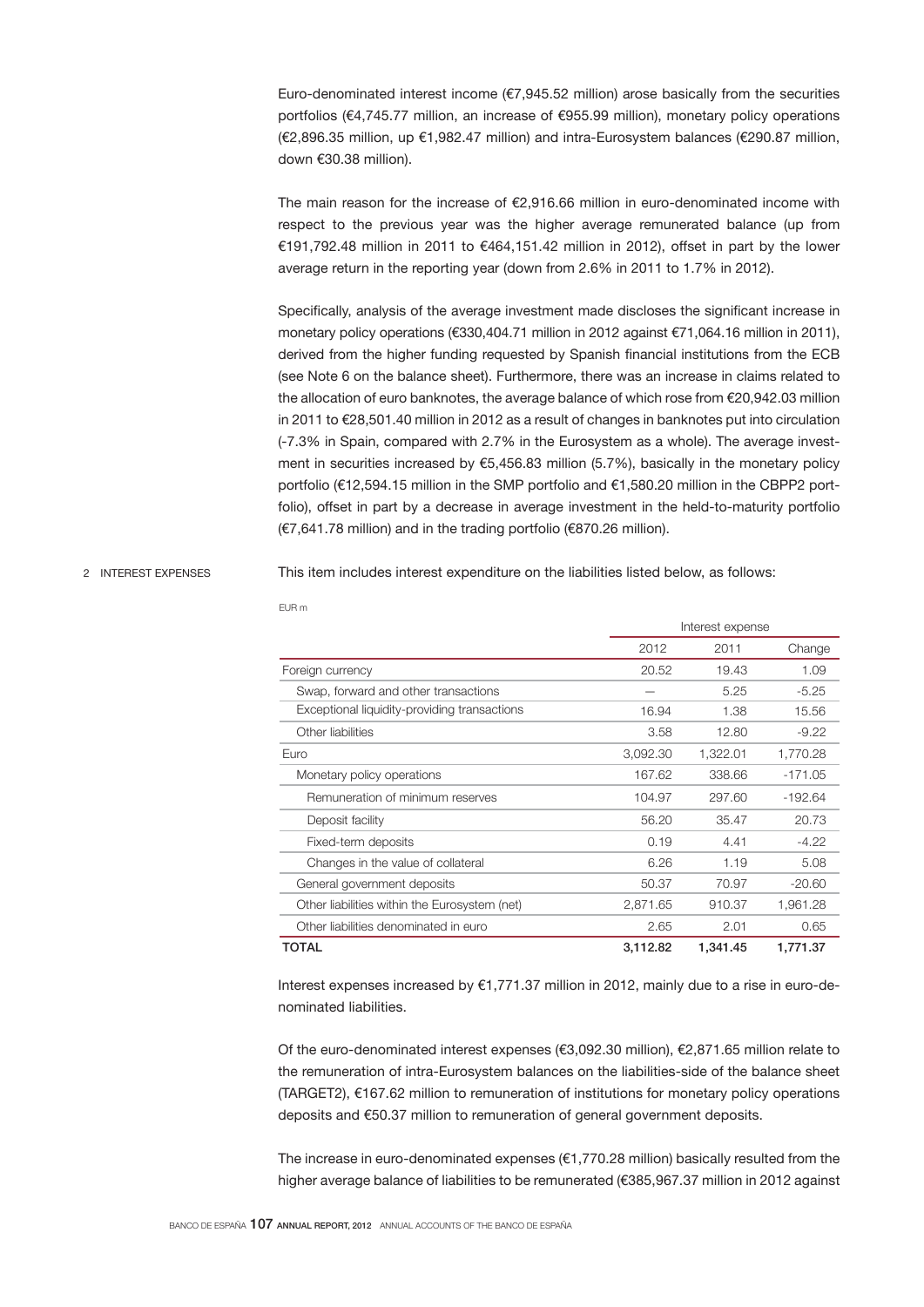Euro-denominated interest income ( $\epsilon$ 7,945.52 million) arose basically from the securities portfolios (€4,745.77 million, an increase of €955.99 million), monetary policy operations (€2,896.35 million, up €1,982.47 million) and intra-Eurosystem balances (€290.87 million, down €30.38 million).

The main reason for the increase of  $\epsilon$ 2.916.66 million in euro-denominated income with respect to the previous year was the higher average remunerated balance (up from €191,792.48 million in 2011 to €464,151.42 million in 2012), offset in part by the lower average return in the reporting year (down from 2.6% in 2011 to 1.7% in 2012).

Specifically, analysis of the average investment made discloses the significant increase in monetary policy operations (€330,404.71 million in 2012 against €71,064.16 million in 2011), derived from the higher funding requested by Spanish financial institutions from the ECB (see Note 6 on the balance sheet). Furthermore, there was an increase in claims related to the allocation of euro banknotes, the average balance of which rose from €20,942.03 million in 2011 to €28,501.40 million in 2012 as a result of changes in banknotes put into circulation (-7.3% in Spain, compared with 2.7% in the Eurosystem as a whole). The average investment in securities increased by  $€5,456.83$  million (5.7%), basically in the monetary policy portfolio (€12,594.15 million in the SMP portfolio and €1,580.20 million in the CBPP2 portfolio), offset in part by a decrease in average investment in the held-to-maturity portfolio (€7,641.78 million) and in the trading portfolio (€870.26 million).

#### 2 INTEREST EXPENSES

This item includes interest expenditure on the liabilities listed below, as follows:

|                                               | Interest expense |          |           |  |
|-----------------------------------------------|------------------|----------|-----------|--|
|                                               | 2012             | 2011     | Change    |  |
| Foreign currency                              | 20.52            | 19.43    | 1.09      |  |
| Swap, forward and other transactions          |                  | 5.25     | $-5.25$   |  |
| Exceptional liquidity-providing transactions  | 16.94            | 1.38     | 15.56     |  |
| Other liabilities                             | 3.58             | 12.80    | $-9.22$   |  |
| Euro                                          | 3,092.30         | 1,322.01 | 1,770.28  |  |
| Monetary policy operations                    | 167.62           | 338.66   | $-171.05$ |  |
| Remuneration of minimum reserves              | 104.97           | 297.60   | $-192.64$ |  |
| Deposit facility                              | 56.20            | 35.47    | 20.73     |  |
| Fixed-term deposits                           | 0.19             | 4.41     | $-4.22$   |  |
| Changes in the value of collateral            | 6.26             | 1.19     | 5.08      |  |
| General government deposits                   | 50.37            | 70.97    | $-20.60$  |  |
| Other liabilities within the Eurosystem (net) | 2,871.65         | 910.37   | 1,961.28  |  |
| Other liabilities denominated in euro         | 2.65             | 2.01     | 0.65      |  |
| TOTAL                                         | 3,112.82         | 1.341.45 | 1.771.37  |  |

Interest expenses increased by €1,771.37 million in 2012, mainly due to a rise in euro-denominated liabilities.

Of the euro-denominated interest expenses (€3,092.30 million), €2,871.65 million relate to the remuneration of intra-Eurosystem balances on the liabilities-side of the balance sheet (TARGET2), €167.62 million to remuneration of institutions for monetary policy operations deposits and €50.37 million to remuneration of general government deposits.

The increase in euro-denominated expenses (€1,770.28 million) basically resulted from the higher average balance of liabilities to be remunerated (€385,967.37 million in 2012 against

EUR m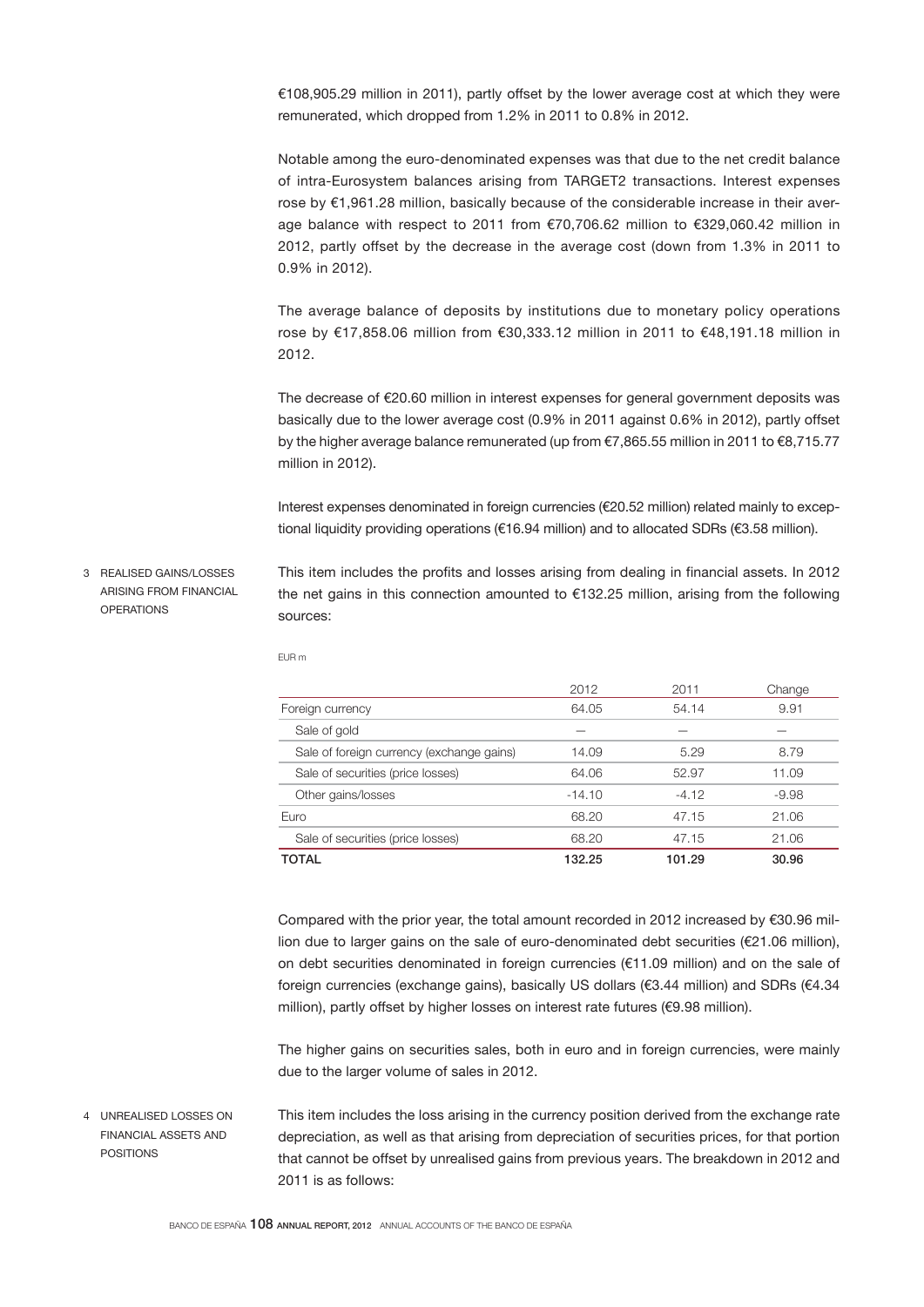€108,905.29 million in 2011), partly offset by the lower average cost at which they were remunerated, which dropped from 1.2% in 2011 to 0.8% in 2012.

Notable among the euro-denominated expenses was that due to the net credit balance of intra-Eurosystem balances arising from TARGET2 transactions. Interest expenses rose by €1,961.28 million, basically because of the considerable increase in their average balance with respect to 2011 from €70,706.62 million to €329,060.42 million in 2012, partly offset by the decrease in the average cost (down from 1.3% in 2011 to 0.9% in 2012).

The average balance of deposits by institutions due to monetary policy operations rose by €17,858.06 million from €30,333.12 million in 2011 to €48,191.18 million in 2012.

The decrease of €20.60 million in interest expenses for general government deposits was basically due to the lower average cost (0.9% in 2011 against 0.6% in 2012), partly offset by the higher average balance remunerated (up from €7,865.55 million in 2011 to €8,715.77 million in 2012).

Interest expenses denominated in foreign currencies (€20.52 million) related mainly to exceptional liquidity providing operations (€16.94 million) and to allocated SDRs (€3.58 million).

This item includes the profits and losses arising from dealing in financial assets. In 2012 the net gains in this connection amounted to  $€132.25$  million, arising from the following sources: 3 REALISED GAINS/LOSSES ARISING FROM FINANCIAL **OPERATIONS** 

|                                           | 2012     | 2011    | Change  |
|-------------------------------------------|----------|---------|---------|
| Foreign currency                          | 64.05    | 54.14   | 9.91    |
| Sale of gold                              |          |         |         |
| Sale of foreign currency (exchange gains) | 14.09    | 5.29    | 8.79    |
| Sale of securities (price losses)         | 64.06    | 52.97   | 11.09   |
| Other gains/losses                        | $-14.10$ | $-4.12$ | $-9.98$ |
| Euro                                      | 68.20    | 47.15   | 21.06   |
| Sale of securities (price losses)         | 68.20    | 47.15   | 21.06   |
| TOTAL                                     | 132.25   | 101.29  | 30.96   |

EUR m

Compared with the prior year, the total amount recorded in 2012 increased by €30.96 million due to larger gains on the sale of euro-denominated debt securities (€21.06 million), on debt securities denominated in foreign currencies (€11.09 million) and on the sale of foreign currencies (exchange gains), basically US dollars (€3.44 million) and SDRs (€4.34 million), partly offset by higher losses on interest rate futures (€9.98 million).

The higher gains on securities sales, both in euro and in foreign currencies, were mainly due to the larger volume of sales in 2012.

This item includes the loss arising in the currency position derived from the exchange rate depreciation, as well as that arising from depreciation of securities prices, for that portion that cannot be offset by unrealised gains from previous years. The breakdown in 2012 and 2011 is as follows: 4 UNREALISED LOSSES ON FINANCIAL ASSETS AND POSITIONS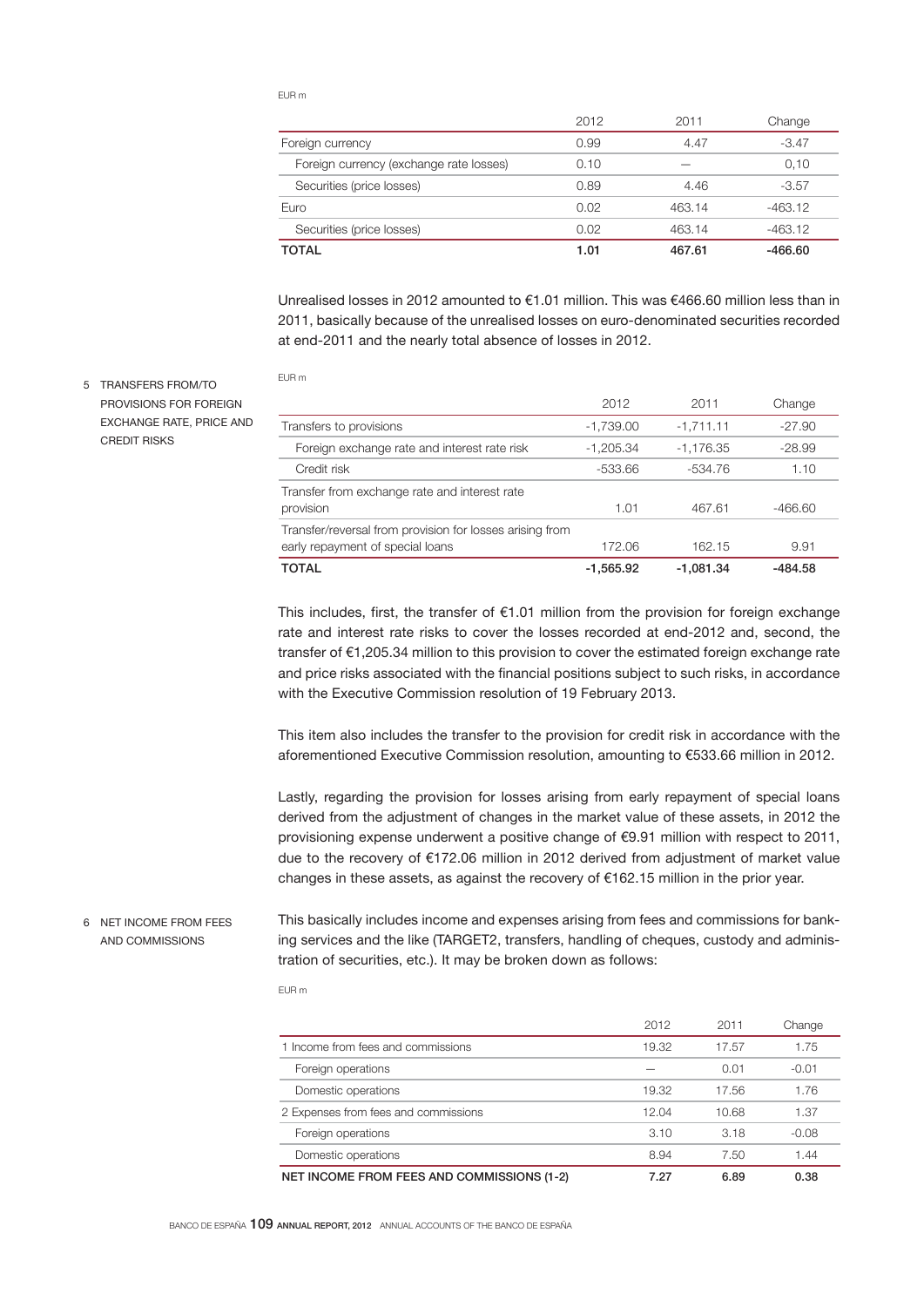EUR m

EUR m

|                                         | 2012 | 2011   | Change    |
|-----------------------------------------|------|--------|-----------|
| Foreign currency                        | 0.99 | 4.47   | $-3.47$   |
| Foreign currency (exchange rate losses) | 0.10 |        | 0,10      |
| Securities (price losses)               | 0.89 | 4.46   | $-3.57$   |
| Euro                                    | 0.02 | 463.14 | $-463.12$ |
| Securities (price losses)               | 0.02 | 463.14 | $-463.12$ |
| <b>TOTAL</b>                            | 1.01 | 467.61 | $-466.60$ |

Unrealised losses in 2012 amounted to €1.01 million. This was €466.60 million less than in 2011, basically because of the unrealised losses on euro-denominated securities recorded at end-2011 and the nearly total absence of losses in 2012.

5 TRANSFERS FROM/TO PROVISIONS FOR FOREIGN EXCHANGE RATE, PRICE AND CREDIT RISKS

|                                                                                              | 2012        | 2011        | Change    |
|----------------------------------------------------------------------------------------------|-------------|-------------|-----------|
| Transfers to provisions                                                                      | $-1,739.00$ | $-1,711.11$ | $-27.90$  |
| Foreign exchange rate and interest rate risk                                                 | $-1.205.34$ | $-1.176.35$ | $-28.99$  |
| Credit risk                                                                                  | -533.66     | -534.76     | 1.10      |
| Transfer from exchange rate and interest rate<br>provision                                   | 1.01        | 467.61      | $-466.60$ |
| Transfer/reversal from provision for losses arising from<br>early repayment of special loans | 172.06      | 162.15      | 9.91      |
| <b>TOTAL</b>                                                                                 | $-1,565.92$ | $-1.081.34$ | -484.58   |

This includes, first, the transfer of  $\epsilon$ 1.01 million from the provision for foreign exchange rate and interest rate risks to cover the losses recorded at end-2012 and, second, the transfer of €1,205.34 million to this provision to cover the estimated foreign exchange rate and price risks associated with the financial positions subject to such risks, in accordance with the Executive Commission resolution of 19 February 2013.

This item also includes the transfer to the provision for credit risk in accordance with the aforementioned Executive Commission resolution, amounting to €533.66 million in 2012.

Lastly, regarding the provision for losses arising from early repayment of special loans derived from the adjustment of changes in the market value of these assets, in 2012 the provisioning expense underwent a positive change of €9.91 million with respect to 2011, due to the recovery of €172.06 million in 2012 derived from adjustment of market value changes in these assets, as against the recovery of €162.15 million in the prior year.

6 NET INCOME FROM FEES AND COMMISSIONS

This basically includes income and expenses arising from fees and commissions for banking services and the like (TARGET2, transfers, handling of cheques, custody and administration of securities, etc.). It may be broken down as follows:

EUR m

|                                            | 2012  | 2011  | Change  |
|--------------------------------------------|-------|-------|---------|
| 1 Income from fees and commissions         | 19.32 | 17.57 | 1.75    |
| Foreign operations                         |       | 0.01  | $-0.01$ |
| Domestic operations                        | 19.32 | 17.56 | 1.76    |
| 2 Expenses from fees and commissions       | 12.04 | 10.68 | 1.37    |
| Foreign operations                         | 3.10  | 3.18  | $-0.08$ |
| Domestic operations                        | 8.94  | 7.50  | 1.44    |
| NET INCOME FROM FEES AND COMMISSIONS (1-2) | 7.27  | 6.89  | 0.38    |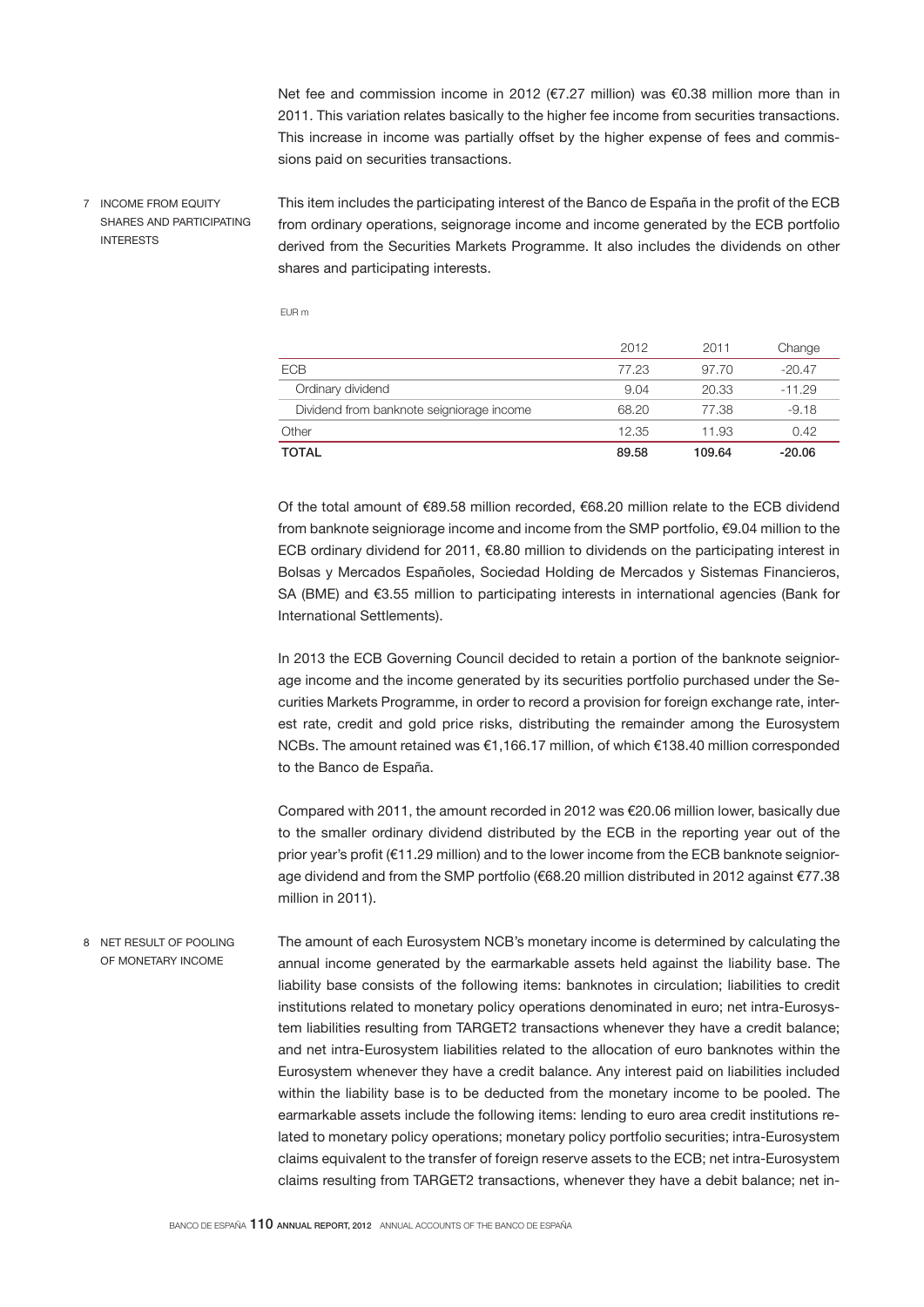Net fee and commission income in 2012 (€7.27 million) was €0.38 million more than in 2011. This variation relates basically to the higher fee income from securities transactions. This increase in income was partially offset by the higher expense of fees and commissions paid on securities transactions.

7 INCOME FROM EQUITY SHARES AND PARTICIPATING INTERESTS

This item includes the participating interest of the Banco de España in the profit of the ECB from ordinary operations, seignorage income and income generated by the ECB portfolio derived from the Securities Markets Programme. It also includes the dividends on other shares and participating interests.

EUR m

|                                           | 2012  | 2011   | Change   |
|-------------------------------------------|-------|--------|----------|
| <b>ECB</b>                                | 77.23 | 97.70  | $-20.47$ |
| Ordinary dividend                         | 9.04  | 20.33  | $-11.29$ |
| Dividend from banknote seigniorage income | 68.20 | 77.38  | $-9.18$  |
| Other                                     | 12.35 | 11.93  | 0.42     |
| <b>TOTAL</b>                              | 89.58 | 109.64 | $-20.06$ |

Of the total amount of €89.58 million recorded, €68.20 million relate to the ECB dividend from banknote seigniorage income and income from the SMP portfolio, €9.04 million to the ECB ordinary dividend for 2011, €8.80 million to dividends on the participating interest in Bolsas y Mercados Españoles, Sociedad Holding de Mercados y Sistemas Financieros, SA (BME) and €3.55 million to participating interests in international agencies (Bank for International Settlements).

In 2013 the ECB Governing Council decided to retain a portion of the banknote seigniorage income and the income generated by its securities portfolio purchased under the Securities Markets Programme, in order to record a provision for foreign exchange rate, interest rate, credit and gold price risks, distributing the remainder among the Eurosystem NCBs. The amount retained was €1,166.17 million, of which €138.40 million corresponded to the Banco de España.

Compared with 2011, the amount recorded in 2012 was €20.06 million lower, basically due to the smaller ordinary dividend distributed by the ECB in the reporting year out of the prior year's profit (€11.29 million) and to the lower income from the ECB banknote seigniorage dividend and from the SMP portfolio (€68.20 million distributed in 2012 against €77.38 million in 2011).

The amount of each Eurosystem NCB's monetary income is determined by calculating the annual income generated by the earmarkable assets held against the liability base. The liability base consists of the following items: banknotes in circulation; liabilities to credit institutions related to monetary policy operations denominated in euro; net intra-Eurosystem liabilities resulting from TARGET2 transactions whenever they have a credit balance; and net intra-Eurosystem liabilities related to the allocation of euro banknotes within the Eurosystem whenever they have a credit balance. Any interest paid on liabilities included within the liability base is to be deducted from the monetary income to be pooled. The earmarkable assets include the following items: lending to euro area credit institutions related to monetary policy operations; monetary policy portfolio securities; intra-Eurosystem claims equivalent to the transfer of foreign reserve assets to the ECB; net intra-Eurosystem claims resulting from TARGET2 transactions, whenever they have a debit balance; net in-8 NET RESULT OF POOLING OF MONETARY INCOME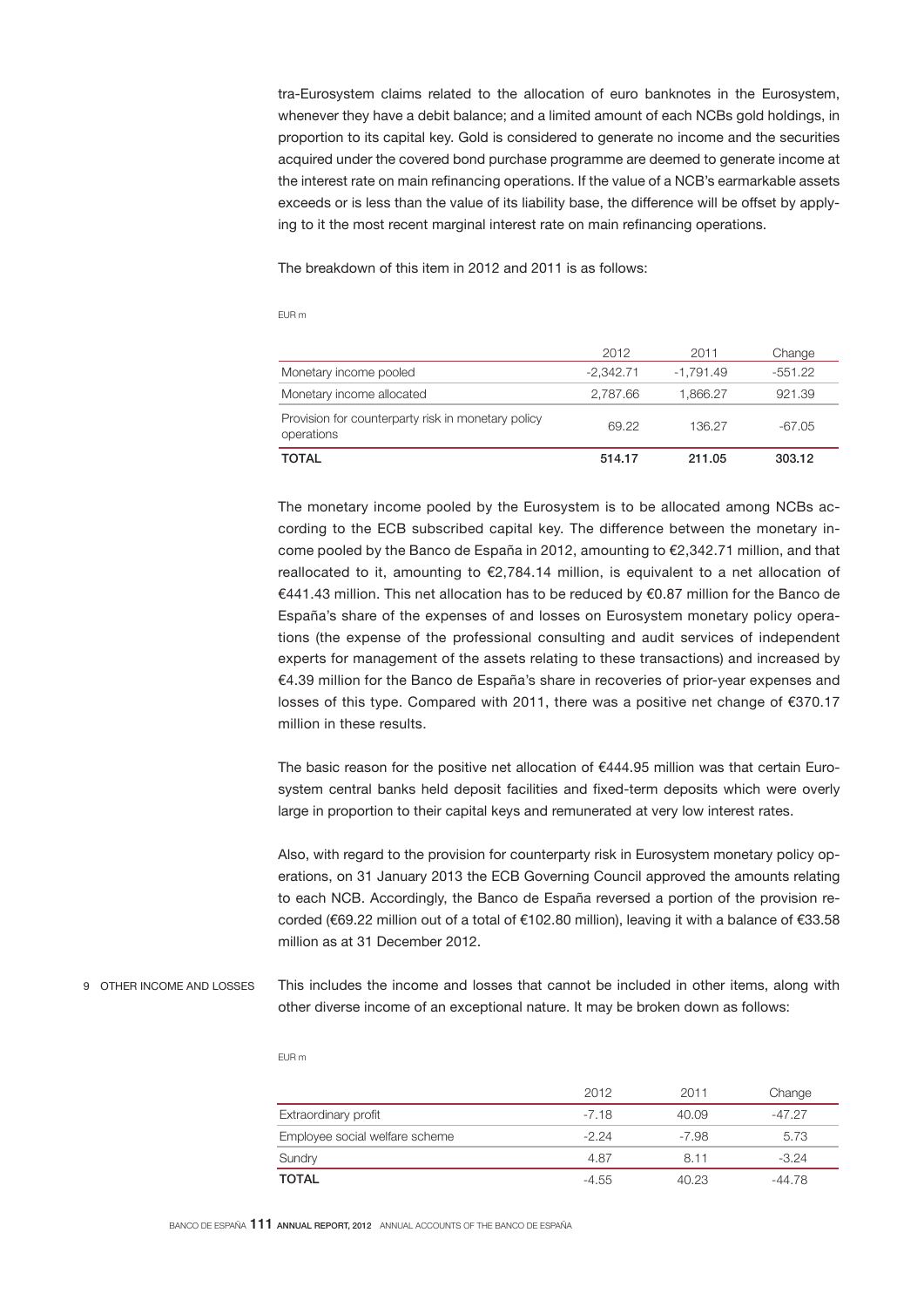tra-Eurosystem claims related to the allocation of euro banknotes in the Eurosystem, whenever they have a debit balance; and a limited amount of each NCBs gold holdings, in proportion to its capital key. Gold is considered to generate no income and the securities acquired under the covered bond purchase programme are deemed to generate income at the interest rate on main refinancing operations. If the value of a NCB's earmarkable assets exceeds or is less than the value of its liability base, the difference will be offset by applying to it the most recent marginal interest rate on main refinancing operations.

The breakdown of this item in 2012 and 2011 is as follows:

## EUR m

| <b>TOTAL</b>                                                     | 514.17      | 211.05      | 303.12  |
|------------------------------------------------------------------|-------------|-------------|---------|
| Provision for counterparty risk in monetary policy<br>operations | 69.22       | 136.27      | -67.05  |
| Monetary income allocated                                        | 2.787.66    | 1.866.27    | 921.39  |
| Monetary income pooled                                           | $-2.342.71$ | $-1.791.49$ | -551.22 |
|                                                                  | 2012        | 2011        | Change  |

The monetary income pooled by the Eurosystem is to be allocated among NCBs according to the ECB subscribed capital key. The difference between the monetary income pooled by the Banco de España in 2012, amounting to €2,342.71 million, and that reallocated to it, amounting to €2,784.14 million, is equivalent to a net allocation of €441.43 million. This net allocation has to be reduced by €0.87 million for the Banco de España's share of the expenses of and losses on Eurosystem monetary policy operations (the expense of the professional consulting and audit services of independent experts for management of the assets relating to these transactions) and increased by €4.39 million for the Banco de España's share in recoveries of prior-year expenses and losses of this type. Compared with 2011, there was a positive net change of €370.17 million in these results.

The basic reason for the positive net allocation of  $€444.95$  million was that certain Eurosystem central banks held deposit facilities and fixed-term deposits which were overly large in proportion to their capital keys and remunerated at very low interest rates.

Also, with regard to the provision for counterparty risk in Eurosystem monetary policy operations, on 31 January 2013 the ECB Governing Council approved the amounts relating to each NCB. Accordingly, the Banco de España reversed a portion of the provision recorded (€69.22 million out of a total of €102.80 million), leaving it with a balance of €33.58 million as at 31 December 2012.

This includes the income and losses that cannot be included in other items, along with other diverse income of an exceptional nature. It may be broken down as follows: 9 OTHER INCOME AND LOSSES

|                                | 2012    | 2011  | Change   |
|--------------------------------|---------|-------|----------|
| Extraordinary profit           | $-7.18$ | 40.09 | $-47.27$ |
| Employee social welfare scheme | $-2.24$ | -7.98 | 5.73     |
| Sundry                         | 4.87    | 8.11  | $-3.24$  |
| <b>TOTAL</b>                   | $-4.55$ | 40.23 | $-44.78$ |

#### EUR m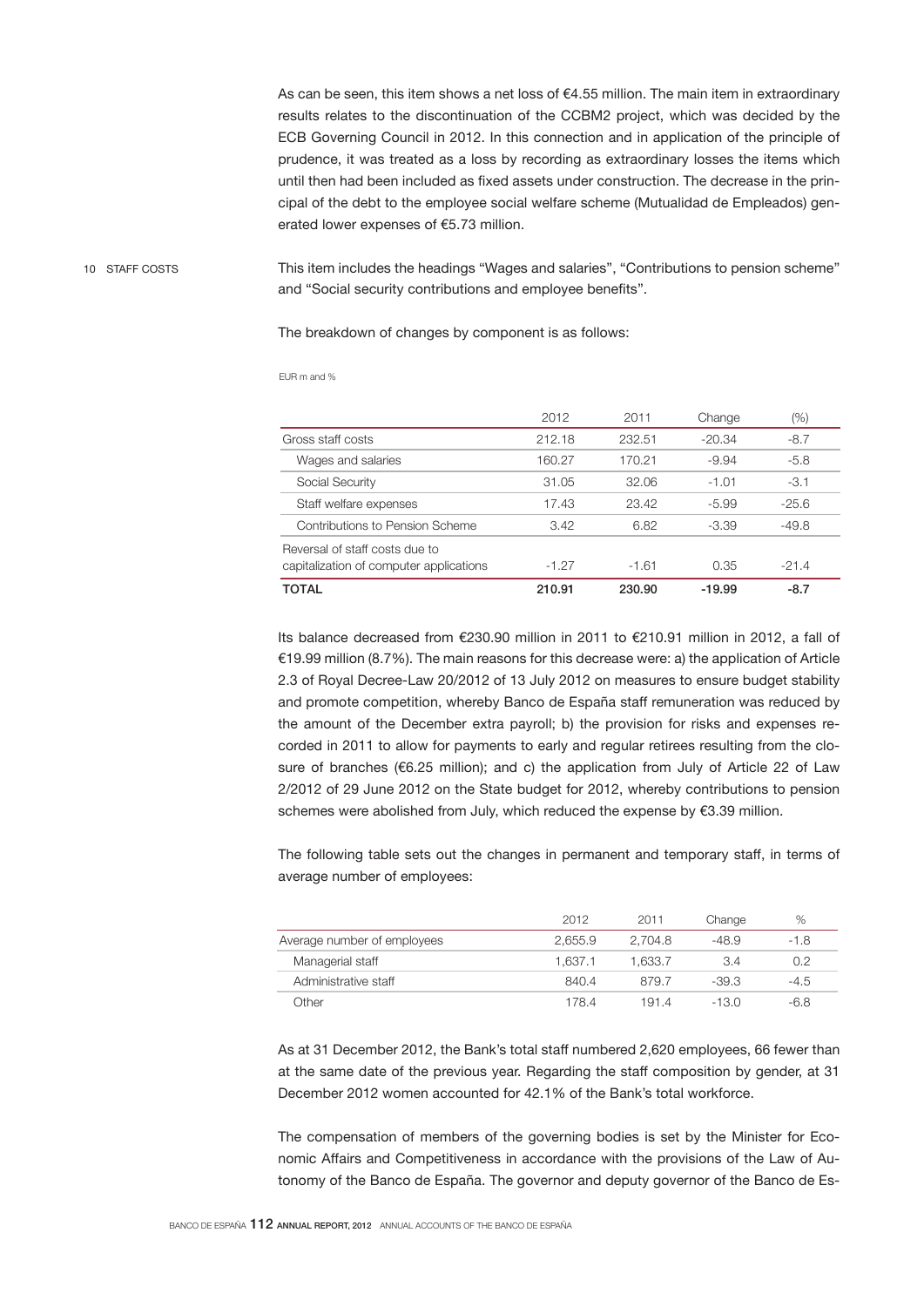As can be seen, this item shows a net loss of €4.55 million. The main item in extraordinary results relates to the discontinuation of the CCBM2 project, which was decided by the ECB Governing Council in 2012. In this connection and in application of the principle of prudence, it was treated as a loss by recording as extraordinary losses the items which until then had been included as fixed assets under construction. The decrease in the principal of the debt to the employee social welfare scheme (Mutualidad de Empleados) generated lower expenses of €5.73 million.

10 STAFF COSTS

This item includes the headings "Wages and salaries", "Contributions to pension scheme" and "Social security contributions and employee benefits".

The breakdown of changes by component is as follows:

|                                                                           | 2012    | 2011    | Change   | (%)     |  |
|---------------------------------------------------------------------------|---------|---------|----------|---------|--|
| Gross staff costs                                                         | 212.18  | 232.51  | $-20.34$ | $-8.7$  |  |
| Wages and salaries                                                        | 160.27  | 170.21  | $-9.94$  | $-5.8$  |  |
| Social Security                                                           | 31.05   | 32.06   | $-1.01$  | $-3.1$  |  |
| Staff welfare expenses                                                    | 17.43   | 23.42   | $-5.99$  | $-25.6$ |  |
| Contributions to Pension Scheme                                           | 3.42    | 6.82    | $-3.39$  | $-49.8$ |  |
| Reversal of staff costs due to<br>capitalization of computer applications | $-1.27$ | $-1.61$ | 0.35     | $-21.4$ |  |
| TOTAL                                                                     | 210.91  | 230.90  | $-19.99$ | $-8.7$  |  |

EUR m and %

Its balance decreased from €230.90 million in 2011 to €210.91 million in 2012, a fall of €19.99 million (8.7%). The main reasons for this decrease were: a) the application of Article 2.3 of Royal Decree-Law 20/2012 of 13 July 2012 on measures to ensure budget stability and promote competition, whereby Banco de España staff remuneration was reduced by the amount of the December extra payroll; b) the provision for risks and expenses recorded in 2011 to allow for payments to early and regular retirees resulting from the closure of branches ( $6.25$  million); and c) the application from July of Article 22 of Law 2/2012 of 29 June 2012 on the State budget for 2012, whereby contributions to pension schemes were abolished from July, which reduced the expense by €3.39 million.

The following table sets out the changes in permanent and temporary staff, in terms of average number of employees:

|                             | 2012    | 2011    | Change  | %      |
|-----------------------------|---------|---------|---------|--------|
| Average number of employees | 2.655.9 | 2.704.8 | -48.9   | $-1.8$ |
| Managerial staff            | 1.637.1 | 1.633.7 | 3.4     | 0.2    |
| Administrative staff        | 840.4   | 879.7   | $-39.3$ | $-4.5$ |
| <b>Other</b>                | 178.4   | 191.4   | -13.0   | -6.8   |

As at 31 December 2012, the Bank's total staff numbered 2,620 employees, 66 fewer than at the same date of the previous year. Regarding the staff composition by gender, at 31 December 2012 women accounted for 42.1% of the Bank's total workforce.

The compensation of members of the governing bodies is set by the Minister for Economic Affairs and Competitiveness in accordance with the provisions of the Law of Autonomy of the Banco de España. The governor and deputy governor of the Banco de Es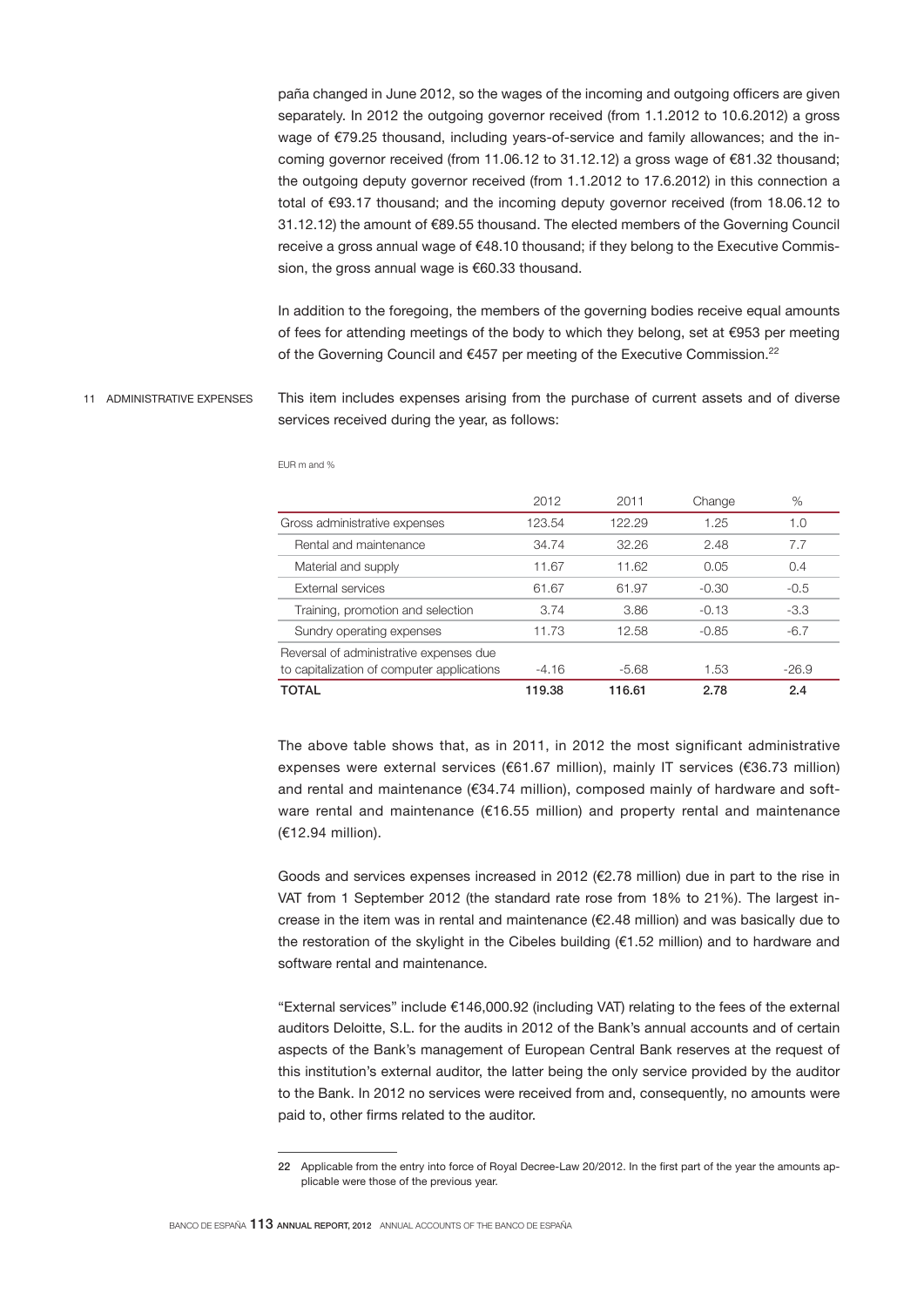paña changed in June 2012, so the wages of the incoming and outgoing officers are given separately. In 2012 the outgoing governor received (from 1.1.2012 to 10.6.2012) a gross wage of €79.25 thousand, including years-of-service and family allowances; and the incoming governor received (from 11.06.12 to 31.12.12) a gross wage of €81.32 thousand; the outgoing deputy governor received (from 1.1.2012 to 17.6.2012) in this connection a total of €93.17 thousand; and the incoming deputy governor received (from 18.06.12 to 31.12.12) the amount of €89.55 thousand. The elected members of the Governing Council receive a gross annual wage of €48.10 thousand; if they belong to the Executive Commission, the gross annual wage is €60,33 thousand.

In addition to the foregoing, the members of the governing bodies receive equal amounts of fees for attending meetings of the body to which they belong, set at €953 per meeting of the Governing Council and €457 per meeting of the Executive Commission.<sup>22</sup>

This item includes expenses arising from the purchase of current assets and of diverse services received during the year, as follows: 11 ADMINISTRATIVE EXPENSES

|                                            | 2012    | 2011    | Change  | %       |
|--------------------------------------------|---------|---------|---------|---------|
| Gross administrative expenses              | 123.54  | 122.29  | 1.25    | 1.0     |
| Rental and maintenance                     | 34.74   | 32.26   | 2.48    | 7.7     |
| Material and supply                        | 11.67   | 11.62   | 0.05    | 0.4     |
| External services                          | 61.67   | 61.97   | $-0.30$ | $-0.5$  |
| Training, promotion and selection          | 3.74    | 3.86    | $-0.13$ | $-3.3$  |
| Sundry operating expenses                  | 11.73   | 12.58   | $-0.85$ | $-6.7$  |
| Reversal of administrative expenses due    |         |         |         |         |
| to capitalization of computer applications | $-4.16$ | $-5.68$ | 1.53    | $-26.9$ |
| TOTAL                                      | 119.38  | 116.61  | 2.78    | 2.4     |

EUR m and %

The above table shows that, as in 2011, in 2012 the most significant administrative expenses were external services (€61.67 million), mainly IT services (€36.73 million) and rental and maintenance (€34.74 million), composed mainly of hardware and software rental and maintenance (€16.55 million) and property rental and maintenance (€12.94 million).

Goods and services expenses increased in 2012 (€2.78 million) due in part to the rise in VAT from 1 September 2012 (the standard rate rose from 18% to 21%). The largest increase in the item was in rental and maintenance (€2.48 million) and was basically due to the restoration of the skylight in the Cibeles building (€1.52 million) and to hardware and software rental and maintenance.

"External services" include €146,000.92 (including VAT) relating to the fees of the external auditors Deloitte, S.L. for the audits in 2012 of the Bank's annual accounts and of certain aspects of the Bank's management of European Central Bank reserves at the request of this institution's external auditor, the latter being the only service provided by the auditor to the Bank. In 2012 no services were received from and, consequently, no amounts were paid to, other firms related to the auditor.

<sup>22</sup> Applicable from the entry into force of Royal Decree-Law 20/2012. In the first part of the year the amounts applicable were those of the previous year.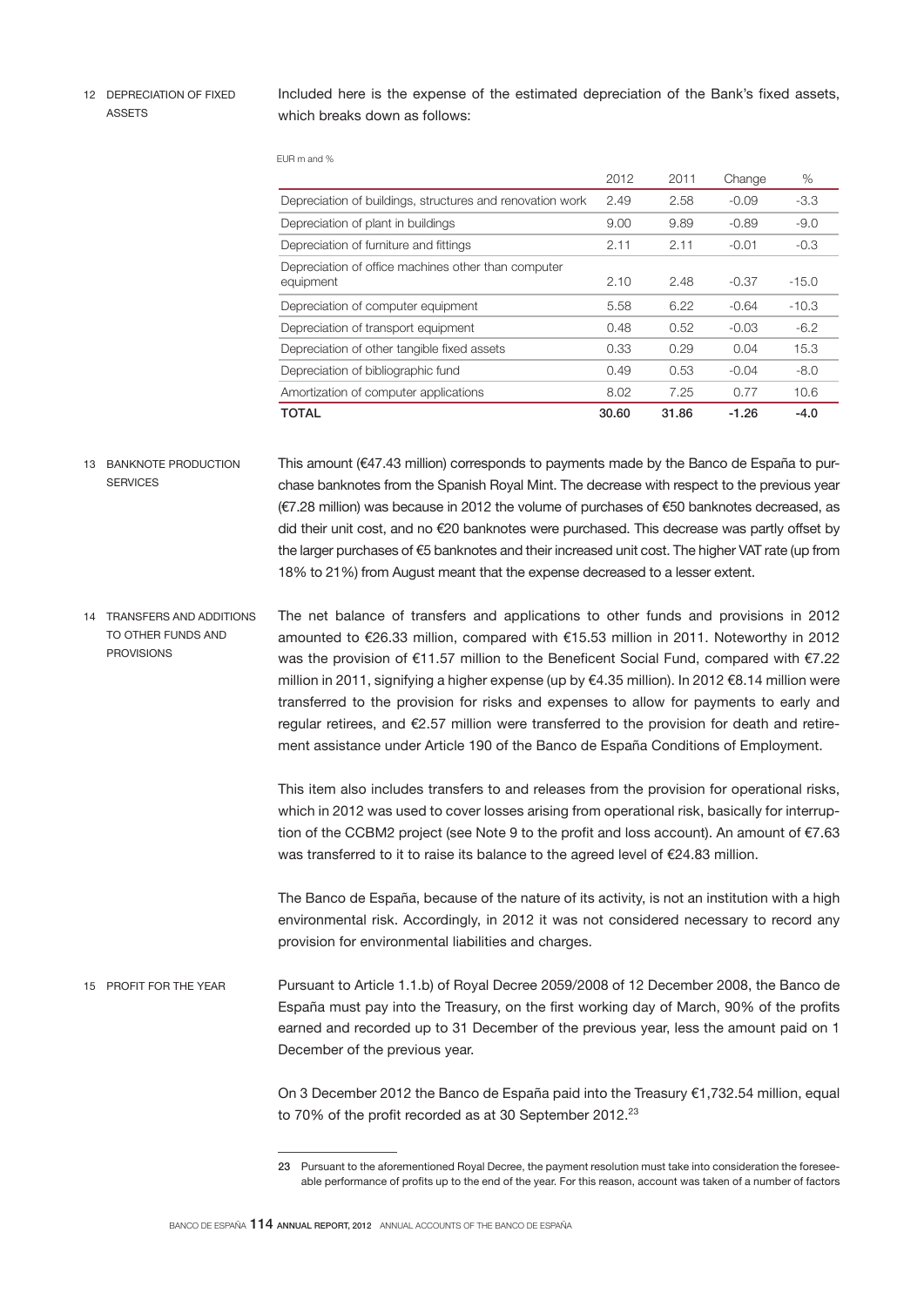12 DEPRECIATION OF FIXED ASSETS

Included here is the expense of the estimated depreciation of the Bank's fixed assets, which breaks down as follows:

EUR m and %

|                                                                  | 2012  | 2011  | Change  | $\%$    |
|------------------------------------------------------------------|-------|-------|---------|---------|
| Depreciation of buildings, structures and renovation work        | 2.49  | 2.58  | $-0.09$ | $-3.3$  |
| Depreciation of plant in buildings                               | 9.00  | 9.89  | $-0.89$ | $-9.0$  |
| Depreciation of furniture and fittings                           | 2.11  | 2.11  | $-0.01$ | $-0.3$  |
| Depreciation of office machines other than computer<br>equipment | 2.10  | 2.48  | $-0.37$ | $-15.0$ |
| Depreciation of computer equipment                               | 5.58  | 6.22  | $-0.64$ | $-10.3$ |
| Depreciation of transport equipment                              | 0.48  | 0.52  | $-0.03$ | $-6.2$  |
| Depreciation of other tangible fixed assets                      | 0.33  | 0.29  | 0.04    | 15.3    |
| Depreciation of bibliographic fund                               | 0.49  | 0.53  | $-0.04$ | $-8.0$  |
| Amortization of computer applications                            | 8.02  | 7.25  | 0.77    | 10.6    |
| TOTAL                                                            | 30.60 | 31.86 | $-1.26$ | $-4.0$  |

This amount (€47.43 million) corresponds to payments made by the Banco de España to purchase banknotes from the Spanish Royal Mint. The decrease with respect to the previous year (€7.28 million) was because in 2012 the volume of purchases of €50 banknotes decreased, as did their unit cost, and no €20 banknotes were purchased. This decrease was partly offset by the larger purchases of €5 banknotes and their increased unit cost. The higher VAT rate (up from 18% to 21%) from August meant that the expense decreased to a lesser extent. 13 BANKNOTE PRODUCTION **SERVICES** 

The net balance of transfers and applications to other funds and provisions in 2012 amounted to €26.33 million, compared with €15.53 million in 2011. Noteworthy in 2012 was the provision of €11.57 million to the Beneficent Social Fund, compared with €7.22 million in 2011, signifying a higher expense (up by €4.35 million). In 2012 €8.14 million were transferred to the provision for risks and expenses to allow for payments to early and regular retirees, and €2.57 million were transferred to the provision for death and retirement assistance under Article 190 of the Banco de España Conditions of Employment. 14 TRANSFERS AND ADDITIONS TO OTHER FUNDS AND PROVISIONS

> This item also includes transfers to and releases from the provision for operational risks, which in 2012 was used to cover losses arising from operational risk, basically for interruption of the CCBM2 project (see Note 9 to the profit and loss account). An amount of €7.63 was transferred to it to raise its balance to the agreed level of €24.83 million.

> The Banco de España, because of the nature of its activity, is not an institution with a high environmental risk. Accordingly, in 2012 it was not considered necessary to record any provision for environmental liabilities and charges.

Pursuant to Article 1.1.b) of Royal Decree 2059/2008 of 12 December 2008, the Banco de España must pay into the Treasury, on the first working day of March, 90% of the profits earned and recorded up to 31 December of the previous year, less the amount paid on 1 December of the previous year. 15 PROFIT FOR THE YEAR

> On 3 December 2012 the Banco de España paid into the Treasury €1,732.54 million, equal to 70% of the profit recorded as at 30 September 2012.<sup>23</sup>

<sup>23</sup> Pursuant to the aforementioned Royal Decree, the payment resolution must take into consideration the foreseeable performance of profits up to the end of the year. For this reason, account was taken of a number of factors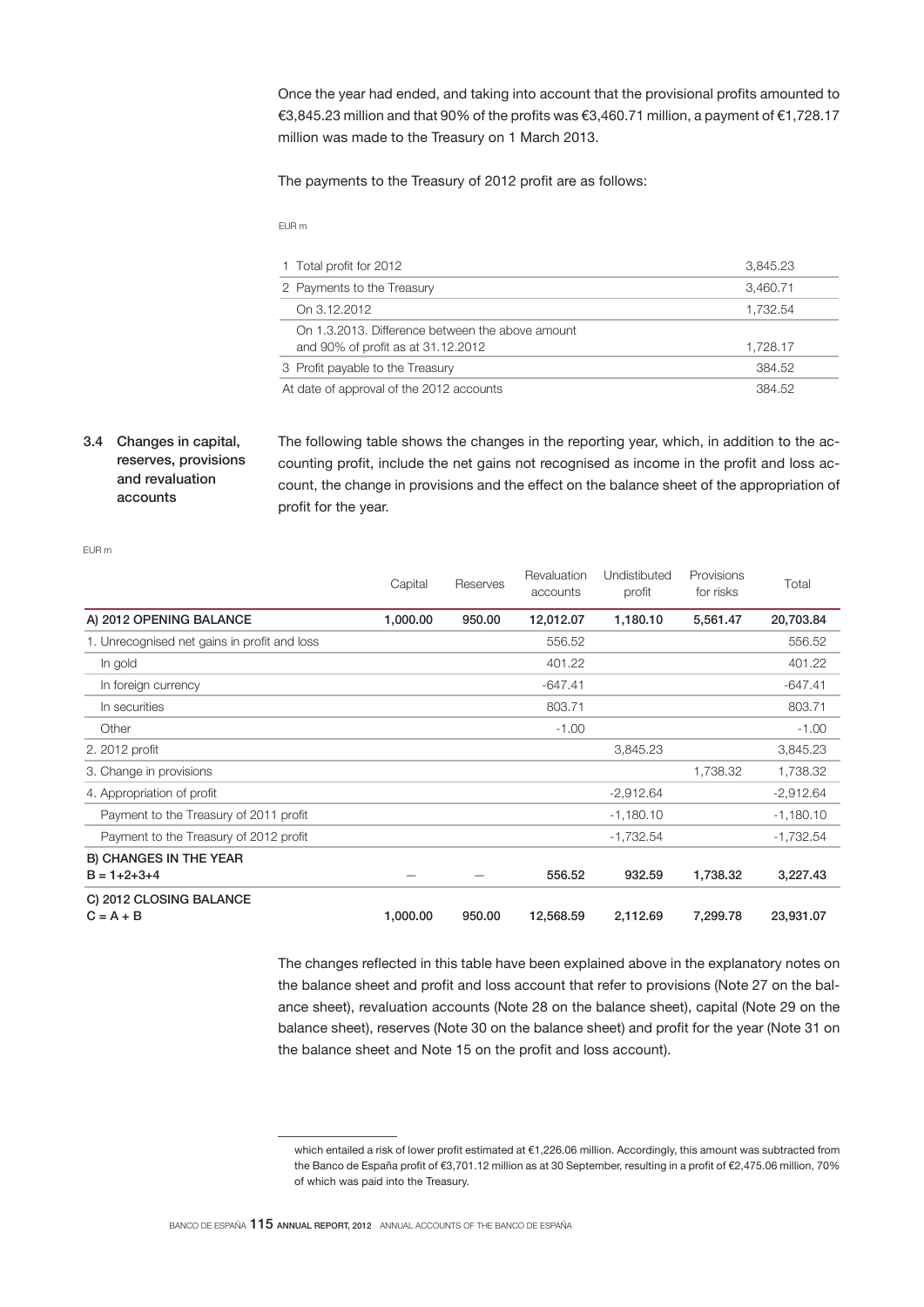Once the year had ended, and taking into account that the provisional profits amounted to €3,845.23 million and that 90% of the profits was €3,460.71 million, a payment of €1,728.17 million was made to the Treasury on 1 March 2013.

The payments to the Treasury of 2012 profit are as follows:

EUR m

| 1 Total profit for 2012                                                                | 3.845.23 |
|----------------------------------------------------------------------------------------|----------|
| 2 Payments to the Treasury                                                             | 3,460.71 |
| On 3.12.2012                                                                           | 1.732.54 |
| On 1.3.2013. Difference between the above amount<br>and 90% of profit as at 31.12.2012 | 1,728.17 |
| 3 Profit payable to the Treasury                                                       | 384.52   |
| At date of approval of the 2012 accounts                                               | 384.52   |

# 3.4 Changes in capital, reserves, provisions and revaluation accounts

The following table shows the changes in the reporting year, which, in addition to the accounting profit, include the net gains not recognised as income in the profit and loss account, the change in provisions and the effect on the balance sheet of the appropriation of profit for the year.

EUR m

|                                                      | Capital  | Reserves | Revaluation<br>accounts | Undistibuted<br>profit | Provisions<br>for risks | Total       |
|------------------------------------------------------|----------|----------|-------------------------|------------------------|-------------------------|-------------|
| A) 2012 OPENING BALANCE                              | 1,000.00 | 950.00   | 12,012.07               | 1,180.10               | 5,561.47                | 20,703.84   |
| 1. Unrecognised net gains in profit and loss         |          |          | 556.52                  |                        |                         | 556.52      |
| In gold                                              |          |          | 401.22                  |                        |                         | 401.22      |
| In foreign currency                                  |          |          | $-647.41$               |                        |                         | $-647.41$   |
| In securities                                        |          |          | 803.71                  |                        |                         | 803.71      |
| Other                                                |          |          | $-1.00$                 |                        |                         | $-1.00$     |
| 2. 2012 profit                                       |          |          |                         | 3,845.23               |                         | 3,845.23    |
| 3. Change in provisions                              |          |          |                         |                        | 1,738.32                | 1,738.32    |
| 4. Appropriation of profit                           |          |          |                         | $-2,912.64$            |                         | $-2,912.64$ |
| Payment to the Treasury of 2011 profit               |          |          |                         | $-1,180.10$            |                         | $-1,180.10$ |
| Payment to the Treasury of 2012 profit               |          |          |                         | $-1,732.54$            |                         | $-1,732.54$ |
| <b>B) CHANGES IN THE YEAR</b><br>$B = 1 + 2 + 3 + 4$ |          |          | 556.52                  | 932.59                 | 1,738.32                | 3,227.43    |
| C) 2012 CLOSING BALANCE<br>$C = A + B$               | 1,000.00 | 950.00   | 12,568.59               | 2,112.69               | 7,299.78                | 23,931.07   |

The changes reflected in this table have been explained above in the explanatory notes on the balance sheet and profit and loss account that refer to provisions (Note 27 on the balance sheet), revaluation accounts (Note 28 on the balance sheet), capital (Note 29 on the balance sheet), reserves (Note 30 on the balance sheet) and profit for the year (Note 31 on the balance sheet and Note 15 on the profit and loss account).

which entailed a risk of lower profit estimated at €1,226.06 million. Accordingly, this amount was subtracted from the Banco de España profit of €3,701.12 million as at 30 September, resulting in a profit of €2,475.06 million, 70% of which was paid into the Treasury.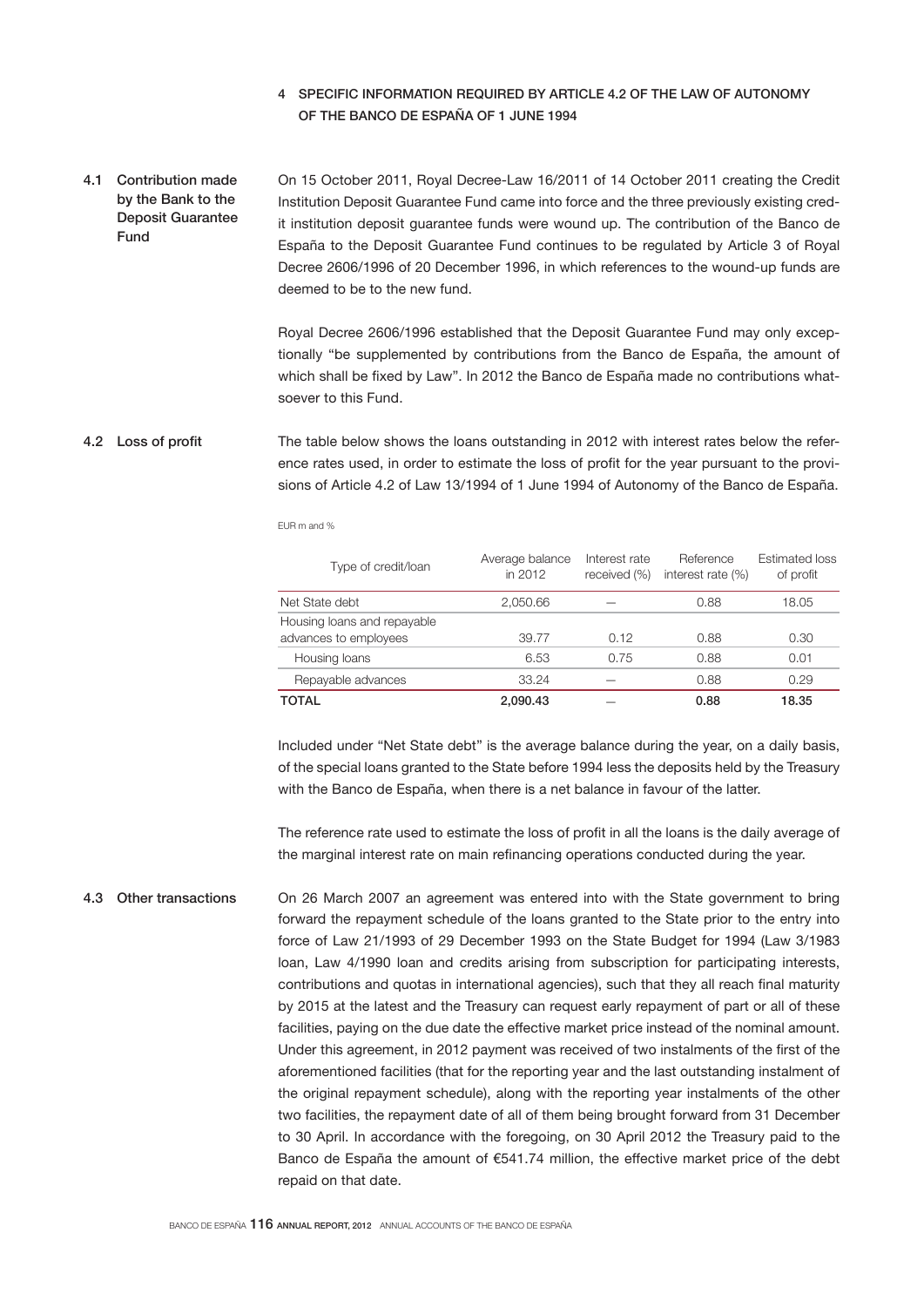# 4 SPECIFIC INFORMATION REQUIRED BY ARTICLE 4.2 OF THE LAW OF AUTONOMY OF THE BANCO DE ESPAÑA OF 1 JUNE 1994

On 15 October 2011, Royal Decree-Law 16/2011 of 14 October 2011 creating the Credit Institution Deposit Guarantee Fund came into force and the three previously existing credit institution deposit guarantee funds were wound up. The contribution of the Banco de España to the Deposit Guarantee Fund continues to be regulated by Article 3 of Royal Decree 2606/1996 of 20 December 1996, in which references to the wound-up funds are deemed to be to the new fund. 4.1 Contribution made by the Bank to the Deposit Guarantee Fund

> Royal Decree 2606/1996 established that the Deposit Guarantee Fund may only exceptionally "be supplemented by contributions from the Banco de España, the amount of which shall be fixed by Law". In 2012 the Banco de España made no contributions whatsoever to this Fund.

#### The table below shows the loans outstanding in 2012 with interest rates below the reference rates used, in order to estimate the loss of profit for the year pursuant to the provisions of Article 4.2 of Law 13/1994 of 1 June 1994 of Autonomy of the Banco de España. 4.2 Loss of profit

EUR m and %

| Type of credit/loan                                  | Average balance<br>in 2012 | Interest rate<br>received (%) | Reference<br>interest rate $(\%)$ | Estimated loss<br>of profit |
|------------------------------------------------------|----------------------------|-------------------------------|-----------------------------------|-----------------------------|
| Net State debt                                       | 2.050.66                   |                               | 0.88                              | 18.05                       |
| Housing loans and repayable<br>advances to employees | 39.77                      | 0.12                          | 0.88                              | 0.30                        |
| Housing loans                                        | 6.53                       | 0.75                          | 0.88                              | 0.01                        |
| Repayable advances                                   | 33.24                      |                               | 0.88                              | 0.29                        |
| TOTAL                                                | 2.090.43                   |                               | 0.88                              | 18.35                       |

Included under "Net State debt" is the average balance during the year, on a daily basis, of the special loans granted to the State before 1994 less the deposits held by the Treasury with the Banco de España, when there is a net balance in favour of the latter.

The reference rate used to estimate the loss of profit in all the loans is the daily average of the marginal interest rate on main refinancing operations conducted during the year.

On 26 March 2007 an agreement was entered into with the State government to bring forward the repayment schedule of the loans granted to the State prior to the entry into force of Law 21/1993 of 29 December 1993 on the State Budget for 1994 (Law 3/1983 loan, Law 4/1990 loan and credits arising from subscription for participating interests, contributions and quotas in international agencies), such that they all reach final maturity by 2015 at the latest and the Treasury can request early repayment of part or all of these facilities, paying on the due date the effective market price instead of the nominal amount. Under this agreement, in 2012 payment was received of two instalments of the first of the aforementioned facilities (that for the reporting year and the last outstanding instalment of the original repayment schedule), along with the reporting year instalments of the other two facilities, the repayment date of all of them being brought forward from 31 December to 30 April. In accordance with the foregoing, on 30 April 2012 the Treasury paid to the Banco de España the amount of €541.74 million, the effective market price of the debt repaid on that date. 4.3 Other transactions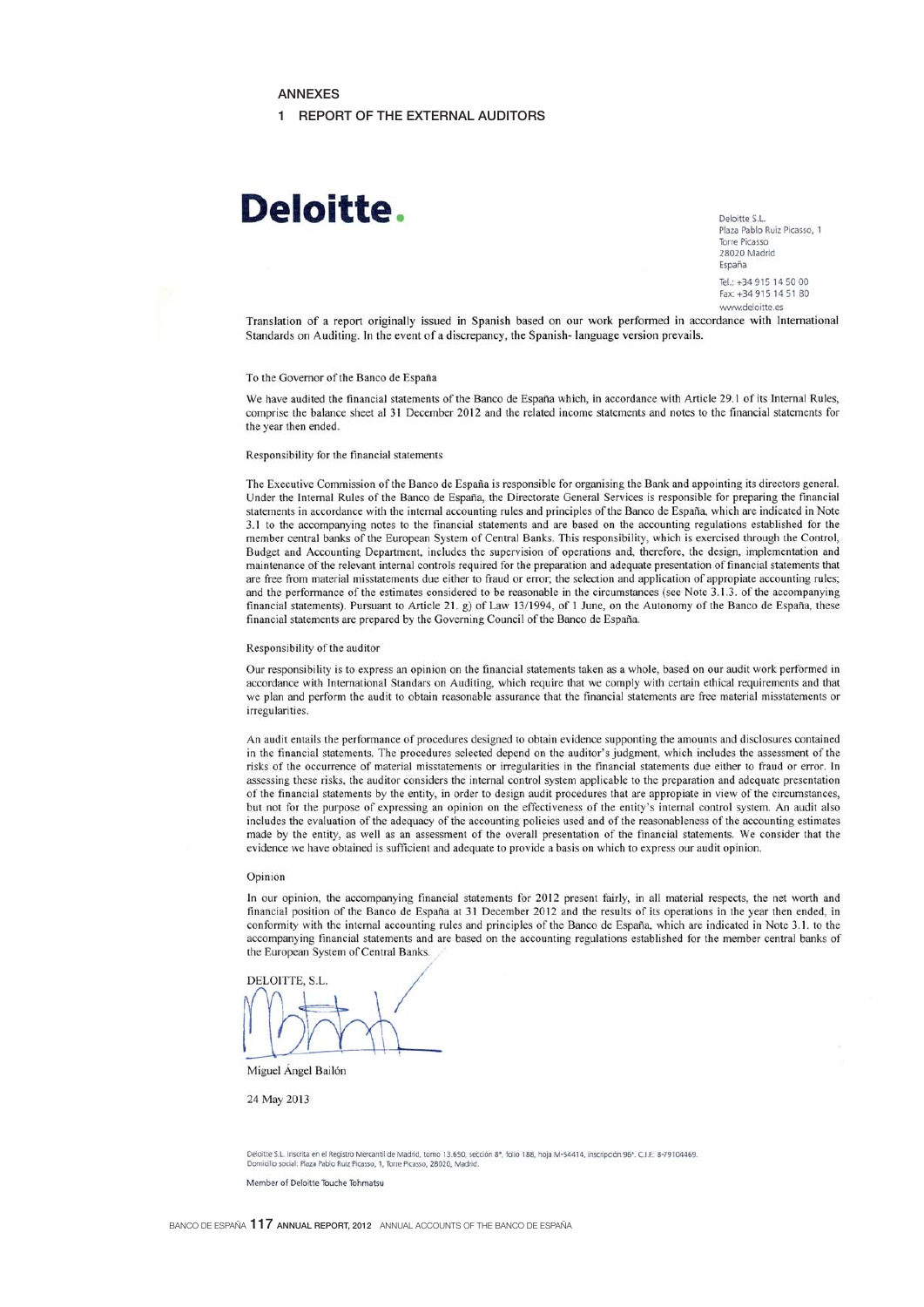## **ANNEXES**

#### 1 REPORT OF THE EXTERNAL AUDITORS

# Deloitte.

Deloitte S.L. Plaza Pablo Ruiz Picasso. 1 Torre Picasso 28020 Madrid Fsnaña Tel: +34 915 14 50 00 Fax: +34 915 14 51 80

www.deloitte.es

Translation of a report originally issued in Spanish based on our work performed in accordance with International Standards on Auditing. In the event of a discrepancy, the Spanish-language version prevails.

#### To the Governor of the Banco de España

We have audited the financial statements of the Banco de España which, in accordance with Article 29.1 of its Internal Rules. comprise the balance sheet al 31 December 2012 and the related income statements and notes to the financial statements for the year then ended.

#### Responsibility for the financial statements

The Executive Commission of the Banco de España is responsible for organising the Bank and appointing its directors general. Under the Internal Rules of the Banco de España, the Directorate General Services is responsible for preparing the financial statements in accordance with the internal accounting rules and principles of the Banco de España, which are indicated in Note 3.1 to the accompanying notes to the financial statements and are based on the accounting regulations established for the member central banks of the European System of Central Banks. This responsibility, which is exercised through the Control, Budget and Accounting Department, includes the supervision of operations and, therefore, the design, implementation and maintenance of the relevant internal controls required for the preparation and adequate presentation of financial statements that are free from material misstatements due either to fraud or error; the selection and application of appropiate accounting rules; and the performance of the estimates considered to be reasonable in the circumstances (see Note 3.1.3. of the accompanying financial statements). Pursuant to Article 21. g) of Law 13/1994, of 1 June, on the Autonomy of the Banco de España, these financial statements are prepared by the Governing Council of the Banco de España.

#### Responsibility of the auditor

Our responsibility is to express an opinion on the financial statements taken as a whole, based on our audit work performed in accordance with International Standars on Auditing, which require that we comply with certain ethical requirements and that we plan and perform the audit to obtain reasonable assurance that the financial statements are free material misstatements or irregularities

An audit entails the performance of procedures designed to obtain evidence supponting the amounts and disclosures contained in the financial statements. The procedures selected depend on the auditor's judgment, which includes the assessment of the risks of the occurrence of material misstatements or irregularities in the financial statements due either to fraud or error. In assessing these risks, the auditor considers the internal control system applicable to the preparation and adequate presentation of the financial statements by the entity, in order to design audit procedures that are appropiate in view of the circumstances, but not for the purpose of expressing an opinion on the effectiveness of the entity's internal control system. An audit also includes the evaluation of the adequacy of the accounting policies used and of the reasonableness of the accounting estimates made by the entity, as well as an assessment of the overall presentation of the financial statements. We consider that the evidence we have obtained is sufficient and adequate to provide a basis on which to express our audit opinion.

#### Opinion

In our opinion, the accompanying financial statements for 2012 present fairly, in all material respects, the net worth and financial position of the Banco de España at 31 December 2012 and the results of its operations in the year then ended, in conformity with the internal accounting rules and principles of the Banco de España, which are indicated in Note 3.1. to the accompanying financial statements and are based on the accounting regulations established for the member central banks of the European System of Central Banks.

DELOITTE, S.L.

Miguel Ángel Bailón

24 May 2013

Deloitte S.L. Inscrita en el Registro Mercantil de Madrid, tomo 13.650, sección 8ª, folio 188, hoja M-54414, inscripción 96ª. C.I.E: 8-79104469<br>Domicilio social: Plaza Pablo Ruiz Picasso, 1, Torre Picasso, 28020, Madrid.

Member of Deloitte Touche Tohmatsu